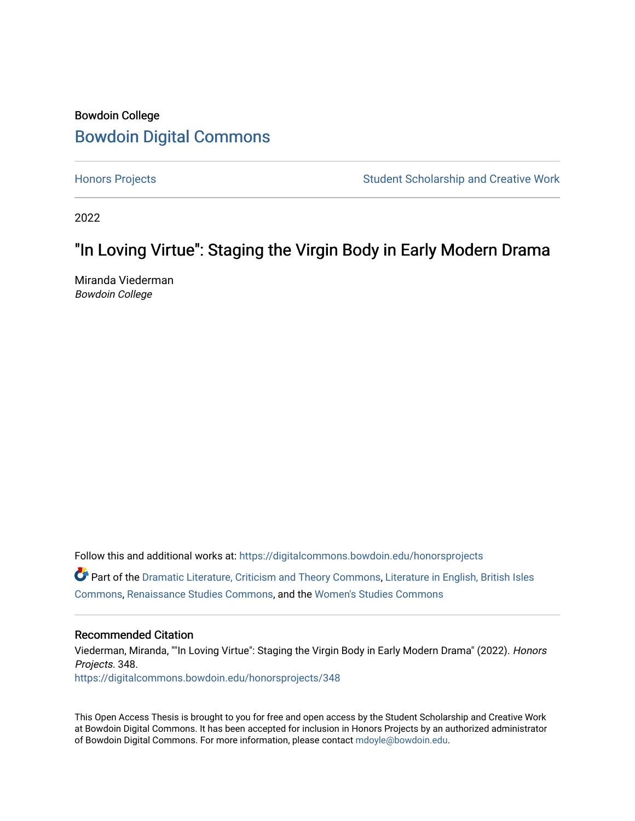# Bowdoin College [Bowdoin Digital Commons](https://digitalcommons.bowdoin.edu/)

[Honors Projects](https://digitalcommons.bowdoin.edu/honorsprojects) **Student Scholarship and Creative Work** Student Scholarship and Creative Work

2022

# "In Loving Virtue": Staging the Virgin Body in Early Modern Drama

Miranda Viederman Bowdoin College

Follow this and additional works at: [https://digitalcommons.bowdoin.edu/honorsprojects](https://digitalcommons.bowdoin.edu/honorsprojects?utm_source=digitalcommons.bowdoin.edu%2Fhonorsprojects%2F348&utm_medium=PDF&utm_campaign=PDFCoverPages)

 $\bullet$  Part of the [Dramatic Literature, Criticism and Theory Commons](https://network.bepress.com/hgg/discipline/555?utm_source=digitalcommons.bowdoin.edu%2Fhonorsprojects%2F348&utm_medium=PDF&utm_campaign=PDFCoverPages), [Literature in English, British Isles](https://network.bepress.com/hgg/discipline/456?utm_source=digitalcommons.bowdoin.edu%2Fhonorsprojects%2F348&utm_medium=PDF&utm_campaign=PDFCoverPages) [Commons](https://network.bepress.com/hgg/discipline/456?utm_source=digitalcommons.bowdoin.edu%2Fhonorsprojects%2F348&utm_medium=PDF&utm_campaign=PDFCoverPages), [Renaissance Studies Commons](https://network.bepress.com/hgg/discipline/1426?utm_source=digitalcommons.bowdoin.edu%2Fhonorsprojects%2F348&utm_medium=PDF&utm_campaign=PDFCoverPages), and the [Women's Studies Commons](https://network.bepress.com/hgg/discipline/561?utm_source=digitalcommons.bowdoin.edu%2Fhonorsprojects%2F348&utm_medium=PDF&utm_campaign=PDFCoverPages) 

#### Recommended Citation

Viederman, Miranda, ""In Loving Virtue": Staging the Virgin Body in Early Modern Drama" (2022). Honors Projects. 348. [https://digitalcommons.bowdoin.edu/honorsprojects/348](https://digitalcommons.bowdoin.edu/honorsprojects/348?utm_source=digitalcommons.bowdoin.edu%2Fhonorsprojects%2F348&utm_medium=PDF&utm_campaign=PDFCoverPages)

This Open Access Thesis is brought to you for free and open access by the Student Scholarship and Creative Work at Bowdoin Digital Commons. It has been accepted for inclusion in Honors Projects by an authorized administrator of Bowdoin Digital Commons. For more information, please contact [mdoyle@bowdoin.edu.](mailto:mdoyle@bowdoin.edu)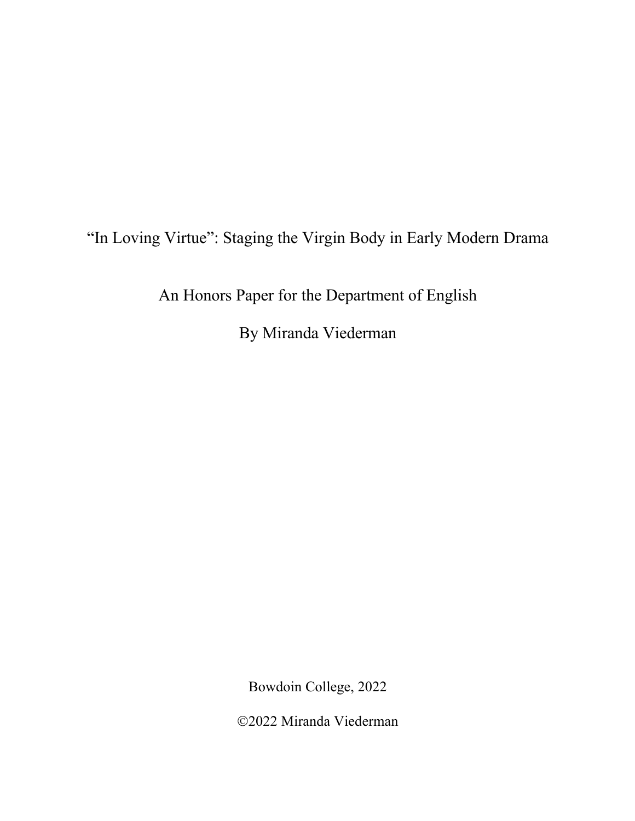"In Loving Virtue": Staging the Virgin Body in Early Modern Drama

An Honors Paper for the Department of English

By Miranda Viederman

Bowdoin College, 2022

Ó2022 Miranda Viederman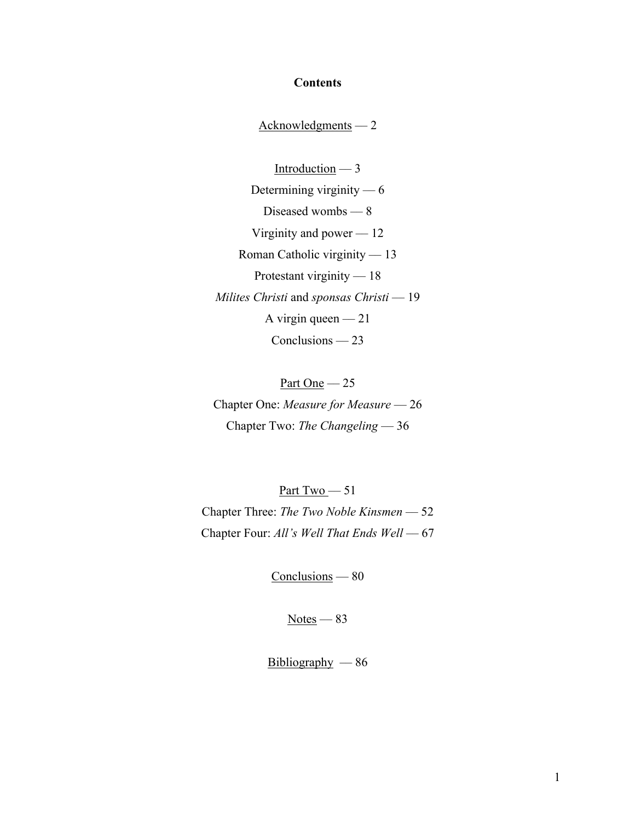### **Contents**

Acknowledgments –– 2

Introduction –– 3 Determining virginity –– 6 Diseased wombs –– 8 Virginity and power  $-12$ Roman Catholic virginity –– 13 Protestant virginity — 18 *Milites Christi* and *sponsas Christi* –– 19 A virgin queen  $-21$ Conclusions — 23

Part One  $-25$ Chapter One: *Measure for Measure* –– 26 Chapter Two: *The Changeling* –– 36

Part Two  $-51$ Chapter Three: *The Two Noble Kinsmen* –– 52 Chapter Four: *All's Well That Ends Well* -- 67

Conclusions –– 80

 $Notes — 83$ </u>

 $Bibliography - 86$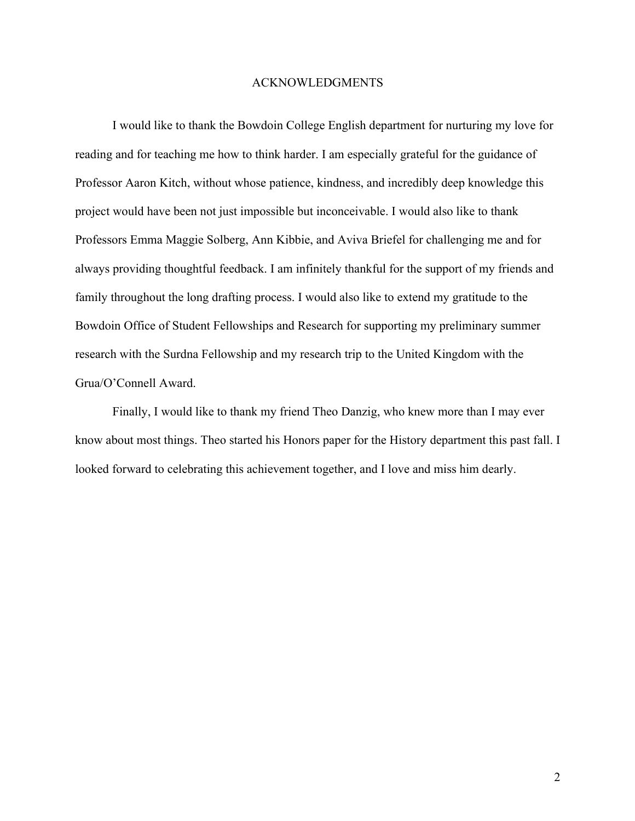#### ACKNOWLEDGMENTS

I would like to thank the Bowdoin College English department for nurturing my love for reading and for teaching me how to think harder. I am especially grateful for the guidance of Professor Aaron Kitch, without whose patience, kindness, and incredibly deep knowledge this project would have been not just impossible but inconceivable. I would also like to thank Professors Emma Maggie Solberg, Ann Kibbie, and Aviva Briefel for challenging me and for always providing thoughtful feedback. I am infinitely thankful for the support of my friends and family throughout the long drafting process. I would also like to extend my gratitude to the Bowdoin Office of Student Fellowships and Research for supporting my preliminary summer research with the Surdna Fellowship and my research trip to the United Kingdom with the Grua/O'Connell Award.

Finally, I would like to thank my friend Theo Danzig, who knew more than I may ever know about most things. Theo started his Honors paper for the History department this past fall. I looked forward to celebrating this achievement together, and I love and miss him dearly.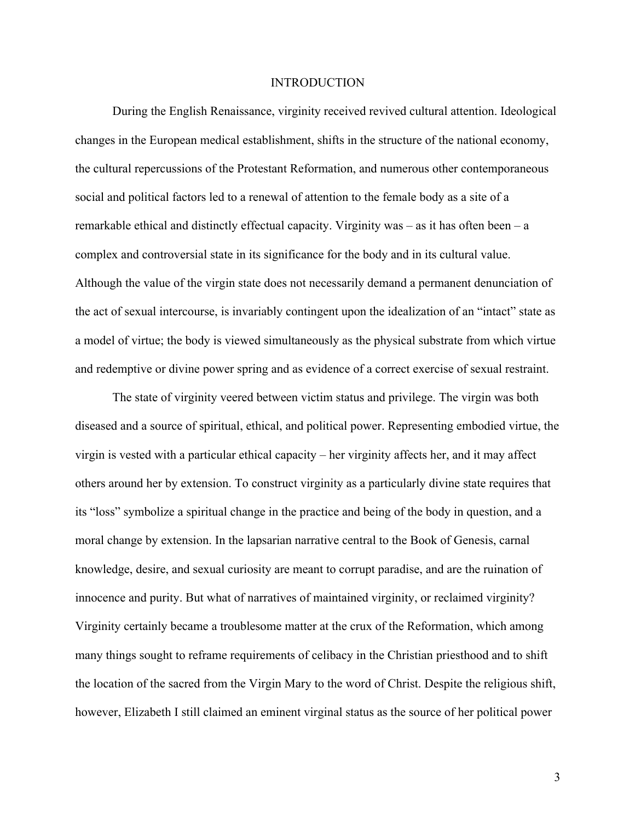#### INTRODUCTION

During the English Renaissance, virginity received revived cultural attention. Ideological changes in the European medical establishment, shifts in the structure of the national economy, the cultural repercussions of the Protestant Reformation, and numerous other contemporaneous social and political factors led to a renewal of attention to the female body as a site of a remarkable ethical and distinctly effectual capacity. Virginity was – as it has often been – a complex and controversial state in its significance for the body and in its cultural value. Although the value of the virgin state does not necessarily demand a permanent denunciation of the act of sexual intercourse, is invariably contingent upon the idealization of an "intact" state as a model of virtue; the body is viewed simultaneously as the physical substrate from which virtue and redemptive or divine power spring and as evidence of a correct exercise of sexual restraint.

The state of virginity veered between victim status and privilege. The virgin was both diseased and a source of spiritual, ethical, and political power. Representing embodied virtue, the virgin is vested with a particular ethical capacity – her virginity affects her, and it may affect others around her by extension. To construct virginity as a particularly divine state requires that its "loss" symbolize a spiritual change in the practice and being of the body in question, and a moral change by extension. In the lapsarian narrative central to the Book of Genesis, carnal knowledge, desire, and sexual curiosity are meant to corrupt paradise, and are the ruination of innocence and purity. But what of narratives of maintained virginity, or reclaimed virginity? Virginity certainly became a troublesome matter at the crux of the Reformation, which among many things sought to reframe requirements of celibacy in the Christian priesthood and to shift the location of the sacred from the Virgin Mary to the word of Christ. Despite the religious shift, however, Elizabeth I still claimed an eminent virginal status as the source of her political power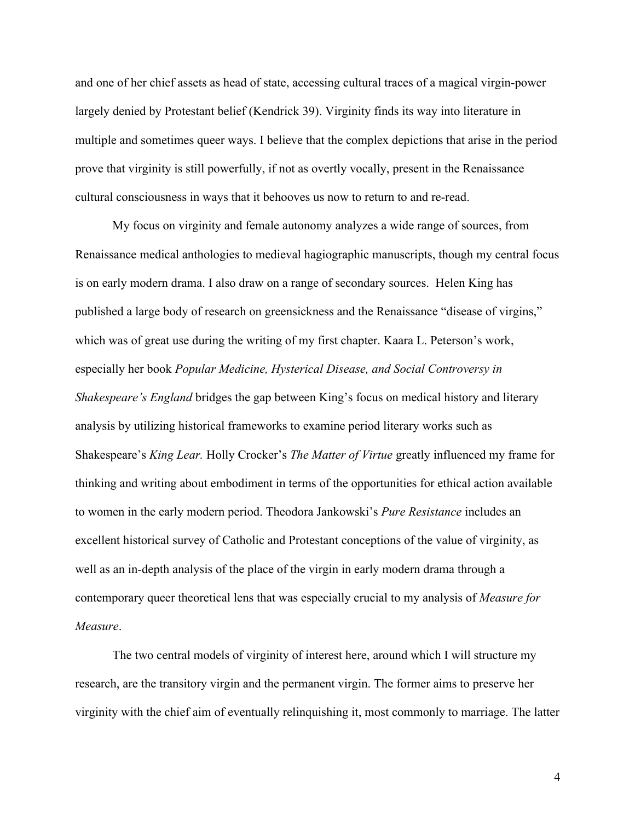and one of her chief assets as head of state, accessing cultural traces of a magical virgin-power largely denied by Protestant belief (Kendrick 39). Virginity finds its way into literature in multiple and sometimes queer ways. I believe that the complex depictions that arise in the period prove that virginity is still powerfully, if not as overtly vocally, present in the Renaissance cultural consciousness in ways that it behooves us now to return to and re-read.

My focus on virginity and female autonomy analyzes a wide range of sources, from Renaissance medical anthologies to medieval hagiographic manuscripts, though my central focus is on early modern drama. I also draw on a range of secondary sources. Helen King has published a large body of research on greensickness and the Renaissance "disease of virgins," which was of great use during the writing of my first chapter. Kaara L. Peterson's work, especially her book *Popular Medicine, Hysterical Disease, and Social Controversy in Shakespeare's England* bridges the gap between King's focus on medical history and literary analysis by utilizing historical frameworks to examine period literary works such as Shakespeare's *King Lear.* Holly Crocker's *The Matter of Virtue* greatly influenced my frame for thinking and writing about embodiment in terms of the opportunities for ethical action available to women in the early modern period. Theodora Jankowski's *Pure Resistance* includes an excellent historical survey of Catholic and Protestant conceptions of the value of virginity, as well as an in-depth analysis of the place of the virgin in early modern drama through a contemporary queer theoretical lens that was especially crucial to my analysis of *Measure for Measure*.

The two central models of virginity of interest here, around which I will structure my research, are the transitory virgin and the permanent virgin. The former aims to preserve her virginity with the chief aim of eventually relinquishing it, most commonly to marriage. The latter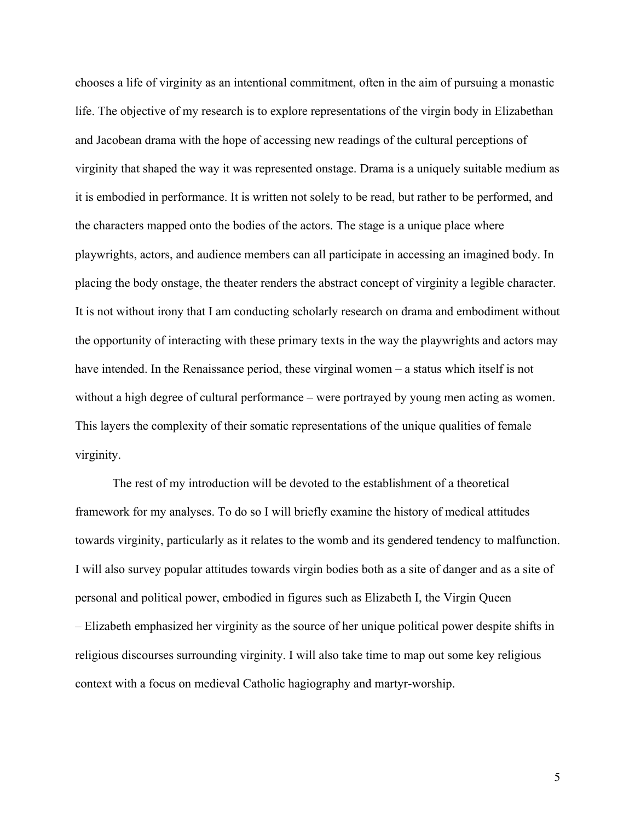chooses a life of virginity as an intentional commitment, often in the aim of pursuing a monastic life. The objective of my research is to explore representations of the virgin body in Elizabethan and Jacobean drama with the hope of accessing new readings of the cultural perceptions of virginity that shaped the way it was represented onstage. Drama is a uniquely suitable medium as it is embodied in performance. It is written not solely to be read, but rather to be performed, and the characters mapped onto the bodies of the actors. The stage is a unique place where playwrights, actors, and audience members can all participate in accessing an imagined body. In placing the body onstage, the theater renders the abstract concept of virginity a legible character. It is not without irony that I am conducting scholarly research on drama and embodiment without the opportunity of interacting with these primary texts in the way the playwrights and actors may have intended. In the Renaissance period, these virginal women – a status which itself is not without a high degree of cultural performance – were portrayed by young men acting as women. This layers the complexity of their somatic representations of the unique qualities of female virginity.

The rest of my introduction will be devoted to the establishment of a theoretical framework for my analyses. To do so I will briefly examine the history of medical attitudes towards virginity, particularly as it relates to the womb and its gendered tendency to malfunction. I will also survey popular attitudes towards virgin bodies both as a site of danger and as a site of personal and political power, embodied in figures such as Elizabeth I, the Virgin Queen – Elizabeth emphasized her virginity as the source of her unique political power despite shifts in religious discourses surrounding virginity. I will also take time to map out some key religious context with a focus on medieval Catholic hagiography and martyr-worship.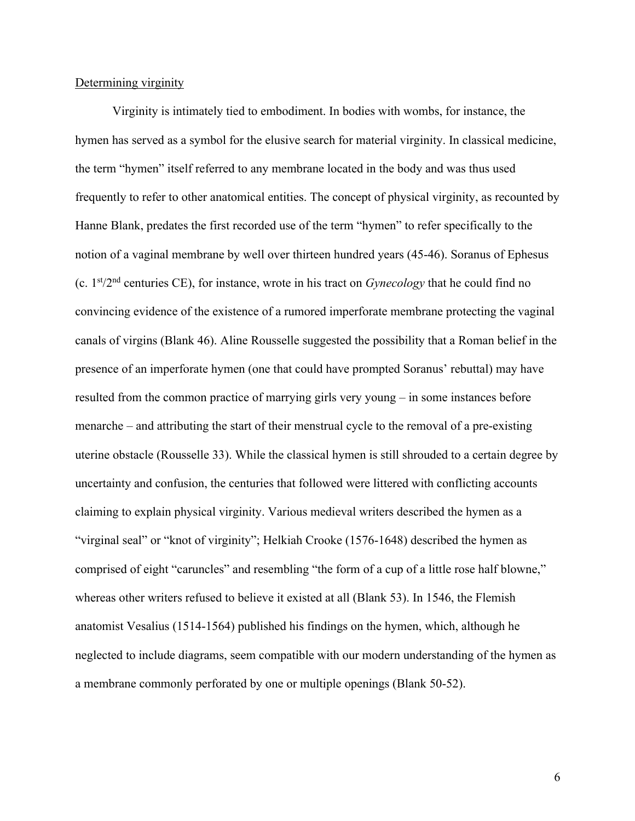#### Determining virginity

Virginity is intimately tied to embodiment. In bodies with wombs, for instance, the hymen has served as a symbol for the elusive search for material virginity. In classical medicine, the term "hymen" itself referred to any membrane located in the body and was thus used frequently to refer to other anatomical entities. The concept of physical virginity, as recounted by Hanne Blank, predates the first recorded use of the term "hymen" to refer specifically to the notion of a vaginal membrane by well over thirteen hundred years (45-46). Soranus of Ephesus (c. 1st/2nd centuries CE), for instance, wrote in his tract on *Gynecology* that he could find no convincing evidence of the existence of a rumored imperforate membrane protecting the vaginal canals of virgins (Blank 46). Aline Rousselle suggested the possibility that a Roman belief in the presence of an imperforate hymen (one that could have prompted Soranus' rebuttal) may have resulted from the common practice of marrying girls very young – in some instances before menarche – and attributing the start of their menstrual cycle to the removal of a pre-existing uterine obstacle (Rousselle 33). While the classical hymen is still shrouded to a certain degree by uncertainty and confusion, the centuries that followed were littered with conflicting accounts claiming to explain physical virginity. Various medieval writers described the hymen as a "virginal seal" or "knot of virginity"; Helkiah Crooke (1576-1648) described the hymen as comprised of eight "caruncles" and resembling "the form of a cup of a little rose half blowne," whereas other writers refused to believe it existed at all (Blank 53). In 1546, the Flemish anatomist Vesalius (1514-1564) published his findings on the hymen, which, although he neglected to include diagrams, seem compatible with our modern understanding of the hymen as a membrane commonly perforated by one or multiple openings (Blank 50-52).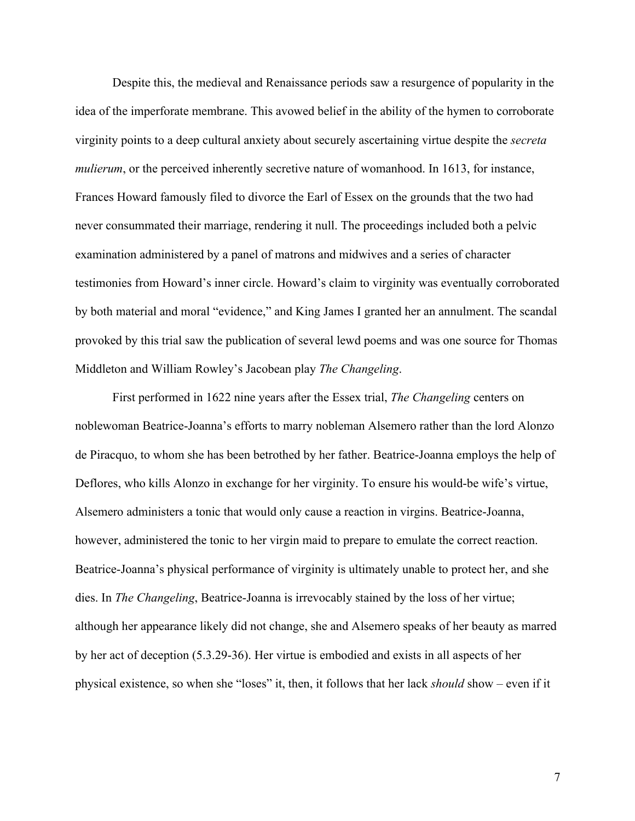Despite this, the medieval and Renaissance periods saw a resurgence of popularity in the idea of the imperforate membrane. This avowed belief in the ability of the hymen to corroborate virginity points to a deep cultural anxiety about securely ascertaining virtue despite the *secreta mulierum*, or the perceived inherently secretive nature of womanhood. In 1613, for instance, Frances Howard famously filed to divorce the Earl of Essex on the grounds that the two had never consummated their marriage, rendering it null. The proceedings included both a pelvic examination administered by a panel of matrons and midwives and a series of character testimonies from Howard's inner circle. Howard's claim to virginity was eventually corroborated by both material and moral "evidence," and King James I granted her an annulment. The scandal provoked by this trial saw the publication of several lewd poems and was one source for Thomas Middleton and William Rowley's Jacobean play *The Changeling*.

First performed in 1622 nine years after the Essex trial, *The Changeling* centers on noblewoman Beatrice-Joanna's efforts to marry nobleman Alsemero rather than the lord Alonzo de Piracquo, to whom she has been betrothed by her father. Beatrice-Joanna employs the help of Deflores, who kills Alonzo in exchange for her virginity. To ensure his would-be wife's virtue, Alsemero administers a tonic that would only cause a reaction in virgins. Beatrice-Joanna, however, administered the tonic to her virgin maid to prepare to emulate the correct reaction. Beatrice-Joanna's physical performance of virginity is ultimately unable to protect her, and she dies. In *The Changeling*, Beatrice-Joanna is irrevocably stained by the loss of her virtue; although her appearance likely did not change, she and Alsemero speaks of her beauty as marred by her act of deception (5.3.29-36). Her virtue is embodied and exists in all aspects of her physical existence, so when she "loses" it, then, it follows that her lack *should* show – even if it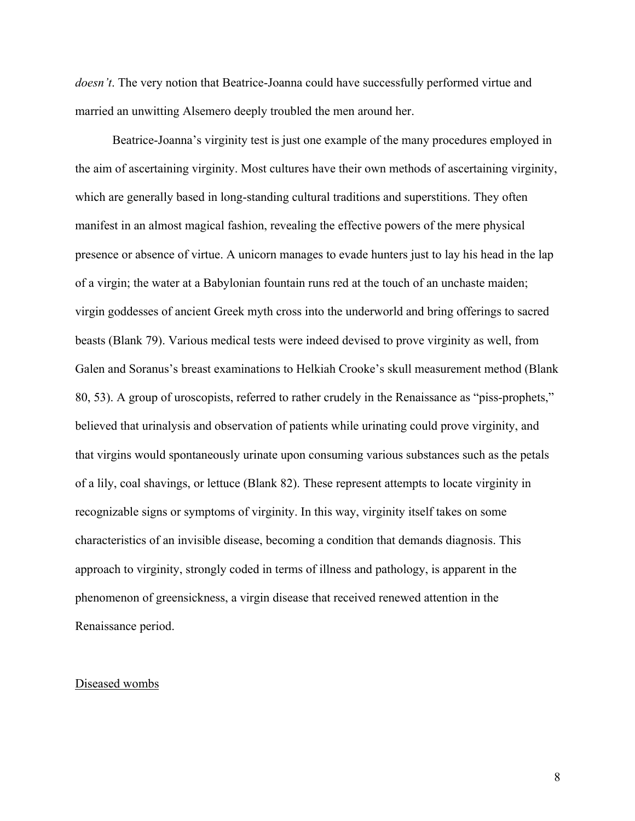*doesn't*. The very notion that Beatrice-Joanna could have successfully performed virtue and married an unwitting Alsemero deeply troubled the men around her.

Beatrice-Joanna's virginity test is just one example of the many procedures employed in the aim of ascertaining virginity. Most cultures have their own methods of ascertaining virginity, which are generally based in long-standing cultural traditions and superstitions. They often manifest in an almost magical fashion, revealing the effective powers of the mere physical presence or absence of virtue. A unicorn manages to evade hunters just to lay his head in the lap of a virgin; the water at a Babylonian fountain runs red at the touch of an unchaste maiden; virgin goddesses of ancient Greek myth cross into the underworld and bring offerings to sacred beasts (Blank 79). Various medical tests were indeed devised to prove virginity as well, from Galen and Soranus's breast examinations to Helkiah Crooke's skull measurement method (Blank 80, 53). A group of uroscopists, referred to rather crudely in the Renaissance as "piss-prophets," believed that urinalysis and observation of patients while urinating could prove virginity, and that virgins would spontaneously urinate upon consuming various substances such as the petals of a lily, coal shavings, or lettuce (Blank 82). These represent attempts to locate virginity in recognizable signs or symptoms of virginity. In this way, virginity itself takes on some characteristics of an invisible disease, becoming a condition that demands diagnosis. This approach to virginity, strongly coded in terms of illness and pathology, is apparent in the phenomenon of greensickness, a virgin disease that received renewed attention in the Renaissance period.

#### Diseased wombs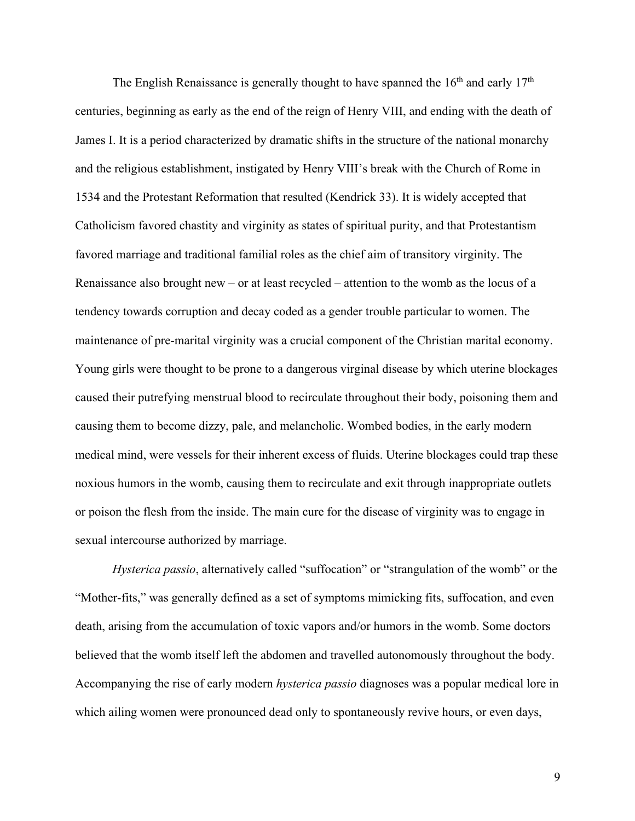The English Renaissance is generally thought to have spanned the  $16<sup>th</sup>$  and early  $17<sup>th</sup>$ centuries, beginning as early as the end of the reign of Henry VIII, and ending with the death of James I. It is a period characterized by dramatic shifts in the structure of the national monarchy and the religious establishment, instigated by Henry VIII's break with the Church of Rome in 1534 and the Protestant Reformation that resulted (Kendrick 33). It is widely accepted that Catholicism favored chastity and virginity as states of spiritual purity, and that Protestantism favored marriage and traditional familial roles as the chief aim of transitory virginity. The Renaissance also brought new – or at least recycled – attention to the womb as the locus of a tendency towards corruption and decay coded as a gender trouble particular to women. The maintenance of pre-marital virginity was a crucial component of the Christian marital economy. Young girls were thought to be prone to a dangerous virginal disease by which uterine blockages caused their putrefying menstrual blood to recirculate throughout their body, poisoning them and causing them to become dizzy, pale, and melancholic. Wombed bodies, in the early modern medical mind, were vessels for their inherent excess of fluids. Uterine blockages could trap these noxious humors in the womb, causing them to recirculate and exit through inappropriate outlets or poison the flesh from the inside. The main cure for the disease of virginity was to engage in sexual intercourse authorized by marriage.

*Hysterica passio*, alternatively called "suffocation" or "strangulation of the womb" or the "Mother-fits," was generally defined as a set of symptoms mimicking fits, suffocation, and even death, arising from the accumulation of toxic vapors and/or humors in the womb. Some doctors believed that the womb itself left the abdomen and travelled autonomously throughout the body. Accompanying the rise of early modern *hysterica passio* diagnoses was a popular medical lore in which ailing women were pronounced dead only to spontaneously revive hours, or even days,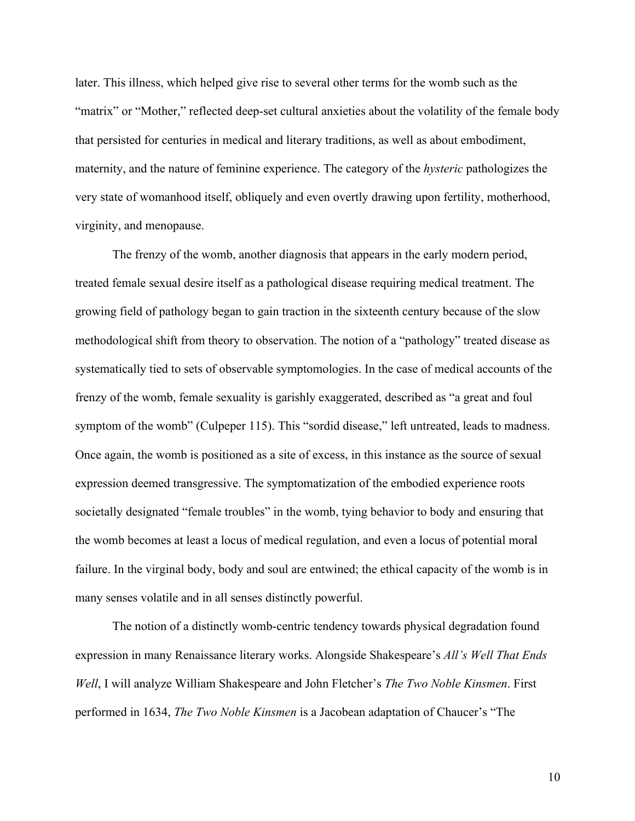later. This illness, which helped give rise to several other terms for the womb such as the "matrix" or "Mother," reflected deep-set cultural anxieties about the volatility of the female body that persisted for centuries in medical and literary traditions, as well as about embodiment, maternity, and the nature of feminine experience. The category of the *hysteric* pathologizes the very state of womanhood itself, obliquely and even overtly drawing upon fertility, motherhood, virginity, and menopause.

The frenzy of the womb, another diagnosis that appears in the early modern period, treated female sexual desire itself as a pathological disease requiring medical treatment. The growing field of pathology began to gain traction in the sixteenth century because of the slow methodological shift from theory to observation. The notion of a "pathology" treated disease as systematically tied to sets of observable symptomologies. In the case of medical accounts of the frenzy of the womb, female sexuality is garishly exaggerated, described as "a great and foul symptom of the womb" (Culpeper 115). This "sordid disease," left untreated, leads to madness. Once again, the womb is positioned as a site of excess, in this instance as the source of sexual expression deemed transgressive. The symptomatization of the embodied experience roots societally designated "female troubles" in the womb, tying behavior to body and ensuring that the womb becomes at least a locus of medical regulation, and even a locus of potential moral failure. In the virginal body, body and soul are entwined; the ethical capacity of the womb is in many senses volatile and in all senses distinctly powerful.

The notion of a distinctly womb-centric tendency towards physical degradation found expression in many Renaissance literary works. Alongside Shakespeare's *All's Well That Ends Well*, I will analyze William Shakespeare and John Fletcher's *The Two Noble Kinsmen*. First performed in 1634, *The Two Noble Kinsmen* is a Jacobean adaptation of Chaucer's "The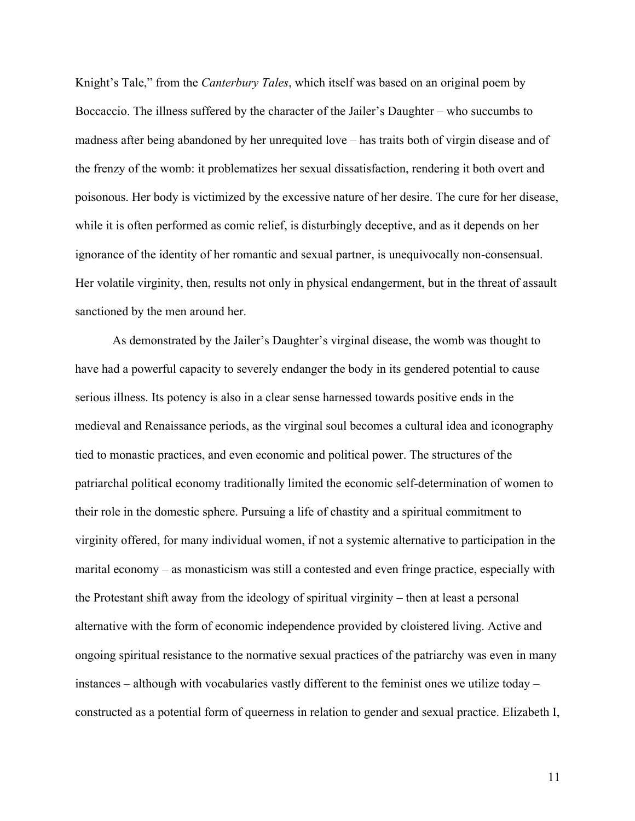Knight's Tale," from the *Canterbury Tales*, which itself was based on an original poem by Boccaccio. The illness suffered by the character of the Jailer's Daughter – who succumbs to madness after being abandoned by her unrequited love – has traits both of virgin disease and of the frenzy of the womb: it problematizes her sexual dissatisfaction, rendering it both overt and poisonous. Her body is victimized by the excessive nature of her desire. The cure for her disease, while it is often performed as comic relief, is disturbingly deceptive, and as it depends on her ignorance of the identity of her romantic and sexual partner, is unequivocally non-consensual. Her volatile virginity, then, results not only in physical endangerment, but in the threat of assault sanctioned by the men around her.

As demonstrated by the Jailer's Daughter's virginal disease, the womb was thought to have had a powerful capacity to severely endanger the body in its gendered potential to cause serious illness. Its potency is also in a clear sense harnessed towards positive ends in the medieval and Renaissance periods, as the virginal soul becomes a cultural idea and iconography tied to monastic practices, and even economic and political power. The structures of the patriarchal political economy traditionally limited the economic self-determination of women to their role in the domestic sphere. Pursuing a life of chastity and a spiritual commitment to virginity offered, for many individual women, if not a systemic alternative to participation in the marital economy – as monasticism was still a contested and even fringe practice, especially with the Protestant shift away from the ideology of spiritual virginity – then at least a personal alternative with the form of economic independence provided by cloistered living. Active and ongoing spiritual resistance to the normative sexual practices of the patriarchy was even in many instances – although with vocabularies vastly different to the feminist ones we utilize today – constructed as a potential form of queerness in relation to gender and sexual practice. Elizabeth I,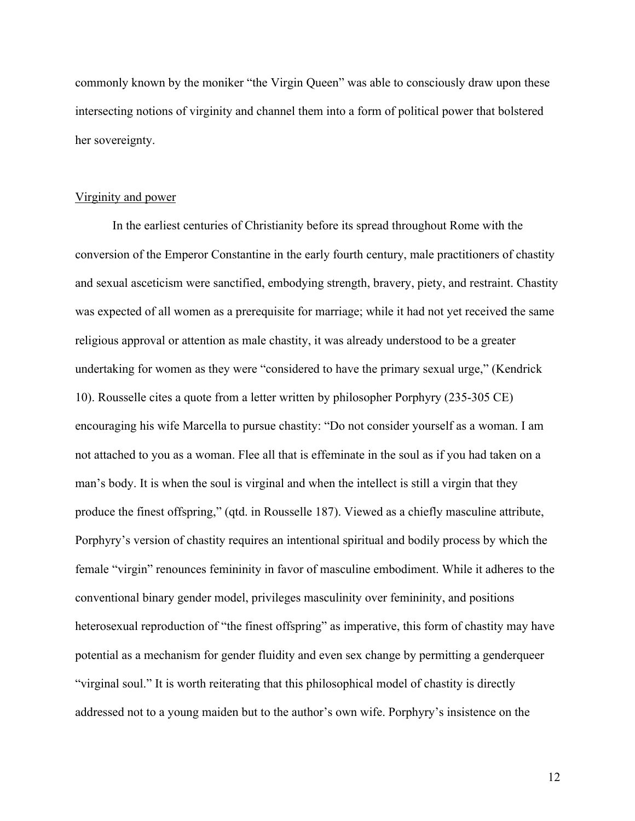commonly known by the moniker "the Virgin Queen" was able to consciously draw upon these intersecting notions of virginity and channel them into a form of political power that bolstered her sovereignty.

#### Virginity and power

In the earliest centuries of Christianity before its spread throughout Rome with the conversion of the Emperor Constantine in the early fourth century, male practitioners of chastity and sexual asceticism were sanctified, embodying strength, bravery, piety, and restraint. Chastity was expected of all women as a prerequisite for marriage; while it had not yet received the same religious approval or attention as male chastity, it was already understood to be a greater undertaking for women as they were "considered to have the primary sexual urge," (Kendrick 10). Rousselle cites a quote from a letter written by philosopher Porphyry (235-305 CE) encouraging his wife Marcella to pursue chastity: "Do not consider yourself as a woman. I am not attached to you as a woman. Flee all that is effeminate in the soul as if you had taken on a man's body. It is when the soul is virginal and when the intellect is still a virgin that they produce the finest offspring," (qtd. in Rousselle 187). Viewed as a chiefly masculine attribute, Porphyry's version of chastity requires an intentional spiritual and bodily process by which the female "virgin" renounces femininity in favor of masculine embodiment. While it adheres to the conventional binary gender model, privileges masculinity over femininity, and positions heterosexual reproduction of "the finest offspring" as imperative, this form of chastity may have potential as a mechanism for gender fluidity and even sex change by permitting a genderqueer "virginal soul." It is worth reiterating that this philosophical model of chastity is directly addressed not to a young maiden but to the author's own wife. Porphyry's insistence on the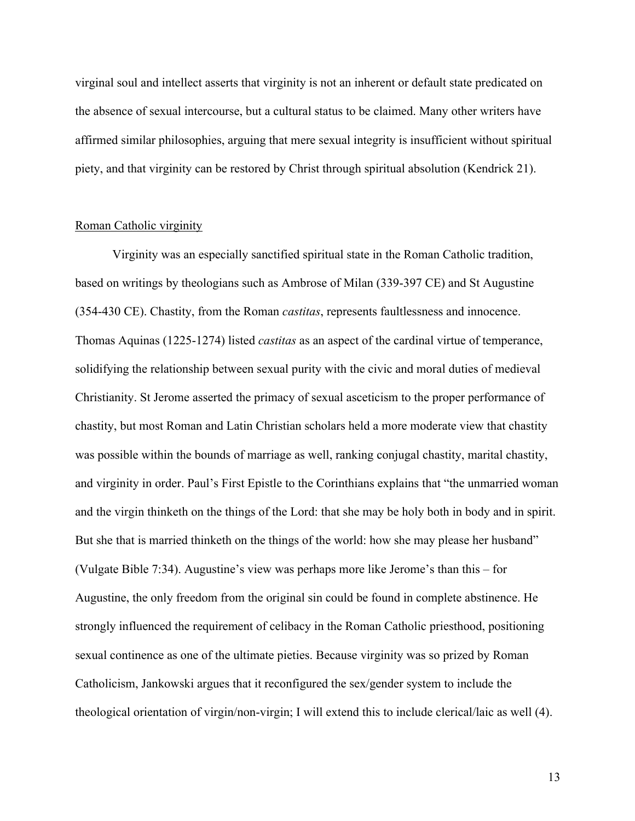virginal soul and intellect asserts that virginity is not an inherent or default state predicated on the absence of sexual intercourse, but a cultural status to be claimed. Many other writers have affirmed similar philosophies, arguing that mere sexual integrity is insufficient without spiritual piety, and that virginity can be restored by Christ through spiritual absolution (Kendrick 21).

#### Roman Catholic virginity

Virginity was an especially sanctified spiritual state in the Roman Catholic tradition, based on writings by theologians such as Ambrose of Milan (339-397 CE) and St Augustine (354-430 CE). Chastity, from the Roman *castitas*, represents faultlessness and innocence. Thomas Aquinas (1225-1274) listed *castitas* as an aspect of the cardinal virtue of temperance, solidifying the relationship between sexual purity with the civic and moral duties of medieval Christianity. St Jerome asserted the primacy of sexual asceticism to the proper performance of chastity, but most Roman and Latin Christian scholars held a more moderate view that chastity was possible within the bounds of marriage as well, ranking conjugal chastity, marital chastity, and virginity in order. Paul's First Epistle to the Corinthians explains that "the unmarried woman and the virgin thinketh on the things of the Lord: that she may be holy both in body and in spirit. But she that is married thinketh on the things of the world: how she may please her husband" (Vulgate Bible 7:34). Augustine's view was perhaps more like Jerome's than this – for Augustine, the only freedom from the original sin could be found in complete abstinence. He strongly influenced the requirement of celibacy in the Roman Catholic priesthood, positioning sexual continence as one of the ultimate pieties. Because virginity was so prized by Roman Catholicism, Jankowski argues that it reconfigured the sex/gender system to include the theological orientation of virgin/non-virgin; I will extend this to include clerical/laic as well (4).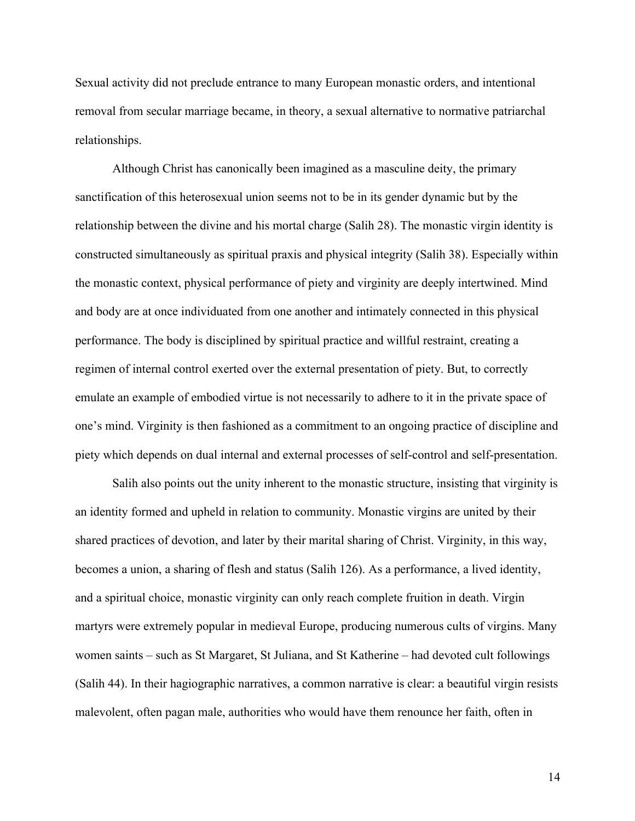Sexual activity did not preclude entrance to many European monastic orders, and intentional removal from secular marriage became, in theory, a sexual alternative to normative patriarchal relationships.

Although Christ has canonically been imagined as a masculine deity, the primary sanctification of this heterosexual union seems not to be in its gender dynamic but by the relationship between the divine and his mortal charge (Salih 28). The monastic virgin identity is constructed simultaneously as spiritual praxis and physical integrity (Salih 38). Especially within the monastic context, physical performance of piety and virginity are deeply intertwined. Mind and body are at once individuated from one another and intimately connected in this physical performance. The body is disciplined by spiritual practice and willful restraint, creating a regimen of internal control exerted over the external presentation of piety. But, to correctly emulate an example of embodied virtue is not necessarily to adhere to it in the private space of one's mind. Virginity is then fashioned as a commitment to an ongoing practice of discipline and piety which depends on dual internal and external processes of self-control and self-presentation.

Salih also points out the unity inherent to the monastic structure, insisting that virginity is an identity formed and upheld in relation to community. Monastic virgins are united by their shared practices of devotion, and later by their marital sharing of Christ. Virginity, in this way, becomes a union, a sharing of flesh and status (Salih 126). As a performance, a lived identity, and a spiritual choice, monastic virginity can only reach complete fruition in death. Virgin martyrs were extremely popular in medieval Europe, producing numerous cults of virgins. Many women saints – such as St Margaret, St Juliana, and St Katherine – had devoted cult followings (Salih 44). In their hagiographic narratives, a common narrative is clear: a beautiful virgin resists malevolent, often pagan male, authorities who would have them renounce her faith, often in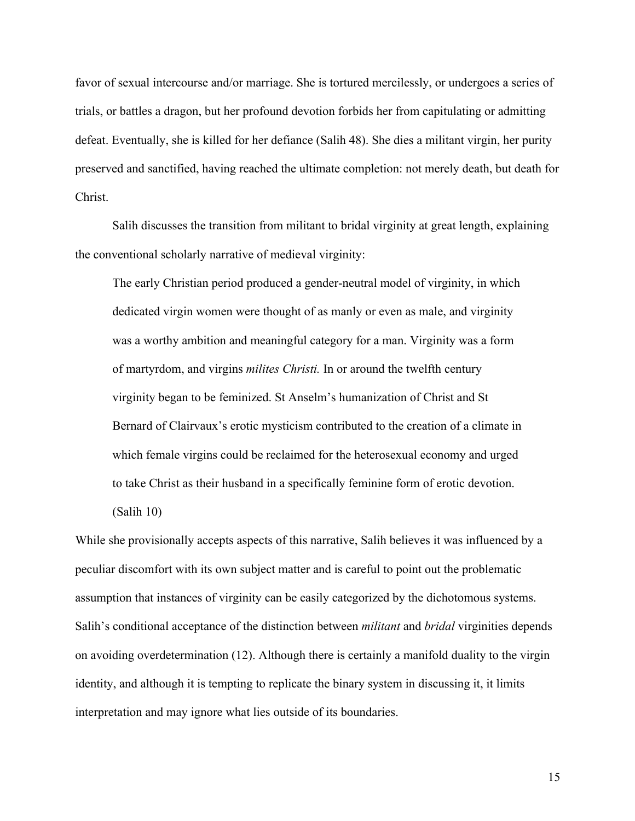favor of sexual intercourse and/or marriage. She is tortured mercilessly, or undergoes a series of trials, or battles a dragon, but her profound devotion forbids her from capitulating or admitting defeat. Eventually, she is killed for her defiance (Salih 48). She dies a militant virgin, her purity preserved and sanctified, having reached the ultimate completion: not merely death, but death for Christ.

Salih discusses the transition from militant to bridal virginity at great length, explaining the conventional scholarly narrative of medieval virginity:

The early Christian period produced a gender-neutral model of virginity, in which dedicated virgin women were thought of as manly or even as male, and virginity was a worthy ambition and meaningful category for a man. Virginity was a form of martyrdom, and virgins *milites Christi.* In or around the twelfth century virginity began to be feminized. St Anselm's humanization of Christ and St Bernard of Clairvaux's erotic mysticism contributed to the creation of a climate in which female virgins could be reclaimed for the heterosexual economy and urged to take Christ as their husband in a specifically feminine form of erotic devotion.

(Salih 10)

While she provisionally accepts aspects of this narrative, Salih believes it was influenced by a peculiar discomfort with its own subject matter and is careful to point out the problematic assumption that instances of virginity can be easily categorized by the dichotomous systems. Salih's conditional acceptance of the distinction between *militant* and *bridal* virginities depends on avoiding overdetermination (12). Although there is certainly a manifold duality to the virgin identity, and although it is tempting to replicate the binary system in discussing it, it limits interpretation and may ignore what lies outside of its boundaries.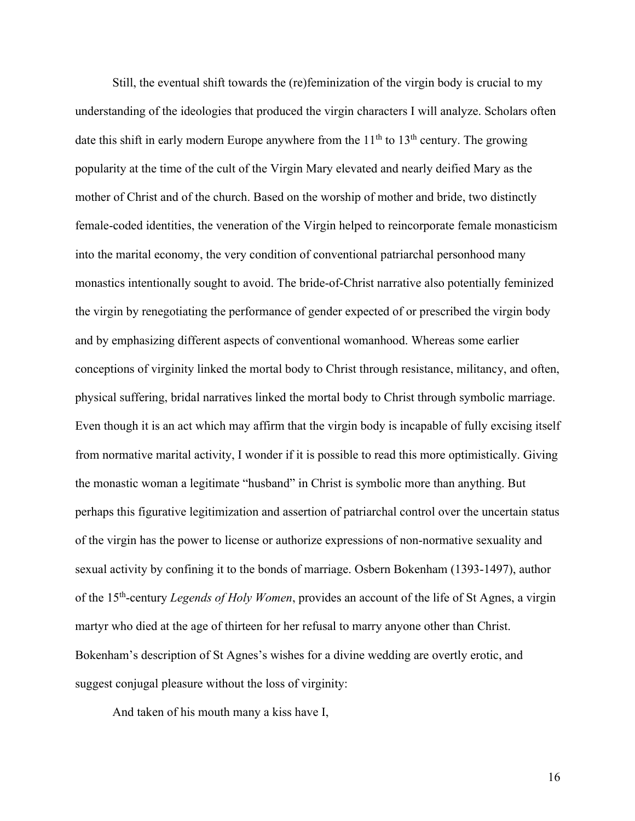Still, the eventual shift towards the (re)feminization of the virgin body is crucial to my understanding of the ideologies that produced the virgin characters I will analyze. Scholars often date this shift in early modern Europe anywhere from the  $11<sup>th</sup>$  to  $13<sup>th</sup>$  century. The growing popularity at the time of the cult of the Virgin Mary elevated and nearly deified Mary as the mother of Christ and of the church. Based on the worship of mother and bride, two distinctly female-coded identities, the veneration of the Virgin helped to reincorporate female monasticism into the marital economy, the very condition of conventional patriarchal personhood many monastics intentionally sought to avoid. The bride-of-Christ narrative also potentially feminized the virgin by renegotiating the performance of gender expected of or prescribed the virgin body and by emphasizing different aspects of conventional womanhood. Whereas some earlier conceptions of virginity linked the mortal body to Christ through resistance, militancy, and often, physical suffering, bridal narratives linked the mortal body to Christ through symbolic marriage. Even though it is an act which may affirm that the virgin body is incapable of fully excising itself from normative marital activity, I wonder if it is possible to read this more optimistically. Giving the monastic woman a legitimate "husband" in Christ is symbolic more than anything. But perhaps this figurative legitimization and assertion of patriarchal control over the uncertain status of the virgin has the power to license or authorize expressions of non-normative sexuality and sexual activity by confining it to the bonds of marriage. Osbern Bokenham (1393-1497), author of the 15th-century *Legends of Holy Women*, provides an account of the life of St Agnes, a virgin martyr who died at the age of thirteen for her refusal to marry anyone other than Christ. Bokenham's description of St Agnes's wishes for a divine wedding are overtly erotic, and suggest conjugal pleasure without the loss of virginity:

And taken of his mouth many a kiss have I,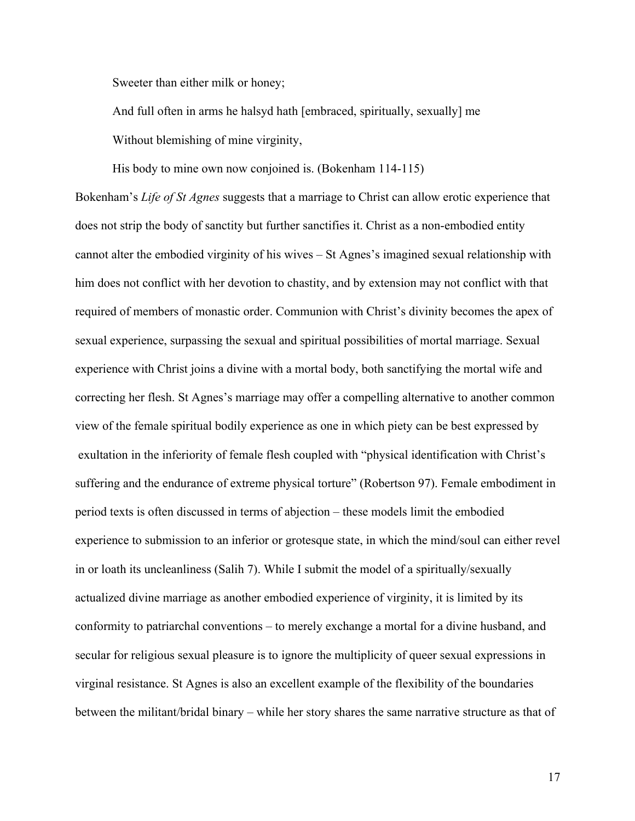Sweeter than either milk or honey;

And full often in arms he halsyd hath [embraced, spiritually, sexually] me

Without blemishing of mine virginity,

His body to mine own now conjoined is. (Bokenham 114-115)

Bokenham's *Life of St Agnes* suggests that a marriage to Christ can allow erotic experience that does not strip the body of sanctity but further sanctifies it. Christ as a non-embodied entity cannot alter the embodied virginity of his wives – St Agnes's imagined sexual relationship with him does not conflict with her devotion to chastity, and by extension may not conflict with that required of members of monastic order. Communion with Christ's divinity becomes the apex of sexual experience, surpassing the sexual and spiritual possibilities of mortal marriage. Sexual experience with Christ joins a divine with a mortal body, both sanctifying the mortal wife and correcting her flesh. St Agnes's marriage may offer a compelling alternative to another common view of the female spiritual bodily experience as one in which piety can be best expressed by exultation in the inferiority of female flesh coupled with "physical identification with Christ's suffering and the endurance of extreme physical torture" (Robertson 97). Female embodiment in period texts is often discussed in terms of abjection – these models limit the embodied experience to submission to an inferior or grotesque state, in which the mind/soul can either revel in or loath its uncleanliness (Salih 7). While I submit the model of a spiritually/sexually actualized divine marriage as another embodied experience of virginity, it is limited by its conformity to patriarchal conventions – to merely exchange a mortal for a divine husband, and secular for religious sexual pleasure is to ignore the multiplicity of queer sexual expressions in virginal resistance. St Agnes is also an excellent example of the flexibility of the boundaries between the militant/bridal binary – while her story shares the same narrative structure as that of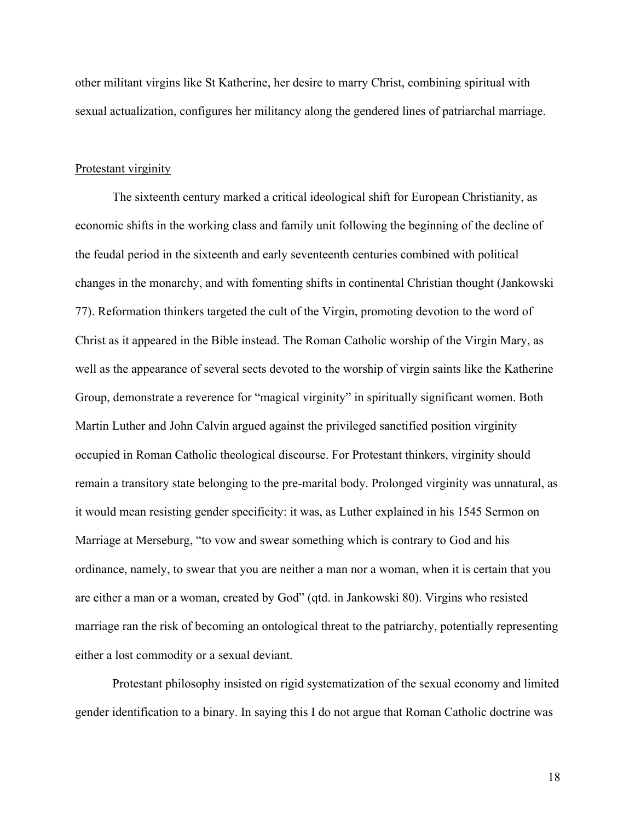other militant virgins like St Katherine, her desire to marry Christ, combining spiritual with sexual actualization, configures her militancy along the gendered lines of patriarchal marriage.

#### Protestant virginity

The sixteenth century marked a critical ideological shift for European Christianity, as economic shifts in the working class and family unit following the beginning of the decline of the feudal period in the sixteenth and early seventeenth centuries combined with political changes in the monarchy, and with fomenting shifts in continental Christian thought (Jankowski 77). Reformation thinkers targeted the cult of the Virgin, promoting devotion to the word of Christ as it appeared in the Bible instead. The Roman Catholic worship of the Virgin Mary, as well as the appearance of several sects devoted to the worship of virgin saints like the Katherine Group, demonstrate a reverence for "magical virginity" in spiritually significant women. Both Martin Luther and John Calvin argued against the privileged sanctified position virginity occupied in Roman Catholic theological discourse. For Protestant thinkers, virginity should remain a transitory state belonging to the pre-marital body. Prolonged virginity was unnatural, as it would mean resisting gender specificity: it was, as Luther explained in his 1545 Sermon on Marriage at Merseburg, "to vow and swear something which is contrary to God and his ordinance, namely, to swear that you are neither a man nor a woman, when it is certain that you are either a man or a woman, created by God" (qtd. in Jankowski 80). Virgins who resisted marriage ran the risk of becoming an ontological threat to the patriarchy, potentially representing either a lost commodity or a sexual deviant.

Protestant philosophy insisted on rigid systematization of the sexual economy and limited gender identification to a binary. In saying this I do not argue that Roman Catholic doctrine was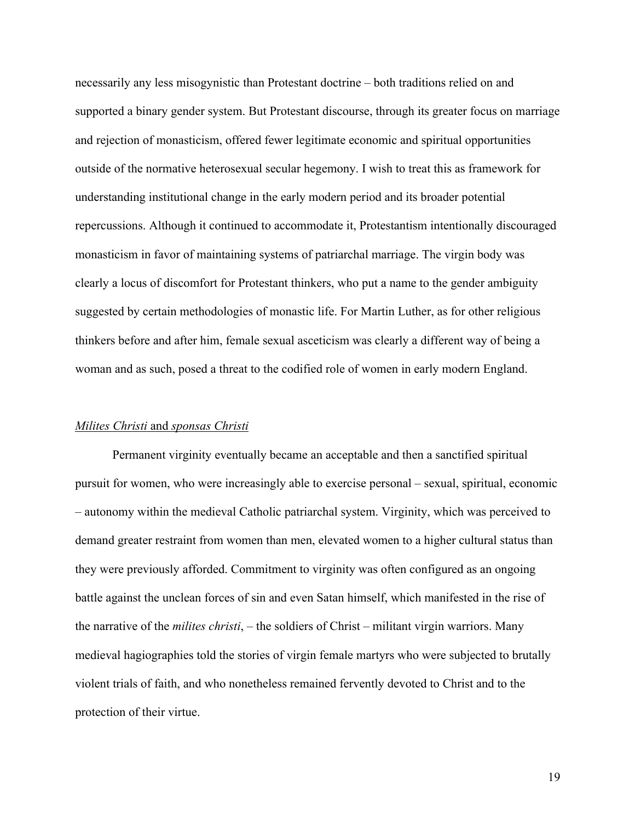necessarily any less misogynistic than Protestant doctrine – both traditions relied on and supported a binary gender system. But Protestant discourse, through its greater focus on marriage and rejection of monasticism, offered fewer legitimate economic and spiritual opportunities outside of the normative heterosexual secular hegemony. I wish to treat this as framework for understanding institutional change in the early modern period and its broader potential repercussions. Although it continued to accommodate it, Protestantism intentionally discouraged monasticism in favor of maintaining systems of patriarchal marriage. The virgin body was clearly a locus of discomfort for Protestant thinkers, who put a name to the gender ambiguity suggested by certain methodologies of monastic life. For Martin Luther, as for other religious thinkers before and after him, female sexual asceticism was clearly a different way of being a woman and as such, posed a threat to the codified role of women in early modern England.

#### *Milites Christi* and *sponsas Christi*

Permanent virginity eventually became an acceptable and then a sanctified spiritual pursuit for women, who were increasingly able to exercise personal – sexual, spiritual, economic – autonomy within the medieval Catholic patriarchal system. Virginity, which was perceived to demand greater restraint from women than men, elevated women to a higher cultural status than they were previously afforded. Commitment to virginity was often configured as an ongoing battle against the unclean forces of sin and even Satan himself, which manifested in the rise of the narrative of the *milites christi*, – the soldiers of Christ – militant virgin warriors. Many medieval hagiographies told the stories of virgin female martyrs who were subjected to brutally violent trials of faith, and who nonetheless remained fervently devoted to Christ and to the protection of their virtue.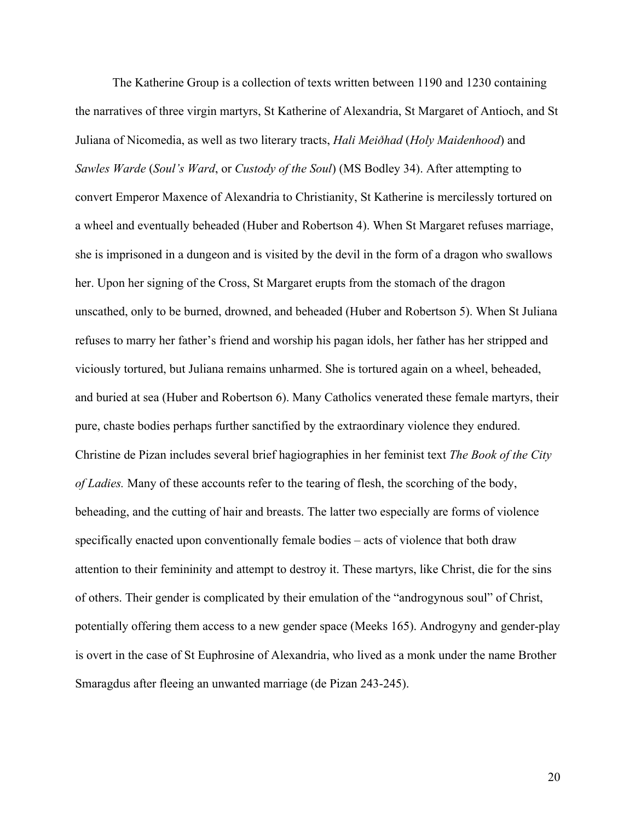The Katherine Group is a collection of texts written between 1190 and 1230 containing the narratives of three virgin martyrs, St Katherine of Alexandria, St Margaret of Antioch, and St Juliana of Nicomedia, as well as two literary tracts, *Hali Meiðhad* (*Holy Maidenhood*) and *Sawles Warde* (*Soul's Ward*, or *Custody of the Soul*) (MS Bodley 34). After attempting to convert Emperor Maxence of Alexandria to Christianity, St Katherine is mercilessly tortured on a wheel and eventually beheaded (Huber and Robertson 4). When St Margaret refuses marriage, she is imprisoned in a dungeon and is visited by the devil in the form of a dragon who swallows her. Upon her signing of the Cross, St Margaret erupts from the stomach of the dragon unscathed, only to be burned, drowned, and beheaded (Huber and Robertson 5). When St Juliana refuses to marry her father's friend and worship his pagan idols, her father has her stripped and viciously tortured, but Juliana remains unharmed. She is tortured again on a wheel, beheaded, and buried at sea (Huber and Robertson 6). Many Catholics venerated these female martyrs, their pure, chaste bodies perhaps further sanctified by the extraordinary violence they endured. Christine de Pizan includes several brief hagiographies in her feminist text *The Book of the City of Ladies.* Many of these accounts refer to the tearing of flesh, the scorching of the body, beheading, and the cutting of hair and breasts. The latter two especially are forms of violence specifically enacted upon conventionally female bodies – acts of violence that both draw attention to their femininity and attempt to destroy it. These martyrs, like Christ, die for the sins of others. Their gender is complicated by their emulation of the "androgynous soul" of Christ, potentially offering them access to a new gender space (Meeks 165). Androgyny and gender-play is overt in the case of St Euphrosine of Alexandria, who lived as a monk under the name Brother Smaragdus after fleeing an unwanted marriage (de Pizan 243-245).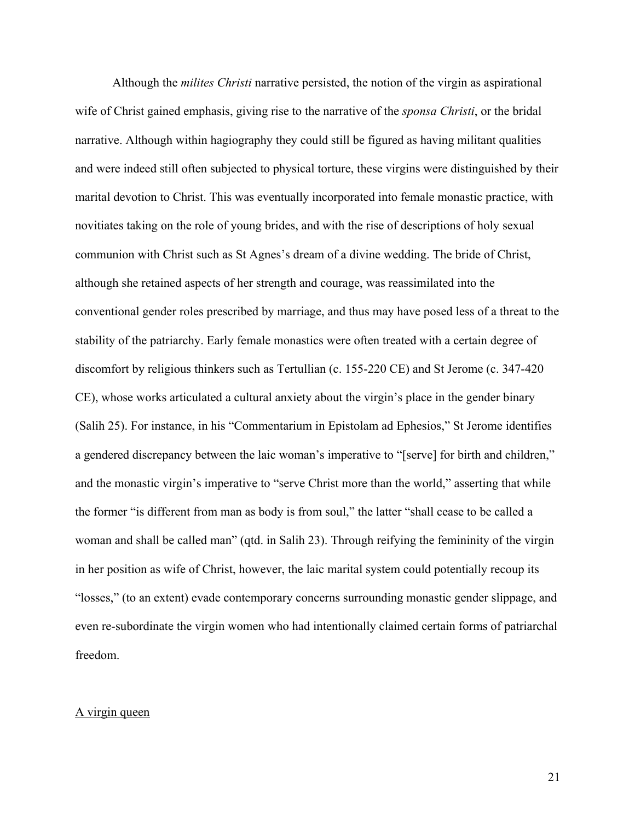Although the *milites Christi* narrative persisted, the notion of the virgin as aspirational wife of Christ gained emphasis, giving rise to the narrative of the *sponsa Christi*, or the bridal narrative. Although within hagiography they could still be figured as having militant qualities and were indeed still often subjected to physical torture, these virgins were distinguished by their marital devotion to Christ. This was eventually incorporated into female monastic practice, with novitiates taking on the role of young brides, and with the rise of descriptions of holy sexual communion with Christ such as St Agnes's dream of a divine wedding. The bride of Christ, although she retained aspects of her strength and courage, was reassimilated into the conventional gender roles prescribed by marriage, and thus may have posed less of a threat to the stability of the patriarchy. Early female monastics were often treated with a certain degree of discomfort by religious thinkers such as Tertullian (c. 155-220 CE) and St Jerome (c. 347-420 CE), whose works articulated a cultural anxiety about the virgin's place in the gender binary (Salih 25). For instance, in his "Commentarium in Epistolam ad Ephesios," St Jerome identifies a gendered discrepancy between the laic woman's imperative to "[serve] for birth and children," and the monastic virgin's imperative to "serve Christ more than the world," asserting that while the former "is different from man as body is from soul," the latter "shall cease to be called a woman and shall be called man" (qtd. in Salih 23). Through reifying the femininity of the virgin in her position as wife of Christ, however, the laic marital system could potentially recoup its "losses," (to an extent) evade contemporary concerns surrounding monastic gender slippage, and even re-subordinate the virgin women who had intentionally claimed certain forms of patriarchal freedom.

### A virgin queen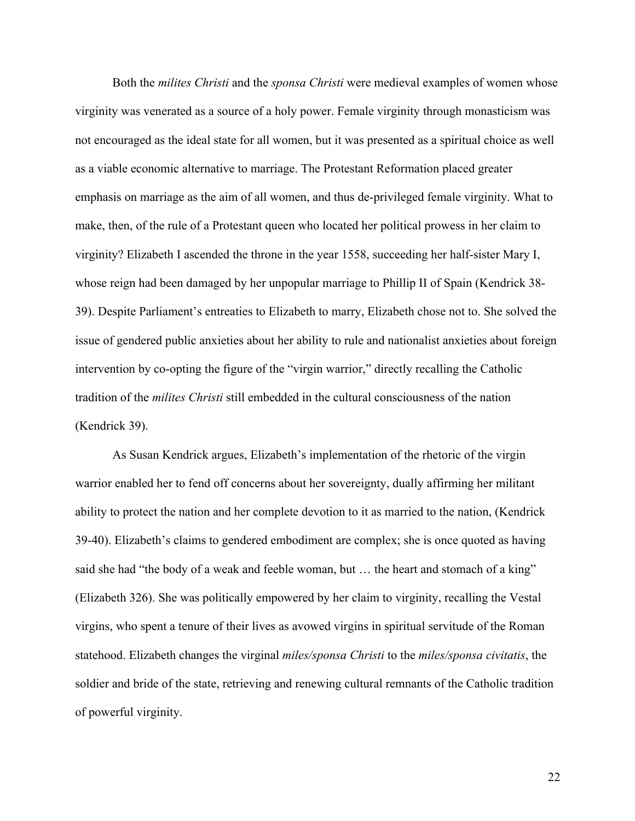Both the *milites Christi* and the *sponsa Christi* were medieval examples of women whose virginity was venerated as a source of a holy power. Female virginity through monasticism was not encouraged as the ideal state for all women, but it was presented as a spiritual choice as well as a viable economic alternative to marriage. The Protestant Reformation placed greater emphasis on marriage as the aim of all women, and thus de-privileged female virginity. What to make, then, of the rule of a Protestant queen who located her political prowess in her claim to virginity? Elizabeth I ascended the throne in the year 1558, succeeding her half-sister Mary I, whose reign had been damaged by her unpopular marriage to Phillip II of Spain (Kendrick 38- 39). Despite Parliament's entreaties to Elizabeth to marry, Elizabeth chose not to. She solved the issue of gendered public anxieties about her ability to rule and nationalist anxieties about foreign intervention by co-opting the figure of the "virgin warrior," directly recalling the Catholic tradition of the *milites Christi* still embedded in the cultural consciousness of the nation (Kendrick 39).

As Susan Kendrick argues, Elizabeth's implementation of the rhetoric of the virgin warrior enabled her to fend off concerns about her sovereignty, dually affirming her militant ability to protect the nation and her complete devotion to it as married to the nation, (Kendrick 39-40). Elizabeth's claims to gendered embodiment are complex; she is once quoted as having said she had "the body of a weak and feeble woman, but … the heart and stomach of a king" (Elizabeth 326). She was politically empowered by her claim to virginity, recalling the Vestal virgins, who spent a tenure of their lives as avowed virgins in spiritual servitude of the Roman statehood. Elizabeth changes the virginal *miles/sponsa Christi* to the *miles/sponsa civitatis*, the soldier and bride of the state, retrieving and renewing cultural remnants of the Catholic tradition of powerful virginity.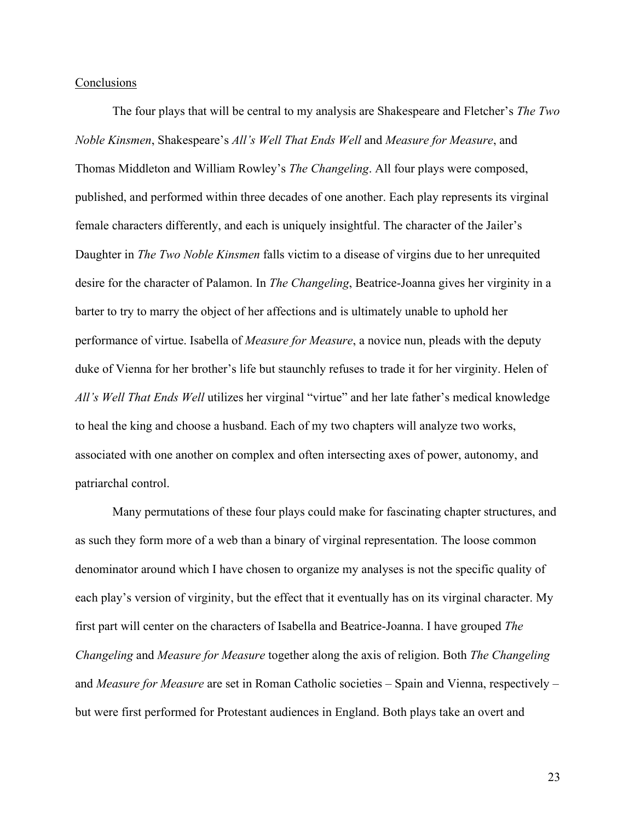#### Conclusions

The four plays that will be central to my analysis are Shakespeare and Fletcher's *The Two Noble Kinsmen*, Shakespeare's *All's Well That Ends Well* and *Measure for Measure*, and Thomas Middleton and William Rowley's *The Changeling*. All four plays were composed, published, and performed within three decades of one another. Each play represents its virginal female characters differently, and each is uniquely insightful. The character of the Jailer's Daughter in *The Two Noble Kinsmen* falls victim to a disease of virgins due to her unrequited desire for the character of Palamon. In *The Changeling*, Beatrice-Joanna gives her virginity in a barter to try to marry the object of her affections and is ultimately unable to uphold her performance of virtue. Isabella of *Measure for Measure*, a novice nun, pleads with the deputy duke of Vienna for her brother's life but staunchly refuses to trade it for her virginity. Helen of *All's Well That Ends Well* utilizes her virginal "virtue" and her late father's medical knowledge to heal the king and choose a husband. Each of my two chapters will analyze two works, associated with one another on complex and often intersecting axes of power, autonomy, and patriarchal control.

Many permutations of these four plays could make for fascinating chapter structures, and as such they form more of a web than a binary of virginal representation. The loose common denominator around which I have chosen to organize my analyses is not the specific quality of each play's version of virginity, but the effect that it eventually has on its virginal character. My first part will center on the characters of Isabella and Beatrice-Joanna. I have grouped *The Changeling* and *Measure for Measure* together along the axis of religion. Both *The Changeling* and *Measure for Measure* are set in Roman Catholic societies – Spain and Vienna, respectively – but were first performed for Protestant audiences in England. Both plays take an overt and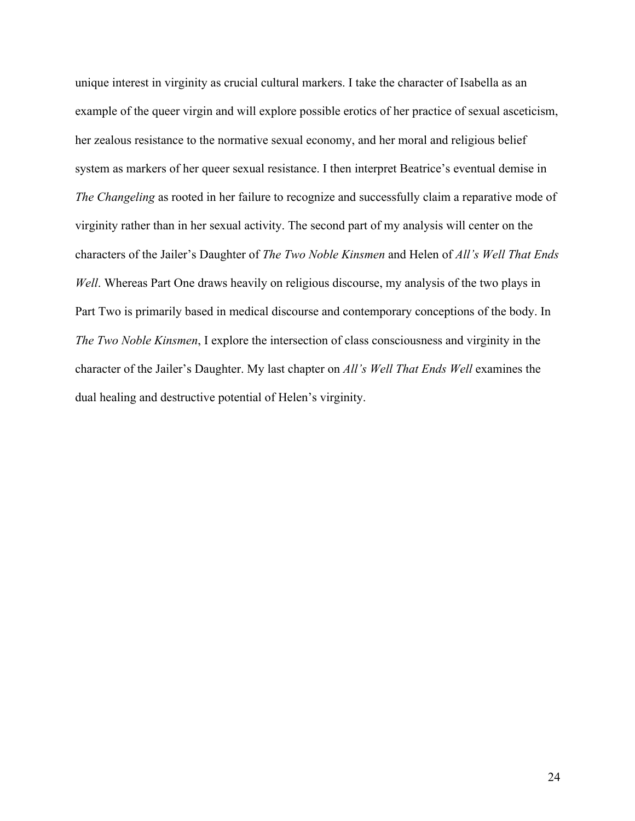unique interest in virginity as crucial cultural markers. I take the character of Isabella as an example of the queer virgin and will explore possible erotics of her practice of sexual asceticism, her zealous resistance to the normative sexual economy, and her moral and religious belief system as markers of her queer sexual resistance. I then interpret Beatrice's eventual demise in *The Changeling* as rooted in her failure to recognize and successfully claim a reparative mode of virginity rather than in her sexual activity. The second part of my analysis will center on the characters of the Jailer's Daughter of *The Two Noble Kinsmen* and Helen of *All's Well That Ends Well*. Whereas Part One draws heavily on religious discourse, my analysis of the two plays in Part Two is primarily based in medical discourse and contemporary conceptions of the body. In *The Two Noble Kinsmen*, I explore the intersection of class consciousness and virginity in the character of the Jailer's Daughter. My last chapter on *All's Well That Ends Well* examines the dual healing and destructive potential of Helen's virginity.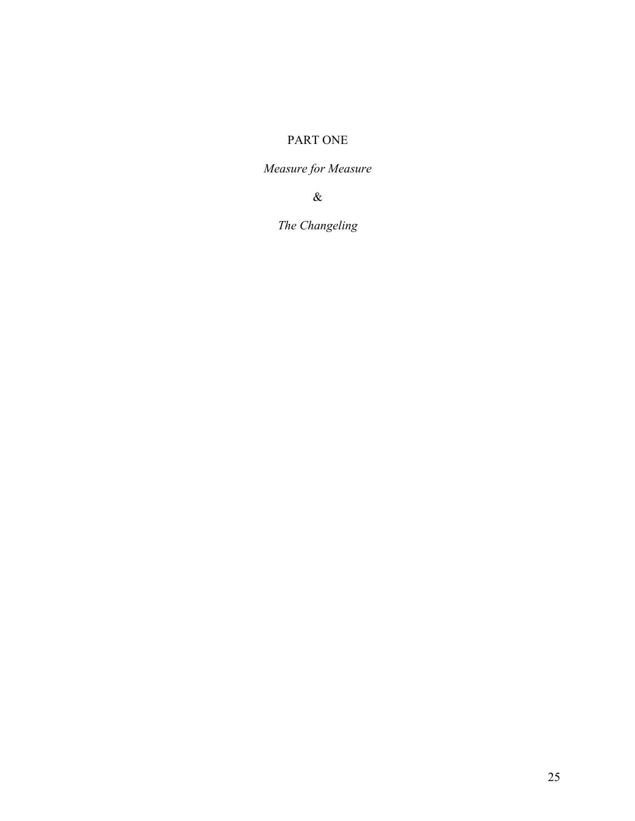## PART ONE

*Measure for Measure*

&

*The Changeling*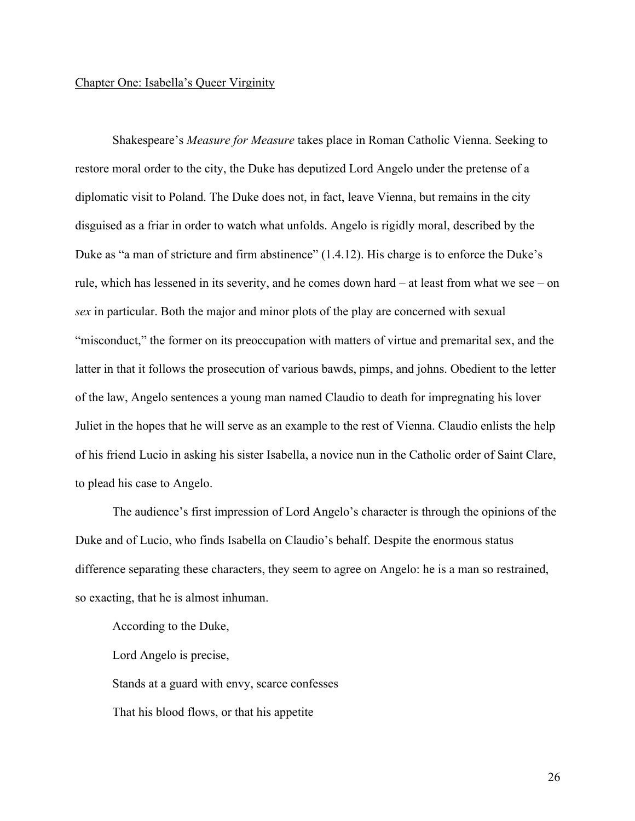#### Chapter One: Isabella's Queer Virginity

Shakespeare's *Measure for Measure* takes place in Roman Catholic Vienna. Seeking to restore moral order to the city, the Duke has deputized Lord Angelo under the pretense of a diplomatic visit to Poland. The Duke does not, in fact, leave Vienna, but remains in the city disguised as a friar in order to watch what unfolds. Angelo is rigidly moral, described by the Duke as "a man of stricture and firm abstinence" (1.4.12). His charge is to enforce the Duke's rule, which has lessened in its severity, and he comes down hard – at least from what we see – on *sex* in particular. Both the major and minor plots of the play are concerned with sexual "misconduct," the former on its preoccupation with matters of virtue and premarital sex, and the latter in that it follows the prosecution of various bawds, pimps, and johns. Obedient to the letter of the law, Angelo sentences a young man named Claudio to death for impregnating his lover Juliet in the hopes that he will serve as an example to the rest of Vienna. Claudio enlists the help of his friend Lucio in asking his sister Isabella, a novice nun in the Catholic order of Saint Clare, to plead his case to Angelo.

The audience's first impression of Lord Angelo's character is through the opinions of the Duke and of Lucio, who finds Isabella on Claudio's behalf. Despite the enormous status difference separating these characters, they seem to agree on Angelo: he is a man so restrained, so exacting, that he is almost inhuman.

According to the Duke,

Lord Angelo is precise,

Stands at a guard with envy, scarce confesses

That his blood flows, or that his appetite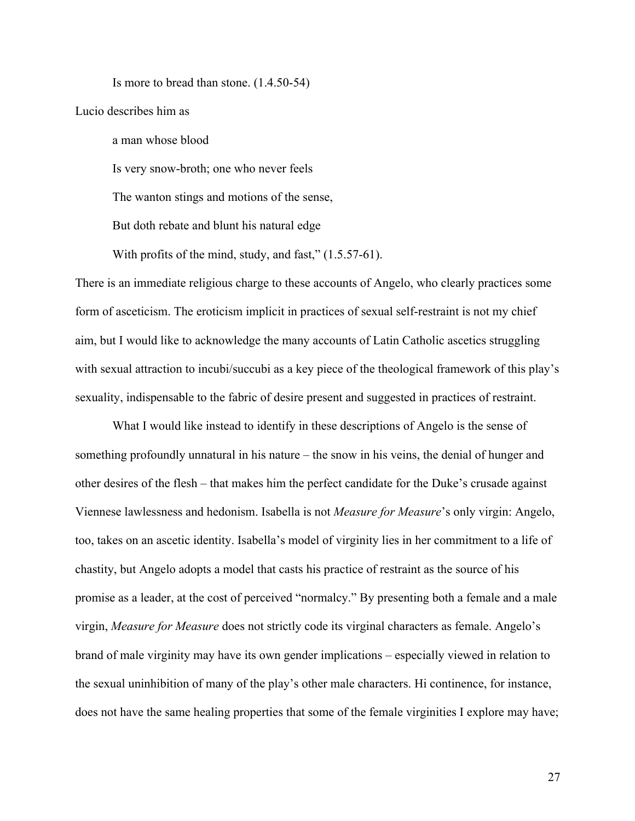Is more to bread than stone. (1.4.50-54)

Lucio describes him as

a man whose blood

Is very snow-broth; one who never feels

The wanton stings and motions of the sense,

But doth rebate and blunt his natural edge

With profits of the mind, study, and fast,"  $(1.5.57-61)$ .

There is an immediate religious charge to these accounts of Angelo, who clearly practices some form of asceticism. The eroticism implicit in practices of sexual self-restraint is not my chief aim, but I would like to acknowledge the many accounts of Latin Catholic ascetics struggling with sexual attraction to incubi/succubi as a key piece of the theological framework of this play's sexuality, indispensable to the fabric of desire present and suggested in practices of restraint.

What I would like instead to identify in these descriptions of Angelo is the sense of something profoundly unnatural in his nature – the snow in his veins, the denial of hunger and other desires of the flesh – that makes him the perfect candidate for the Duke's crusade against Viennese lawlessness and hedonism. Isabella is not *Measure for Measure*'s only virgin: Angelo, too, takes on an ascetic identity. Isabella's model of virginity lies in her commitment to a life of chastity, but Angelo adopts a model that casts his practice of restraint as the source of his promise as a leader, at the cost of perceived "normalcy." By presenting both a female and a male virgin, *Measure for Measure* does not strictly code its virginal characters as female. Angelo's brand of male virginity may have its own gender implications – especially viewed in relation to the sexual uninhibition of many of the play's other male characters. Hi continence, for instance, does not have the same healing properties that some of the female virginities I explore may have;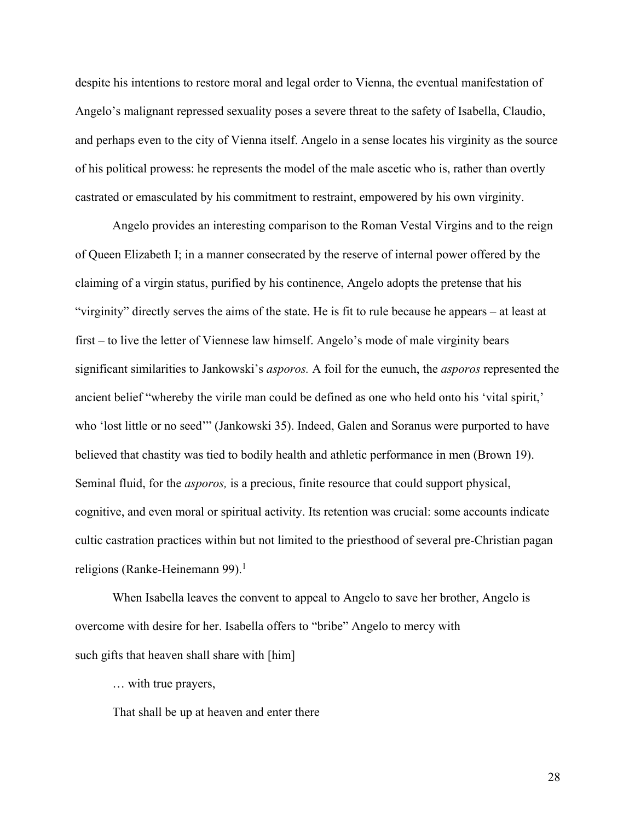despite his intentions to restore moral and legal order to Vienna, the eventual manifestation of Angelo's malignant repressed sexuality poses a severe threat to the safety of Isabella, Claudio, and perhaps even to the city of Vienna itself. Angelo in a sense locates his virginity as the source of his political prowess: he represents the model of the male ascetic who is, rather than overtly castrated or emasculated by his commitment to restraint, empowered by his own virginity.

Angelo provides an interesting comparison to the Roman Vestal Virgins and to the reign of Queen Elizabeth I; in a manner consecrated by the reserve of internal power offered by the claiming of a virgin status, purified by his continence, Angelo adopts the pretense that his "virginity" directly serves the aims of the state. He is fit to rule because he appears – at least at first – to live the letter of Viennese law himself. Angelo's mode of male virginity bears significant similarities to Jankowski's *asporos.* A foil for the eunuch, the *asporos* represented the ancient belief "whereby the virile man could be defined as one who held onto his 'vital spirit,' who 'lost little or no seed'" (Jankowski 35). Indeed, Galen and Soranus were purported to have believed that chastity was tied to bodily health and athletic performance in men (Brown 19). Seminal fluid, for the *asporos,* is a precious, finite resource that could support physical, cognitive, and even moral or spiritual activity. Its retention was crucial: some accounts indicate cultic castration practices within but not limited to the priesthood of several pre-Christian pagan religions (Ranke-Heinemann 99). 1

When Isabella leaves the convent to appeal to Angelo to save her brother, Angelo is overcome with desire for her. Isabella offers to "bribe" Angelo to mercy with such gifts that heaven shall share with [him]

… with true prayers,

That shall be up at heaven and enter there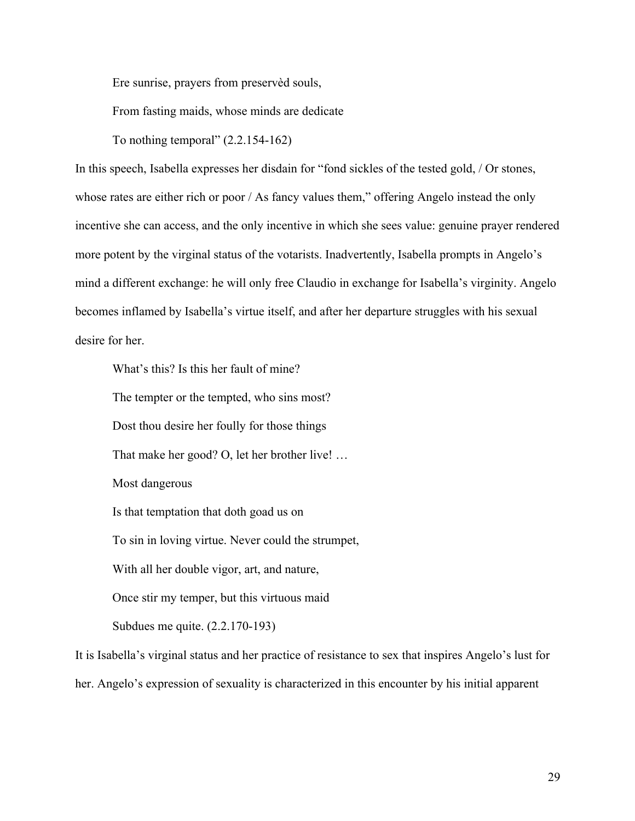Ere sunrise, prayers from preservèd souls,

From fasting maids, whose minds are dedicate

To nothing temporal"  $(2.2.154-162)$ 

In this speech, Isabella expresses her disdain for "fond sickles of the tested gold, / Or stones, whose rates are either rich or poor / As fancy values them," offering Angelo instead the only incentive she can access, and the only incentive in which she sees value: genuine prayer rendered more potent by the virginal status of the votarists. Inadvertently, Isabella prompts in Angelo's mind a different exchange: he will only free Claudio in exchange for Isabella's virginity. Angelo becomes inflamed by Isabella's virtue itself, and after her departure struggles with his sexual desire for her.

What's this? Is this her fault of mine?

The tempter or the tempted, who sins most?

Dost thou desire her foully for those things

That make her good? O, let her brother live! …

Most dangerous

Is that temptation that doth goad us on

To sin in loving virtue. Never could the strumpet,

With all her double vigor, art, and nature,

Once stir my temper, but this virtuous maid

Subdues me quite. (2.2.170-193)

It is Isabella's virginal status and her practice of resistance to sex that inspires Angelo's lust for her. Angelo's expression of sexuality is characterized in this encounter by his initial apparent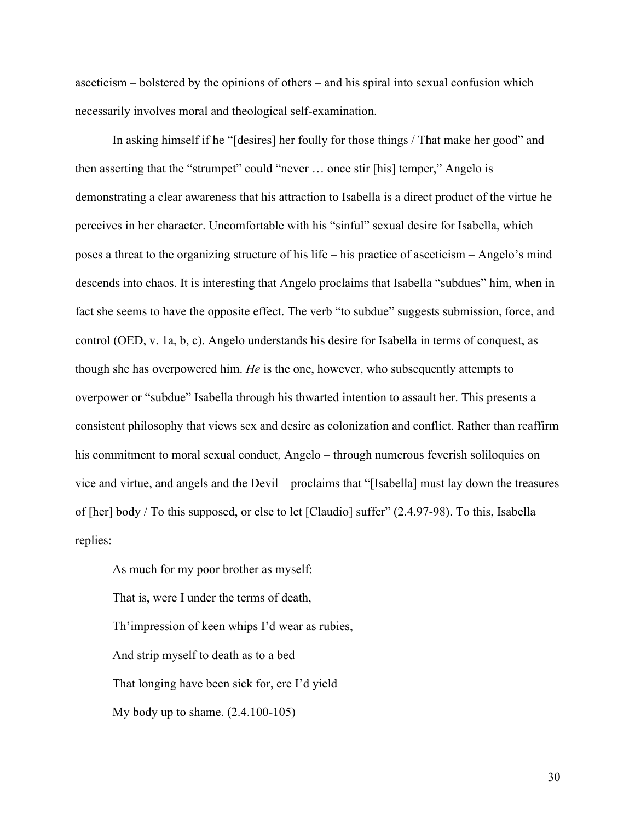asceticism – bolstered by the opinions of others – and his spiral into sexual confusion which necessarily involves moral and theological self-examination.

In asking himself if he "[desires] her foully for those things / That make her good" and then asserting that the "strumpet" could "never … once stir [his] temper," Angelo is demonstrating a clear awareness that his attraction to Isabella is a direct product of the virtue he perceives in her character. Uncomfortable with his "sinful" sexual desire for Isabella, which poses a threat to the organizing structure of his life – his practice of asceticism – Angelo's mind descends into chaos. It is interesting that Angelo proclaims that Isabella "subdues" him, when in fact she seems to have the opposite effect. The verb "to subdue" suggests submission, force, and control (OED, v. 1a, b, c). Angelo understands his desire for Isabella in terms of conquest, as though she has overpowered him. *He* is the one, however, who subsequently attempts to overpower or "subdue" Isabella through his thwarted intention to assault her. This presents a consistent philosophy that views sex and desire as colonization and conflict. Rather than reaffirm his commitment to moral sexual conduct, Angelo – through numerous feverish soliloquies on vice and virtue, and angels and the Devil – proclaims that "[Isabella] must lay down the treasures of [her] body / To this supposed, or else to let [Claudio] suffer" (2.4.97-98). To this, Isabella replies:

As much for my poor brother as myself: That is, were I under the terms of death, Th'impression of keen whips I'd wear as rubies, And strip myself to death as to a bed That longing have been sick for, ere I'd yield My body up to shame. (2.4.100-105)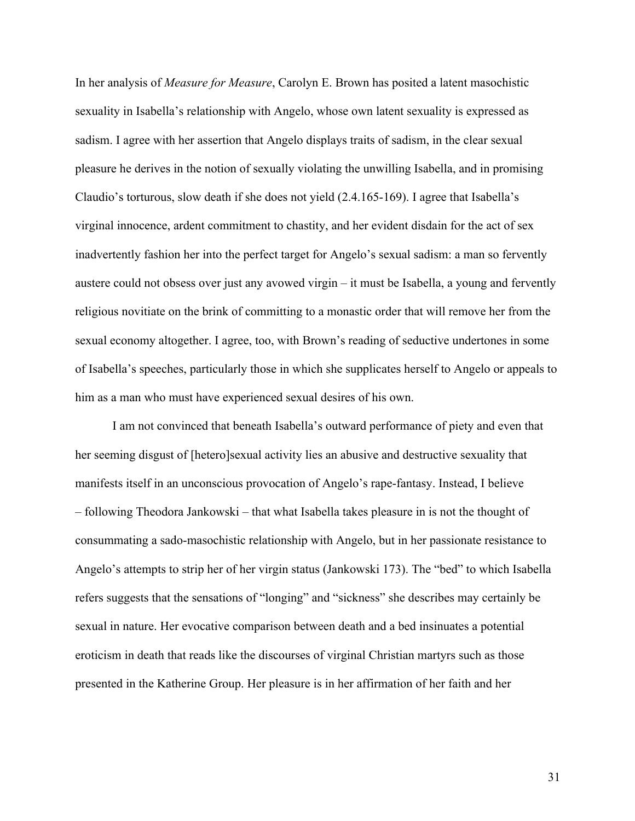In her analysis of *Measure for Measure*, Carolyn E. Brown has posited a latent masochistic sexuality in Isabella's relationship with Angelo, whose own latent sexuality is expressed as sadism. I agree with her assertion that Angelo displays traits of sadism, in the clear sexual pleasure he derives in the notion of sexually violating the unwilling Isabella, and in promising Claudio's torturous, slow death if she does not yield (2.4.165-169). I agree that Isabella's virginal innocence, ardent commitment to chastity, and her evident disdain for the act of sex inadvertently fashion her into the perfect target for Angelo's sexual sadism: a man so fervently austere could not obsess over just any avowed virgin – it must be Isabella, a young and fervently religious novitiate on the brink of committing to a monastic order that will remove her from the sexual economy altogether. I agree, too, with Brown's reading of seductive undertones in some of Isabella's speeches, particularly those in which she supplicates herself to Angelo or appeals to him as a man who must have experienced sexual desires of his own.

I am not convinced that beneath Isabella's outward performance of piety and even that her seeming disgust of [hetero]sexual activity lies an abusive and destructive sexuality that manifests itself in an unconscious provocation of Angelo's rape-fantasy. Instead, I believe – following Theodora Jankowski – that what Isabella takes pleasure in is not the thought of consummating a sado-masochistic relationship with Angelo, but in her passionate resistance to Angelo's attempts to strip her of her virgin status (Jankowski 173). The "bed" to which Isabella refers suggests that the sensations of "longing" and "sickness" she describes may certainly be sexual in nature. Her evocative comparison between death and a bed insinuates a potential eroticism in death that reads like the discourses of virginal Christian martyrs such as those presented in the Katherine Group. Her pleasure is in her affirmation of her faith and her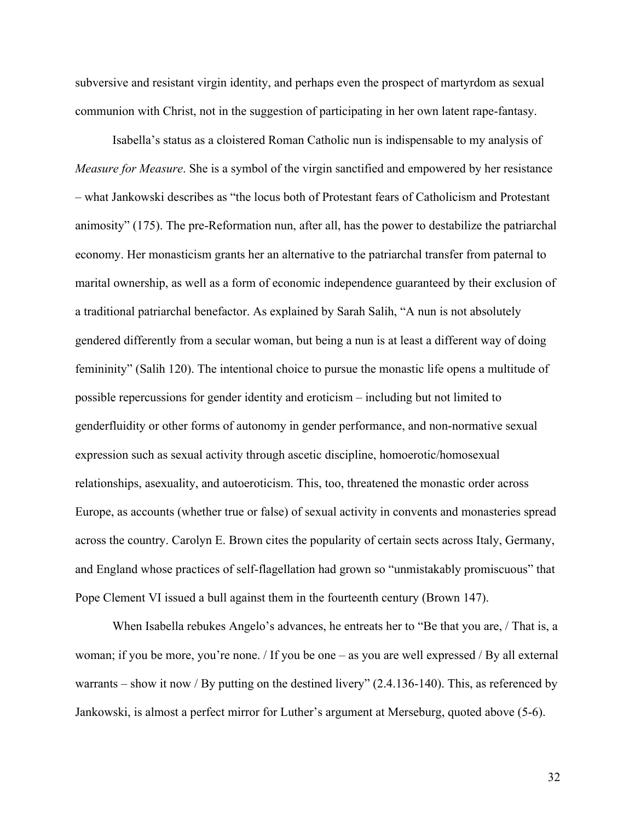subversive and resistant virgin identity, and perhaps even the prospect of martyrdom as sexual communion with Christ, not in the suggestion of participating in her own latent rape-fantasy.

Isabella's status as a cloistered Roman Catholic nun is indispensable to my analysis of *Measure for Measure*. She is a symbol of the virgin sanctified and empowered by her resistance – what Jankowski describes as "the locus both of Protestant fears of Catholicism and Protestant animosity" (175). The pre-Reformation nun, after all, has the power to destabilize the patriarchal economy. Her monasticism grants her an alternative to the patriarchal transfer from paternal to marital ownership, as well as a form of economic independence guaranteed by their exclusion of a traditional patriarchal benefactor. As explained by Sarah Salih, "A nun is not absolutely gendered differently from a secular woman, but being a nun is at least a different way of doing femininity" (Salih 120). The intentional choice to pursue the monastic life opens a multitude of possible repercussions for gender identity and eroticism – including but not limited to genderfluidity or other forms of autonomy in gender performance, and non-normative sexual expression such as sexual activity through ascetic discipline, homoerotic/homosexual relationships, asexuality, and autoeroticism. This, too, threatened the monastic order across Europe, as accounts (whether true or false) of sexual activity in convents and monasteries spread across the country. Carolyn E. Brown cites the popularity of certain sects across Italy, Germany, and England whose practices of self-flagellation had grown so "unmistakably promiscuous" that Pope Clement VI issued a bull against them in the fourteenth century (Brown 147).

When Isabella rebukes Angelo's advances, he entreats her to "Be that you are, / That is, a woman; if you be more, you're none. / If you be one – as you are well expressed / By all external warrants – show it now / By putting on the destined livery" (2.4.136-140). This, as referenced by Jankowski, is almost a perfect mirror for Luther's argument at Merseburg, quoted above (5-6).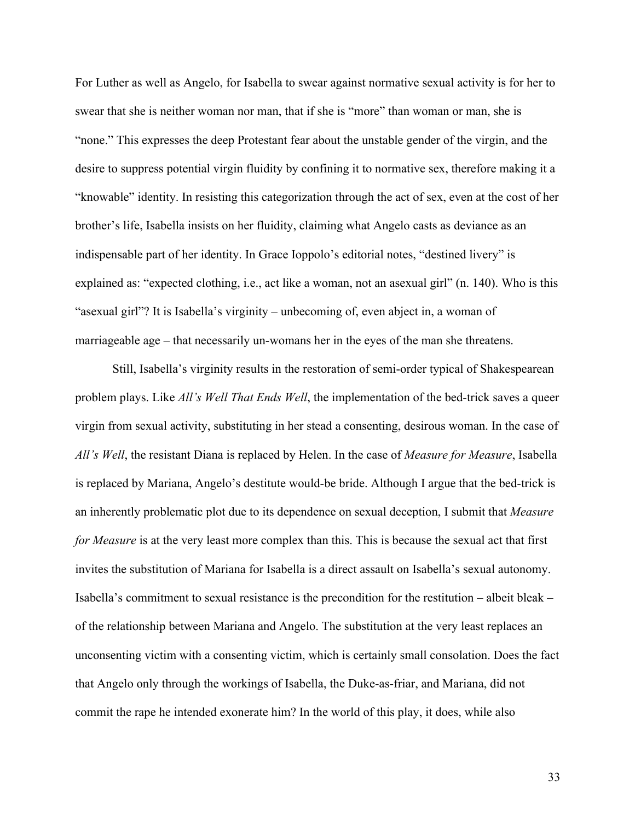For Luther as well as Angelo, for Isabella to swear against normative sexual activity is for her to swear that she is neither woman nor man, that if she is "more" than woman or man, she is "none." This expresses the deep Protestant fear about the unstable gender of the virgin, and the desire to suppress potential virgin fluidity by confining it to normative sex, therefore making it a "knowable" identity. In resisting this categorization through the act of sex, even at the cost of her brother's life, Isabella insists on her fluidity, claiming what Angelo casts as deviance as an indispensable part of her identity. In Grace Ioppolo's editorial notes, "destined livery" is explained as: "expected clothing, i.e., act like a woman, not an asexual girl" (n. 140). Who is this "asexual girl"? It is Isabella's virginity – unbecoming of, even abject in, a woman of marriageable age – that necessarily un-womans her in the eyes of the man she threatens.

Still, Isabella's virginity results in the restoration of semi-order typical of Shakespearean problem plays. Like *All's Well That Ends Well*, the implementation of the bed-trick saves a queer virgin from sexual activity, substituting in her stead a consenting, desirous woman. In the case of *All's Well*, the resistant Diana is replaced by Helen. In the case of *Measure for Measure*, Isabella is replaced by Mariana, Angelo's destitute would-be bride. Although I argue that the bed-trick is an inherently problematic plot due to its dependence on sexual deception, I submit that *Measure for Measure* is at the very least more complex than this. This is because the sexual act that first invites the substitution of Mariana for Isabella is a direct assault on Isabella's sexual autonomy. Isabella's commitment to sexual resistance is the precondition for the restitution – albeit bleak – of the relationship between Mariana and Angelo. The substitution at the very least replaces an unconsenting victim with a consenting victim, which is certainly small consolation. Does the fact that Angelo only through the workings of Isabella, the Duke-as-friar, and Mariana, did not commit the rape he intended exonerate him? In the world of this play, it does, while also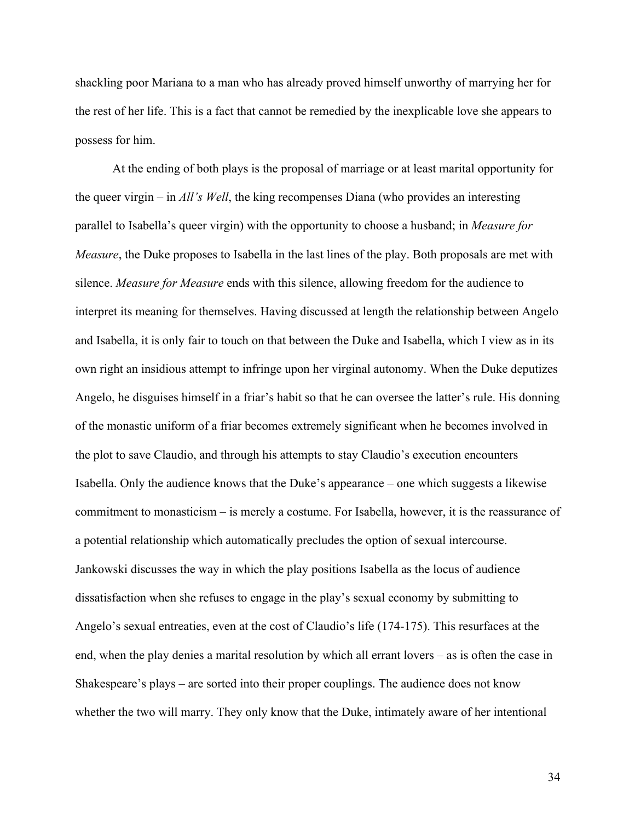shackling poor Mariana to a man who has already proved himself unworthy of marrying her for the rest of her life. This is a fact that cannot be remedied by the inexplicable love she appears to possess for him.

At the ending of both plays is the proposal of marriage or at least marital opportunity for the queer virgin – in *All's Well*, the king recompenses Diana (who provides an interesting parallel to Isabella's queer virgin) with the opportunity to choose a husband; in *Measure for Measure*, the Duke proposes to Isabella in the last lines of the play. Both proposals are met with silence. *Measure for Measure* ends with this silence, allowing freedom for the audience to interpret its meaning for themselves. Having discussed at length the relationship between Angelo and Isabella, it is only fair to touch on that between the Duke and Isabella, which I view as in its own right an insidious attempt to infringe upon her virginal autonomy. When the Duke deputizes Angelo, he disguises himself in a friar's habit so that he can oversee the latter's rule. His donning of the monastic uniform of a friar becomes extremely significant when he becomes involved in the plot to save Claudio, and through his attempts to stay Claudio's execution encounters Isabella. Only the audience knows that the Duke's appearance – one which suggests a likewise commitment to monasticism – is merely a costume. For Isabella, however, it is the reassurance of a potential relationship which automatically precludes the option of sexual intercourse. Jankowski discusses the way in which the play positions Isabella as the locus of audience dissatisfaction when she refuses to engage in the play's sexual economy by submitting to Angelo's sexual entreaties, even at the cost of Claudio's life (174-175). This resurfaces at the end, when the play denies a marital resolution by which all errant lovers – as is often the case in Shakespeare's plays – are sorted into their proper couplings. The audience does not know whether the two will marry. They only know that the Duke, intimately aware of her intentional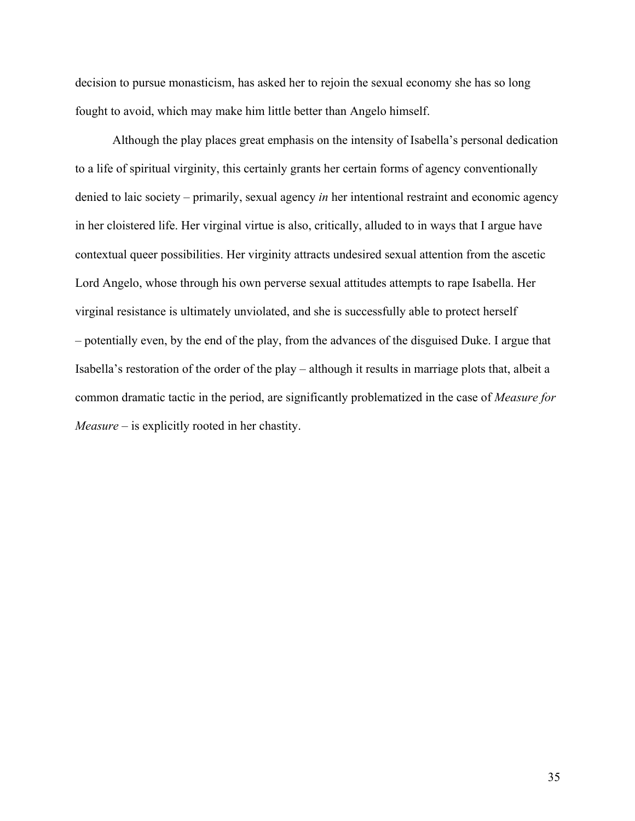decision to pursue monasticism, has asked her to rejoin the sexual economy she has so long fought to avoid, which may make him little better than Angelo himself.

Although the play places great emphasis on the intensity of Isabella's personal dedication to a life of spiritual virginity, this certainly grants her certain forms of agency conventionally denied to laic society – primarily, sexual agency *in* her intentional restraint and economic agency in her cloistered life. Her virginal virtue is also, critically, alluded to in ways that I argue have contextual queer possibilities. Her virginity attracts undesired sexual attention from the ascetic Lord Angelo, whose through his own perverse sexual attitudes attempts to rape Isabella. Her virginal resistance is ultimately unviolated, and she is successfully able to protect herself – potentially even, by the end of the play, from the advances of the disguised Duke. I argue that Isabella's restoration of the order of the play – although it results in marriage plots that, albeit a common dramatic tactic in the period, are significantly problematized in the case of *Measure for Measure* – is explicitly rooted in her chastity.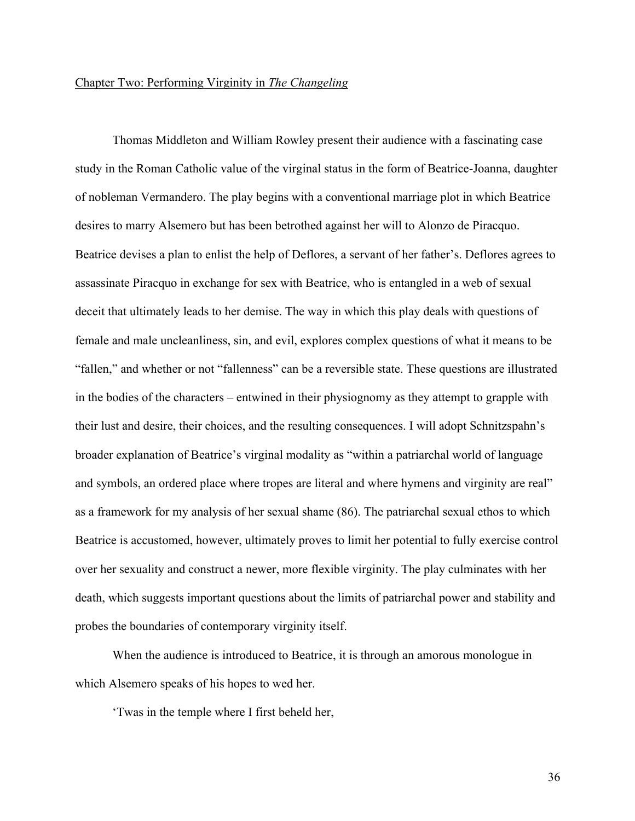## Chapter Two: Performing Virginity in *The Changeling*

Thomas Middleton and William Rowley present their audience with a fascinating case study in the Roman Catholic value of the virginal status in the form of Beatrice-Joanna, daughter of nobleman Vermandero. The play begins with a conventional marriage plot in which Beatrice desires to marry Alsemero but has been betrothed against her will to Alonzo de Piracquo. Beatrice devises a plan to enlist the help of Deflores, a servant of her father's. Deflores agrees to assassinate Piracquo in exchange for sex with Beatrice, who is entangled in a web of sexual deceit that ultimately leads to her demise. The way in which this play deals with questions of female and male uncleanliness, sin, and evil, explores complex questions of what it means to be "fallen," and whether or not "fallenness" can be a reversible state. These questions are illustrated in the bodies of the characters – entwined in their physiognomy as they attempt to grapple with their lust and desire, their choices, and the resulting consequences. I will adopt Schnitzspahn's broader explanation of Beatrice's virginal modality as "within a patriarchal world of language and symbols, an ordered place where tropes are literal and where hymens and virginity are real" as a framework for my analysis of her sexual shame (86). The patriarchal sexual ethos to which Beatrice is accustomed, however, ultimately proves to limit her potential to fully exercise control over her sexuality and construct a newer, more flexible virginity. The play culminates with her death, which suggests important questions about the limits of patriarchal power and stability and probes the boundaries of contemporary virginity itself.

When the audience is introduced to Beatrice, it is through an amorous monologue in which Alsemero speaks of his hopes to wed her.

'Twas in the temple where I first beheld her,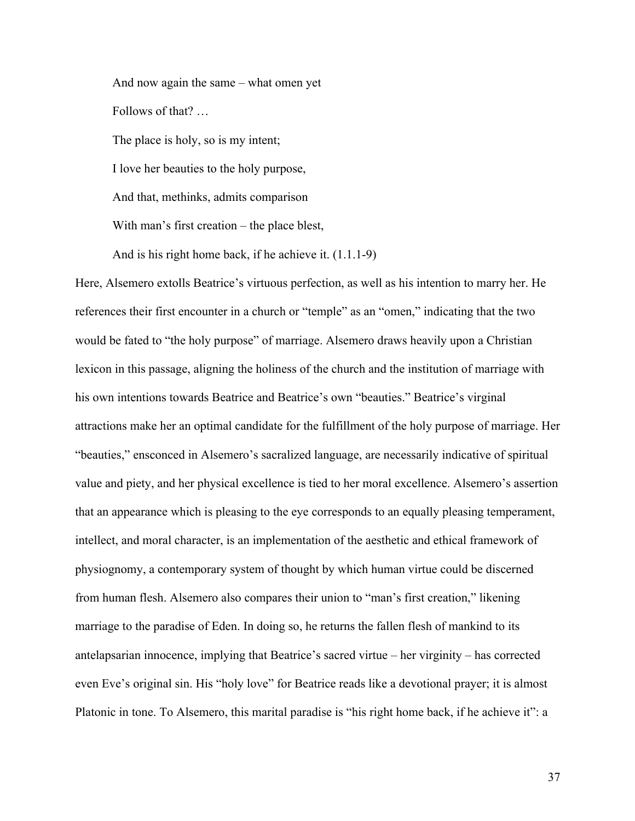And now again the same – what omen yet Follows of that? … The place is holy, so is my intent; I love her beauties to the holy purpose, And that, methinks, admits comparison With man's first creation – the place blest,

And is his right home back, if he achieve it. (1.1.1-9) Here, Alsemero extolls Beatrice's virtuous perfection, as well as his intention to marry her. He references their first encounter in a church or "temple" as an "omen," indicating that the two would be fated to "the holy purpose" of marriage. Alsemero draws heavily upon a Christian lexicon in this passage, aligning the holiness of the church and the institution of marriage with his own intentions towards Beatrice and Beatrice's own "beauties." Beatrice's virginal attractions make her an optimal candidate for the fulfillment of the holy purpose of marriage. Her "beauties," ensconced in Alsemero's sacralized language, are necessarily indicative of spiritual value and piety, and her physical excellence is tied to her moral excellence. Alsemero's assertion that an appearance which is pleasing to the eye corresponds to an equally pleasing temperament, intellect, and moral character, is an implementation of the aesthetic and ethical framework of physiognomy, a contemporary system of thought by which human virtue could be discerned from human flesh. Alsemero also compares their union to "man's first creation," likening marriage to the paradise of Eden. In doing so, he returns the fallen flesh of mankind to its antelapsarian innocence, implying that Beatrice's sacred virtue – her virginity – has corrected even Eve's original sin. His "holy love" for Beatrice reads like a devotional prayer; it is almost Platonic in tone. To Alsemero, this marital paradise is "his right home back, if he achieve it": a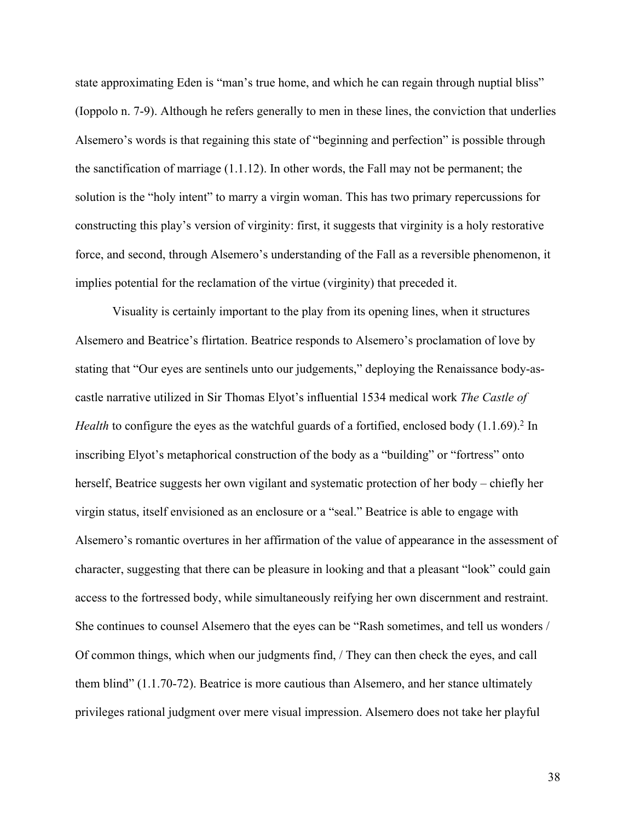state approximating Eden is "man's true home, and which he can regain through nuptial bliss" (Ioppolo n. 7-9). Although he refers generally to men in these lines, the conviction that underlies Alsemero's words is that regaining this state of "beginning and perfection" is possible through the sanctification of marriage (1.1.12). In other words, the Fall may not be permanent; the solution is the "holy intent" to marry a virgin woman. This has two primary repercussions for constructing this play's version of virginity: first, it suggests that virginity is a holy restorative force, and second, through Alsemero's understanding of the Fall as a reversible phenomenon, it implies potential for the reclamation of the virtue (virginity) that preceded it.

Visuality is certainly important to the play from its opening lines, when it structures Alsemero and Beatrice's flirtation. Beatrice responds to Alsemero's proclamation of love by stating that "Our eyes are sentinels unto our judgements," deploying the Renaissance body-ascastle narrative utilized in Sir Thomas Elyot's influential 1534 medical work *The Castle of Health* to configure the eyes as the watchful guards of a fortified, enclosed body (1.1.69).<sup>2</sup> In inscribing Elyot's metaphorical construction of the body as a "building" or "fortress" onto herself, Beatrice suggests her own vigilant and systematic protection of her body – chiefly her virgin status, itself envisioned as an enclosure or a "seal." Beatrice is able to engage with Alsemero's romantic overtures in her affirmation of the value of appearance in the assessment of character, suggesting that there can be pleasure in looking and that a pleasant "look" could gain access to the fortressed body, while simultaneously reifying her own discernment and restraint. She continues to counsel Alsemero that the eyes can be "Rash sometimes, and tell us wonders / Of common things, which when our judgments find, / They can then check the eyes, and call them blind" (1.1.70-72). Beatrice is more cautious than Alsemero, and her stance ultimately privileges rational judgment over mere visual impression. Alsemero does not take her playful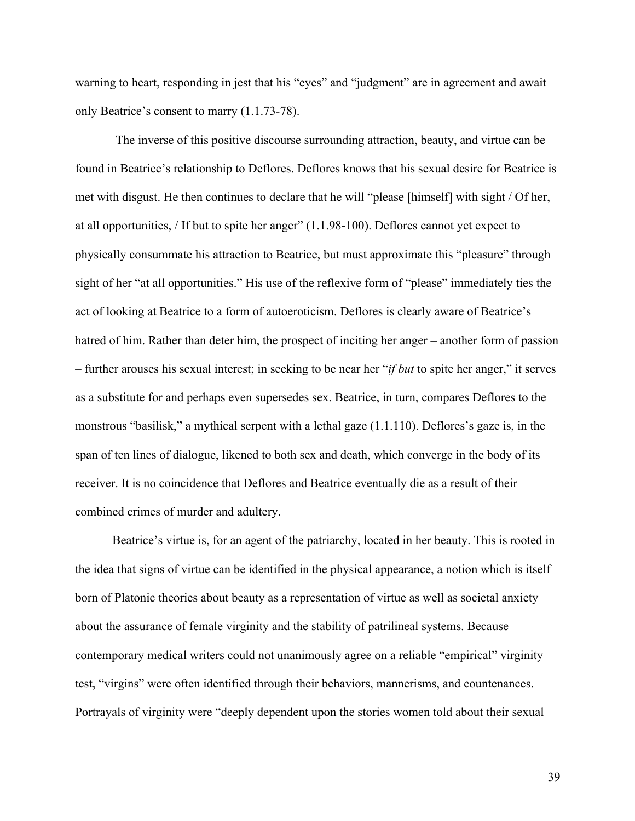warning to heart, responding in jest that his "eyes" and "judgment" are in agreement and await only Beatrice's consent to marry (1.1.73-78).

The inverse of this positive discourse surrounding attraction, beauty, and virtue can be found in Beatrice's relationship to Deflores. Deflores knows that his sexual desire for Beatrice is met with disgust. He then continues to declare that he will "please [himself] with sight / Of her, at all opportunities, / If but to spite her anger" (1.1.98-100). Deflores cannot yet expect to physically consummate his attraction to Beatrice, but must approximate this "pleasure" through sight of her "at all opportunities." His use of the reflexive form of "please" immediately ties the act of looking at Beatrice to a form of autoeroticism. Deflores is clearly aware of Beatrice's hatred of him. Rather than deter him, the prospect of inciting her anger – another form of passion – further arouses his sexual interest; in seeking to be near her "*if but* to spite her anger," it serves as a substitute for and perhaps even supersedes sex. Beatrice, in turn, compares Deflores to the monstrous "basilisk," a mythical serpent with a lethal gaze (1.1.110). Deflores's gaze is, in the span of ten lines of dialogue, likened to both sex and death, which converge in the body of its receiver. It is no coincidence that Deflores and Beatrice eventually die as a result of their combined crimes of murder and adultery.

Beatrice's virtue is, for an agent of the patriarchy, located in her beauty. This is rooted in the idea that signs of virtue can be identified in the physical appearance, a notion which is itself born of Platonic theories about beauty as a representation of virtue as well as societal anxiety about the assurance of female virginity and the stability of patrilineal systems. Because contemporary medical writers could not unanimously agree on a reliable "empirical" virginity test, "virgins" were often identified through their behaviors, mannerisms, and countenances. Portrayals of virginity were "deeply dependent upon the stories women told about their sexual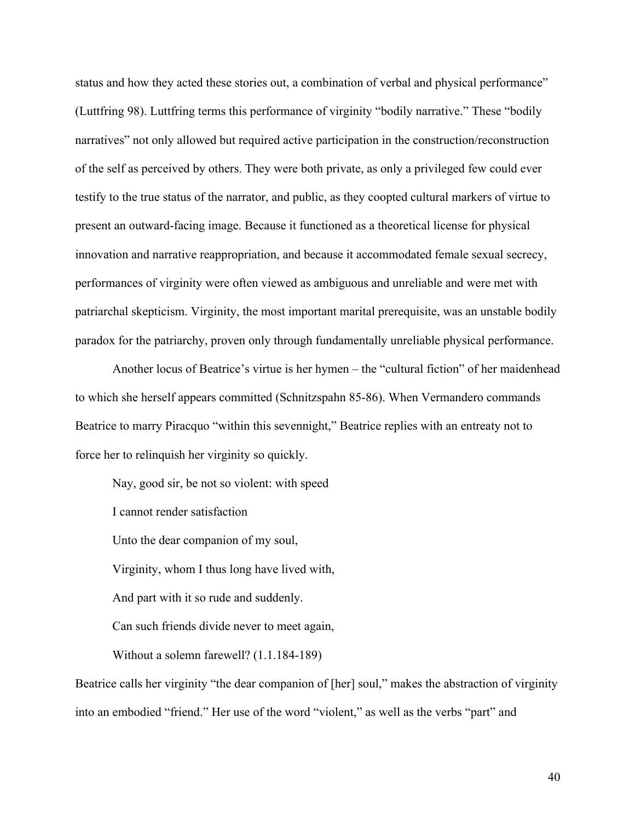status and how they acted these stories out, a combination of verbal and physical performance" (Luttfring 98). Luttfring terms this performance of virginity "bodily narrative." These "bodily narratives" not only allowed but required active participation in the construction/reconstruction of the self as perceived by others. They were both private, as only a privileged few could ever testify to the true status of the narrator, and public, as they coopted cultural markers of virtue to present an outward-facing image. Because it functioned as a theoretical license for physical innovation and narrative reappropriation, and because it accommodated female sexual secrecy, performances of virginity were often viewed as ambiguous and unreliable and were met with patriarchal skepticism. Virginity, the most important marital prerequisite, was an unstable bodily paradox for the patriarchy, proven only through fundamentally unreliable physical performance.

Another locus of Beatrice's virtue is her hymen – the "cultural fiction" of her maidenhead to which she herself appears committed (Schnitzspahn 85-86). When Vermandero commands Beatrice to marry Piracquo "within this sevennight," Beatrice replies with an entreaty not to force her to relinquish her virginity so quickly.

Nay, good sir, be not so violent: with speed

I cannot render satisfaction

Unto the dear companion of my soul,

Virginity, whom I thus long have lived with,

And part with it so rude and suddenly.

Can such friends divide never to meet again,

Without a solemn farewell? (1.1.184-189)

Beatrice calls her virginity "the dear companion of [her] soul," makes the abstraction of virginity into an embodied "friend." Her use of the word "violent," as well as the verbs "part" and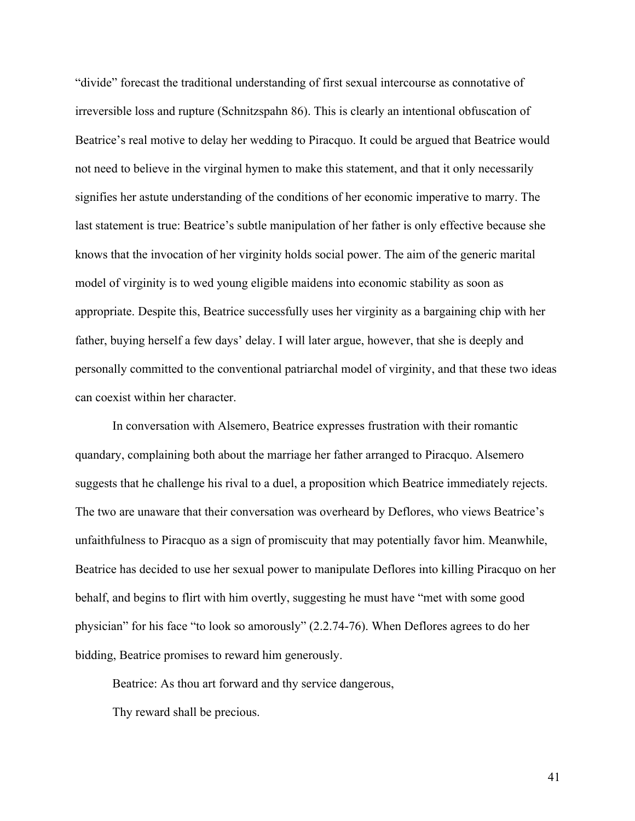"divide" forecast the traditional understanding of first sexual intercourse as connotative of irreversible loss and rupture (Schnitzspahn 86). This is clearly an intentional obfuscation of Beatrice's real motive to delay her wedding to Piracquo. It could be argued that Beatrice would not need to believe in the virginal hymen to make this statement, and that it only necessarily signifies her astute understanding of the conditions of her economic imperative to marry. The last statement is true: Beatrice's subtle manipulation of her father is only effective because she knows that the invocation of her virginity holds social power. The aim of the generic marital model of virginity is to wed young eligible maidens into economic stability as soon as appropriate. Despite this, Beatrice successfully uses her virginity as a bargaining chip with her father, buying herself a few days' delay. I will later argue, however, that she is deeply and personally committed to the conventional patriarchal model of virginity, and that these two ideas can coexist within her character.

In conversation with Alsemero, Beatrice expresses frustration with their romantic quandary, complaining both about the marriage her father arranged to Piracquo. Alsemero suggests that he challenge his rival to a duel, a proposition which Beatrice immediately rejects. The two are unaware that their conversation was overheard by Deflores, who views Beatrice's unfaithfulness to Piracquo as a sign of promiscuity that may potentially favor him. Meanwhile, Beatrice has decided to use her sexual power to manipulate Deflores into killing Piracquo on her behalf, and begins to flirt with him overtly, suggesting he must have "met with some good physician" for his face "to look so amorously" (2.2.74-76). When Deflores agrees to do her bidding, Beatrice promises to reward him generously.

Beatrice: As thou art forward and thy service dangerous,

Thy reward shall be precious.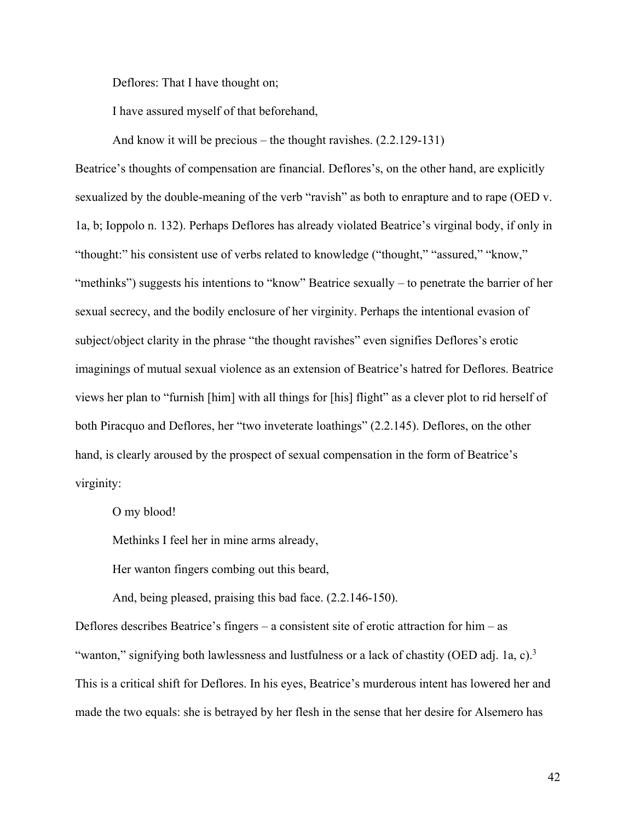Deflores: That I have thought on;

I have assured myself of that beforehand,

And know it will be precious – the thought ravishes. (2.2.129-131)

Beatrice's thoughts of compensation are financial. Deflores's, on the other hand, are explicitly sexualized by the double-meaning of the verb "ravish" as both to enrapture and to rape (OED v. 1a, b; Ioppolo n. 132). Perhaps Deflores has already violated Beatrice's virginal body, if only in "thought:" his consistent use of verbs related to knowledge ("thought," "assured," "know," "methinks") suggests his intentions to "know" Beatrice sexually – to penetrate the barrier of her sexual secrecy, and the bodily enclosure of her virginity. Perhaps the intentional evasion of subject/object clarity in the phrase "the thought ravishes" even signifies Deflores's erotic imaginings of mutual sexual violence as an extension of Beatrice's hatred for Deflores. Beatrice views her plan to "furnish [him] with all things for [his] flight" as a clever plot to rid herself of both Piracquo and Deflores, her "two inveterate loathings" (2.2.145). Deflores, on the other hand, is clearly aroused by the prospect of sexual compensation in the form of Beatrice's virginity:

O my blood!

Methinks I feel her in mine arms already,

Her wanton fingers combing out this beard,

And, being pleased, praising this bad face. (2.2.146-150).

Deflores describes Beatrice's fingers – a consistent site of erotic attraction for him – as "wanton," signifying both lawlessness and lustfulness or a lack of chastity (OED adj. 1a, c).<sup>3</sup> This is a critical shift for Deflores. In his eyes, Beatrice's murderous intent has lowered her and made the two equals: she is betrayed by her flesh in the sense that her desire for Alsemero has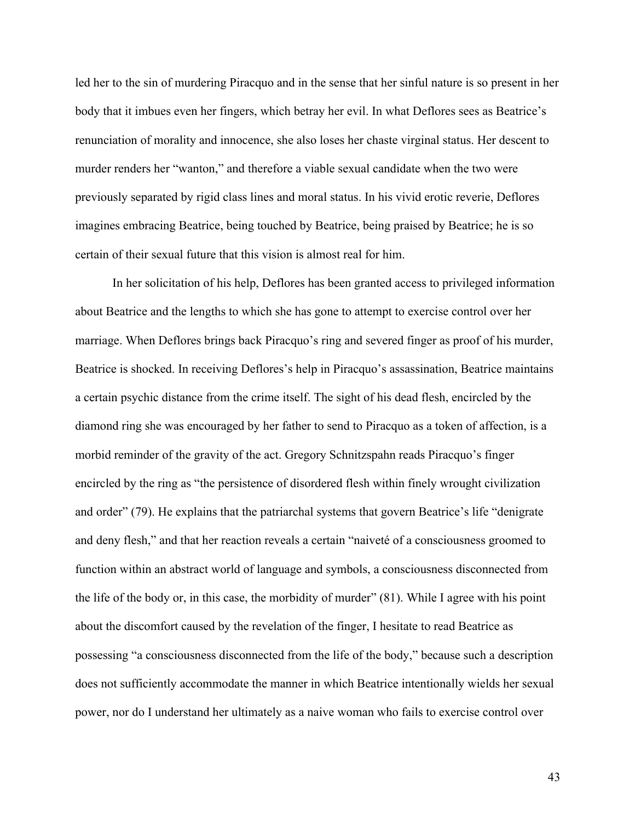led her to the sin of murdering Piracquo and in the sense that her sinful nature is so present in her body that it imbues even her fingers, which betray her evil. In what Deflores sees as Beatrice's renunciation of morality and innocence, she also loses her chaste virginal status. Her descent to murder renders her "wanton," and therefore a viable sexual candidate when the two were previously separated by rigid class lines and moral status. In his vivid erotic reverie, Deflores imagines embracing Beatrice, being touched by Beatrice, being praised by Beatrice; he is so certain of their sexual future that this vision is almost real for him.

In her solicitation of his help, Deflores has been granted access to privileged information about Beatrice and the lengths to which she has gone to attempt to exercise control over her marriage. When Deflores brings back Piracquo's ring and severed finger as proof of his murder, Beatrice is shocked. In receiving Deflores's help in Piracquo's assassination, Beatrice maintains a certain psychic distance from the crime itself. The sight of his dead flesh, encircled by the diamond ring she was encouraged by her father to send to Piracquo as a token of affection, is a morbid reminder of the gravity of the act. Gregory Schnitzspahn reads Piracquo's finger encircled by the ring as "the persistence of disordered flesh within finely wrought civilization and order" (79). He explains that the patriarchal systems that govern Beatrice's life "denigrate and deny flesh," and that her reaction reveals a certain "naiveté of a consciousness groomed to function within an abstract world of language and symbols, a consciousness disconnected from the life of the body or, in this case, the morbidity of murder" (81). While I agree with his point about the discomfort caused by the revelation of the finger, I hesitate to read Beatrice as possessing "a consciousness disconnected from the life of the body," because such a description does not sufficiently accommodate the manner in which Beatrice intentionally wields her sexual power, nor do I understand her ultimately as a naive woman who fails to exercise control over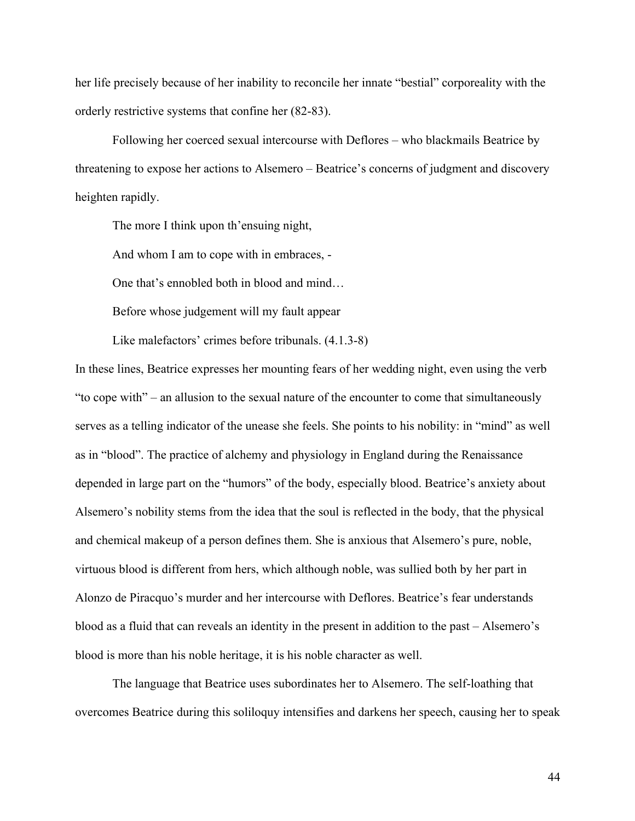her life precisely because of her inability to reconcile her innate "bestial" corporeality with the orderly restrictive systems that confine her (82-83).

Following her coerced sexual intercourse with Deflores – who blackmails Beatrice by threatening to expose her actions to Alsemero – Beatrice's concerns of judgment and discovery heighten rapidly.

The more I think upon th'ensuing night,

And whom I am to cope with in embraces, -

One that's ennobled both in blood and mind…

Before whose judgement will my fault appear

Like malefactors' crimes before tribunals. (4.1.3-8)

In these lines, Beatrice expresses her mounting fears of her wedding night, even using the verb "to cope with" – an allusion to the sexual nature of the encounter to come that simultaneously serves as a telling indicator of the unease she feels. She points to his nobility: in "mind" as well as in "blood". The practice of alchemy and physiology in England during the Renaissance depended in large part on the "humors" of the body, especially blood. Beatrice's anxiety about Alsemero's nobility stems from the idea that the soul is reflected in the body, that the physical and chemical makeup of a person defines them. She is anxious that Alsemero's pure, noble, virtuous blood is different from hers, which although noble, was sullied both by her part in Alonzo de Piracquo's murder and her intercourse with Deflores. Beatrice's fear understands blood as a fluid that can reveals an identity in the present in addition to the past – Alsemero's blood is more than his noble heritage, it is his noble character as well.

The language that Beatrice uses subordinates her to Alsemero. The self-loathing that overcomes Beatrice during this soliloquy intensifies and darkens her speech, causing her to speak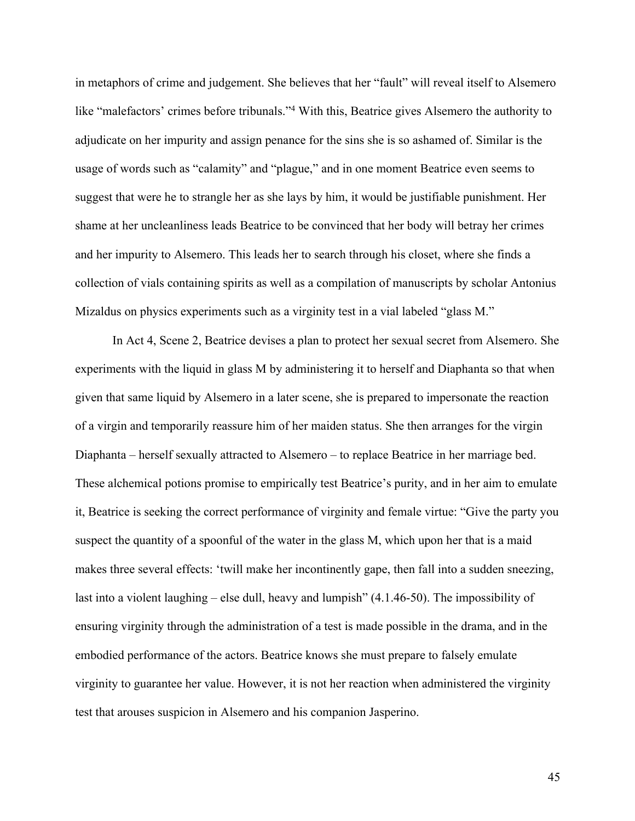in metaphors of crime and judgement. She believes that her "fault" will reveal itself to Alsemero like "malefactors' crimes before tribunals."4 With this, Beatrice gives Alsemero the authority to adjudicate on her impurity and assign penance for the sins she is so ashamed of. Similar is the usage of words such as "calamity" and "plague," and in one moment Beatrice even seems to suggest that were he to strangle her as she lays by him, it would be justifiable punishment. Her shame at her uncleanliness leads Beatrice to be convinced that her body will betray her crimes and her impurity to Alsemero. This leads her to search through his closet, where she finds a collection of vials containing spirits as well as a compilation of manuscripts by scholar Antonius Mizaldus on physics experiments such as a virginity test in a vial labeled "glass M."

In Act 4, Scene 2, Beatrice devises a plan to protect her sexual secret from Alsemero. She experiments with the liquid in glass M by administering it to herself and Diaphanta so that when given that same liquid by Alsemero in a later scene, she is prepared to impersonate the reaction of a virgin and temporarily reassure him of her maiden status. She then arranges for the virgin Diaphanta – herself sexually attracted to Alsemero – to replace Beatrice in her marriage bed. These alchemical potions promise to empirically test Beatrice's purity, and in her aim to emulate it, Beatrice is seeking the correct performance of virginity and female virtue: "Give the party you suspect the quantity of a spoonful of the water in the glass M, which upon her that is a maid makes three several effects: 'twill make her incontinently gape, then fall into a sudden sneezing, last into a violent laughing – else dull, heavy and lumpish" (4.1.46-50). The impossibility of ensuring virginity through the administration of a test is made possible in the drama, and in the embodied performance of the actors. Beatrice knows she must prepare to falsely emulate virginity to guarantee her value. However, it is not her reaction when administered the virginity test that arouses suspicion in Alsemero and his companion Jasperino.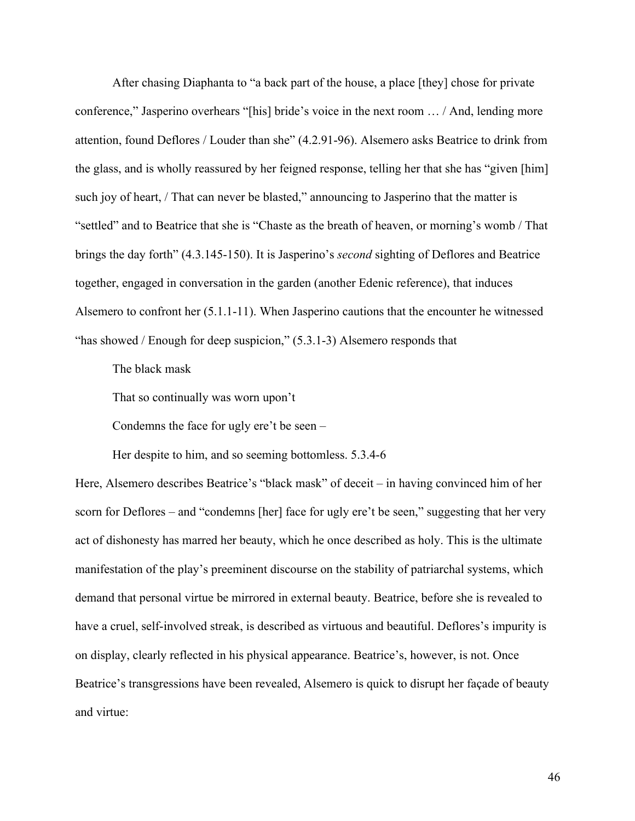After chasing Diaphanta to "a back part of the house, a place [they] chose for private conference," Jasperino overhears "[his] bride's voice in the next room … / And, lending more attention, found Deflores / Louder than she" (4.2.91-96). Alsemero asks Beatrice to drink from the glass, and is wholly reassured by her feigned response, telling her that she has "given [him] such joy of heart, / That can never be blasted," announcing to Jasperino that the matter is "settled" and to Beatrice that she is "Chaste as the breath of heaven, or morning's womb / That brings the day forth" (4.3.145-150). It is Jasperino's *second* sighting of Deflores and Beatrice together, engaged in conversation in the garden (another Edenic reference), that induces Alsemero to confront her (5.1.1-11). When Jasperino cautions that the encounter he witnessed "has showed / Enough for deep suspicion," (5.3.1-3) Alsemero responds that

The black mask

That so continually was worn upon't

Condemns the face for ugly ere't be seen –

Her despite to him, and so seeming bottomless. 5.3.4-6

Here, Alsemero describes Beatrice's "black mask" of deceit – in having convinced him of her scorn for Deflores – and "condemns [her] face for ugly ere't be seen," suggesting that her very act of dishonesty has marred her beauty, which he once described as holy. This is the ultimate manifestation of the play's preeminent discourse on the stability of patriarchal systems, which demand that personal virtue be mirrored in external beauty. Beatrice, before she is revealed to have a cruel, self-involved streak, is described as virtuous and beautiful. Deflores's impurity is on display, clearly reflected in his physical appearance. Beatrice's, however, is not. Once Beatrice's transgressions have been revealed, Alsemero is quick to disrupt her façade of beauty and virtue: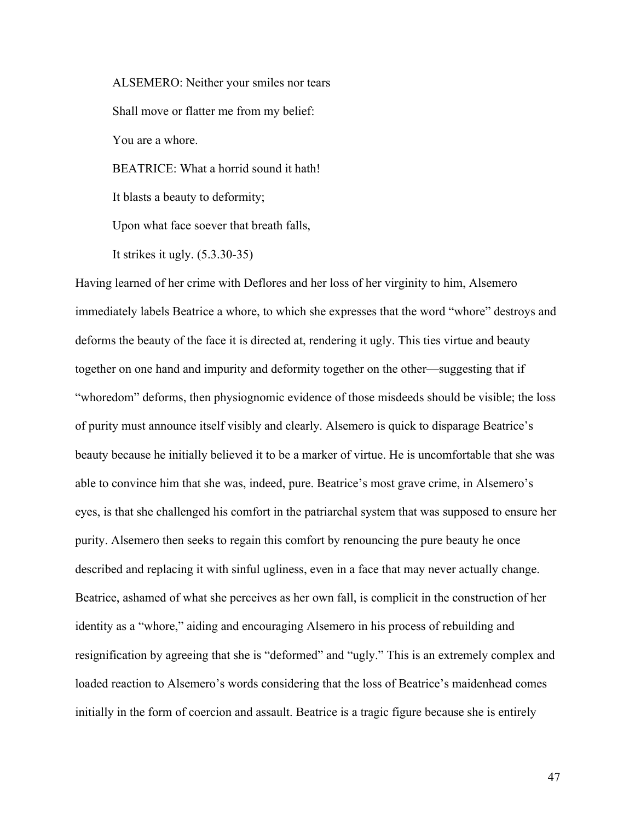ALSEMERO: Neither your smiles nor tears Shall move or flatter me from my belief: You are a whore. BEATRICE: What a horrid sound it hath!

It blasts a beauty to deformity;

Upon what face soever that breath falls,

It strikes it ugly. (5.3.30-35)

Having learned of her crime with Deflores and her loss of her virginity to him, Alsemero immediately labels Beatrice a whore, to which she expresses that the word "whore" destroys and deforms the beauty of the face it is directed at, rendering it ugly. This ties virtue and beauty together on one hand and impurity and deformity together on the other—suggesting that if "whoredom" deforms, then physiognomic evidence of those misdeeds should be visible; the loss of purity must announce itself visibly and clearly. Alsemero is quick to disparage Beatrice's beauty because he initially believed it to be a marker of virtue. He is uncomfortable that she was able to convince him that she was, indeed, pure. Beatrice's most grave crime, in Alsemero's eyes, is that she challenged his comfort in the patriarchal system that was supposed to ensure her purity. Alsemero then seeks to regain this comfort by renouncing the pure beauty he once described and replacing it with sinful ugliness, even in a face that may never actually change. Beatrice, ashamed of what she perceives as her own fall, is complicit in the construction of her identity as a "whore," aiding and encouraging Alsemero in his process of rebuilding and resignification by agreeing that she is "deformed" and "ugly." This is an extremely complex and loaded reaction to Alsemero's words considering that the loss of Beatrice's maidenhead comes initially in the form of coercion and assault. Beatrice is a tragic figure because she is entirely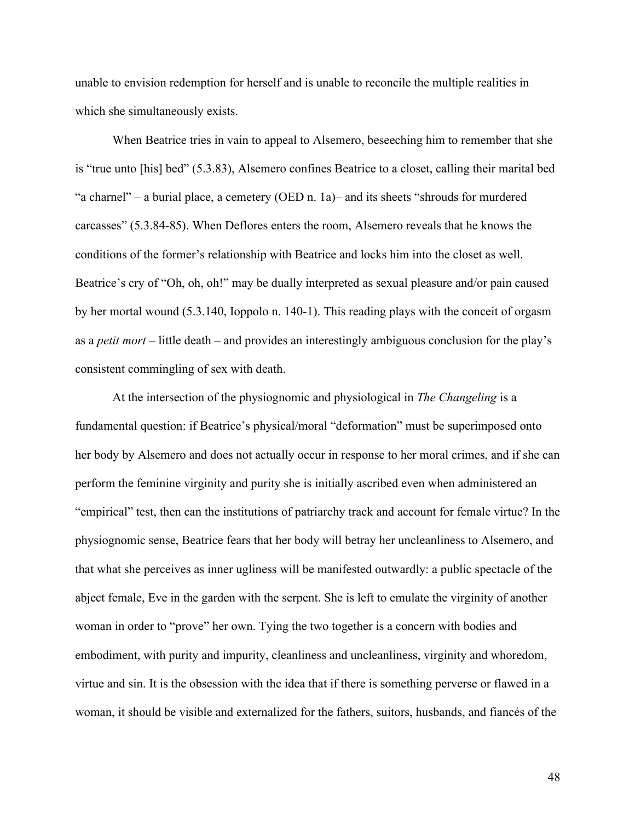unable to envision redemption for herself and is unable to reconcile the multiple realities in which she simultaneously exists.

When Beatrice tries in vain to appeal to Alsemero, beseeching him to remember that she is "true unto [his] bed" (5.3.83), Alsemero confines Beatrice to a closet, calling their marital bed "a charnel" – a burial place, a cemetery (OED n. 1a)– and its sheets "shrouds for murdered carcasses" (5.3.84-85). When Deflores enters the room, Alsemero reveals that he knows the conditions of the former's relationship with Beatrice and locks him into the closet as well. Beatrice's cry of "Oh, oh, oh!" may be dually interpreted as sexual pleasure and/or pain caused by her mortal wound (5.3.140, Ioppolo n. 140-1). This reading plays with the conceit of orgasm as a *petit mort* – little death – and provides an interestingly ambiguous conclusion for the play's consistent commingling of sex with death.

At the intersection of the physiognomic and physiological in *The Changeling* is a fundamental question: if Beatrice's physical/moral "deformation" must be superimposed onto her body by Alsemero and does not actually occur in response to her moral crimes, and if she can perform the feminine virginity and purity she is initially ascribed even when administered an "empirical" test, then can the institutions of patriarchy track and account for female virtue? In the physiognomic sense, Beatrice fears that her body will betray her uncleanliness to Alsemero, and that what she perceives as inner ugliness will be manifested outwardly: a public spectacle of the abject female, Eve in the garden with the serpent. She is left to emulate the virginity of another woman in order to "prove" her own. Tying the two together is a concern with bodies and embodiment, with purity and impurity, cleanliness and uncleanliness, virginity and whoredom, virtue and sin. It is the obsession with the idea that if there is something perverse or flawed in a woman, it should be visible and externalized for the fathers, suitors, husbands, and fiancés of the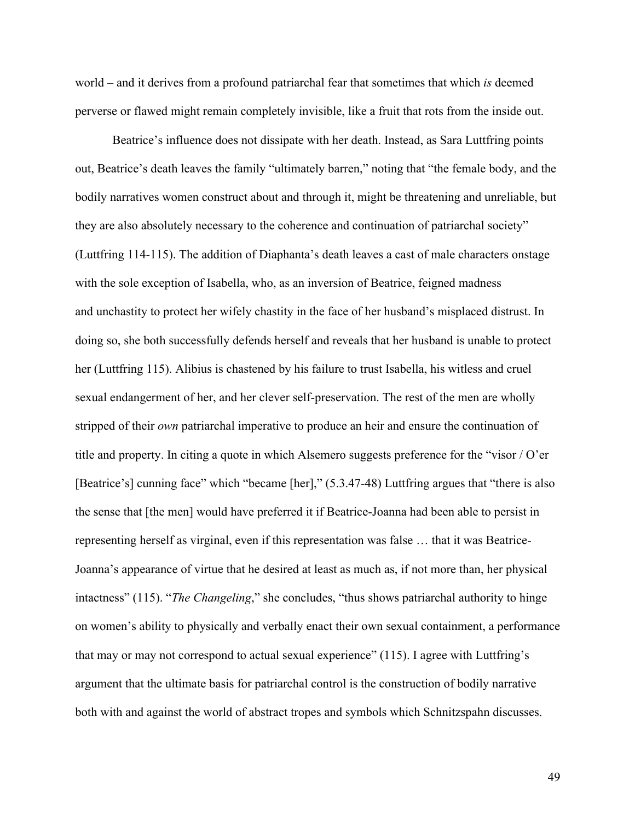world – and it derives from a profound patriarchal fear that sometimes that which *is* deemed perverse or flawed might remain completely invisible, like a fruit that rots from the inside out.

Beatrice's influence does not dissipate with her death. Instead, as Sara Luttfring points out, Beatrice's death leaves the family "ultimately barren," noting that "the female body, and the bodily narratives women construct about and through it, might be threatening and unreliable, but they are also absolutely necessary to the coherence and continuation of patriarchal society" (Luttfring 114-115). The addition of Diaphanta's death leaves a cast of male characters onstage with the sole exception of Isabella, who, as an inversion of Beatrice, feigned madness and unchastity to protect her wifely chastity in the face of her husband's misplaced distrust. In doing so, she both successfully defends herself and reveals that her husband is unable to protect her (Luttfring 115). Alibius is chastened by his failure to trust Isabella, his witless and cruel sexual endangerment of her, and her clever self-preservation. The rest of the men are wholly stripped of their *own* patriarchal imperative to produce an heir and ensure the continuation of title and property. In citing a quote in which Alsemero suggests preference for the "visor / O'er [Beatrice's] cunning face" which "became [her]," (5.3.47-48) Luttfring argues that "there is also the sense that [the men] would have preferred it if Beatrice-Joanna had been able to persist in representing herself as virginal, even if this representation was false … that it was Beatrice-Joanna's appearance of virtue that he desired at least as much as, if not more than, her physical intactness" (115). "*The Changeling*," she concludes, "thus shows patriarchal authority to hinge on women's ability to physically and verbally enact their own sexual containment, a performance that may or may not correspond to actual sexual experience" (115). I agree with Luttfring's argument that the ultimate basis for patriarchal control is the construction of bodily narrative both with and against the world of abstract tropes and symbols which Schnitzspahn discusses.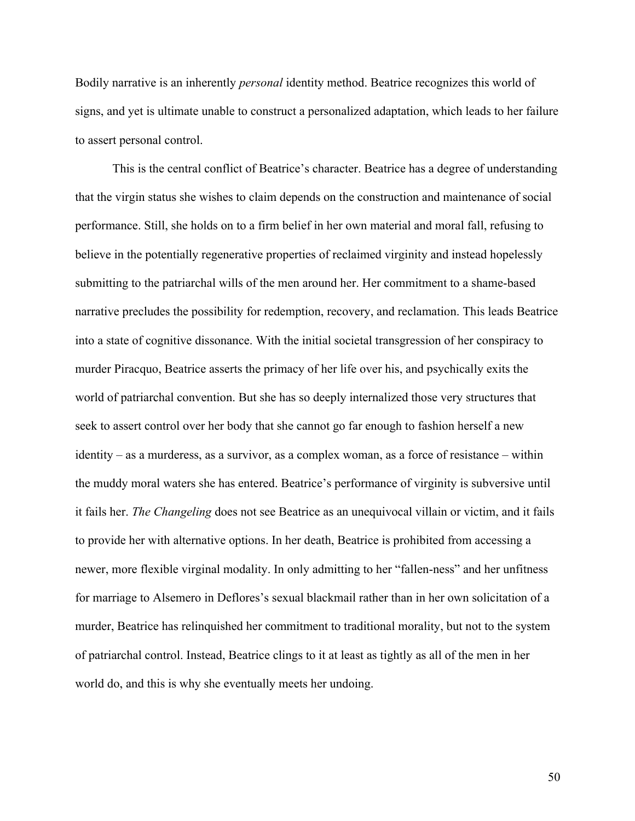Bodily narrative is an inherently *personal* identity method. Beatrice recognizes this world of signs, and yet is ultimate unable to construct a personalized adaptation, which leads to her failure to assert personal control.

This is the central conflict of Beatrice's character. Beatrice has a degree of understanding that the virgin status she wishes to claim depends on the construction and maintenance of social performance. Still, she holds on to a firm belief in her own material and moral fall, refusing to believe in the potentially regenerative properties of reclaimed virginity and instead hopelessly submitting to the patriarchal wills of the men around her. Her commitment to a shame-based narrative precludes the possibility for redemption, recovery, and reclamation. This leads Beatrice into a state of cognitive dissonance. With the initial societal transgression of her conspiracy to murder Piracquo, Beatrice asserts the primacy of her life over his, and psychically exits the world of patriarchal convention. But she has so deeply internalized those very structures that seek to assert control over her body that she cannot go far enough to fashion herself a new identity – as a murderess, as a survivor, as a complex woman, as a force of resistance – within the muddy moral waters she has entered. Beatrice's performance of virginity is subversive until it fails her. *The Changeling* does not see Beatrice as an unequivocal villain or victim, and it fails to provide her with alternative options. In her death, Beatrice is prohibited from accessing a newer, more flexible virginal modality. In only admitting to her "fallen-ness" and her unfitness for marriage to Alsemero in Deflores's sexual blackmail rather than in her own solicitation of a murder, Beatrice has relinquished her commitment to traditional morality, but not to the system of patriarchal control. Instead, Beatrice clings to it at least as tightly as all of the men in her world do, and this is why she eventually meets her undoing.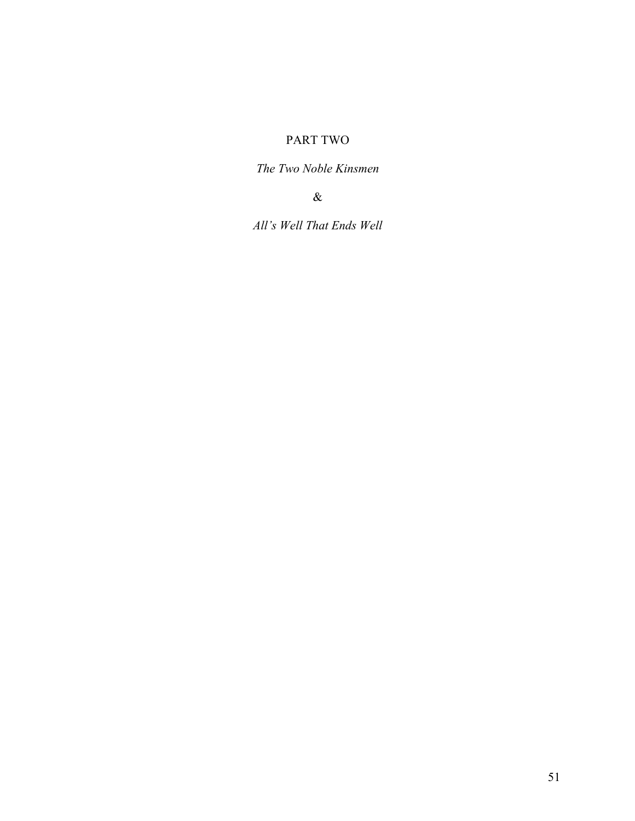## PART TWO

*The Two Noble Kinsmen* 

&

*All's Well That Ends Well*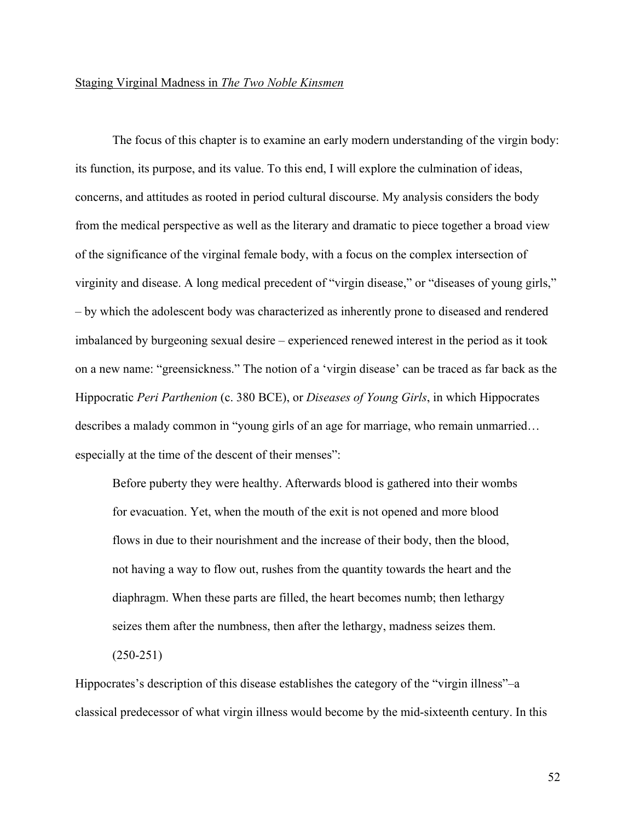## Staging Virginal Madness in *The Two Noble Kinsmen*

The focus of this chapter is to examine an early modern understanding of the virgin body: its function, its purpose, and its value. To this end, I will explore the culmination of ideas, concerns, and attitudes as rooted in period cultural discourse. My analysis considers the body from the medical perspective as well as the literary and dramatic to piece together a broad view of the significance of the virginal female body, with a focus on the complex intersection of virginity and disease. A long medical precedent of "virgin disease," or "diseases of young girls," – by which the adolescent body was characterized as inherently prone to diseased and rendered imbalanced by burgeoning sexual desire – experienced renewed interest in the period as it took on a new name: "greensickness." The notion of a 'virgin disease' can be traced as far back as the Hippocratic *Peri Parthenion* (c. 380 BCE), or *Diseases of Young Girls*, in which Hippocrates describes a malady common in "young girls of an age for marriage, who remain unmarried… especially at the time of the descent of their menses":

Before puberty they were healthy. Afterwards blood is gathered into their wombs for evacuation. Yet, when the mouth of the exit is not opened and more blood flows in due to their nourishment and the increase of their body, then the blood, not having a way to flow out, rushes from the quantity towards the heart and the diaphragm. When these parts are filled, the heart becomes numb; then lethargy seizes them after the numbness, then after the lethargy, madness seizes them.

 $(250-251)$ 

Hippocrates's description of this disease establishes the category of the "virgin illness"–a classical predecessor of what virgin illness would become by the mid-sixteenth century. In this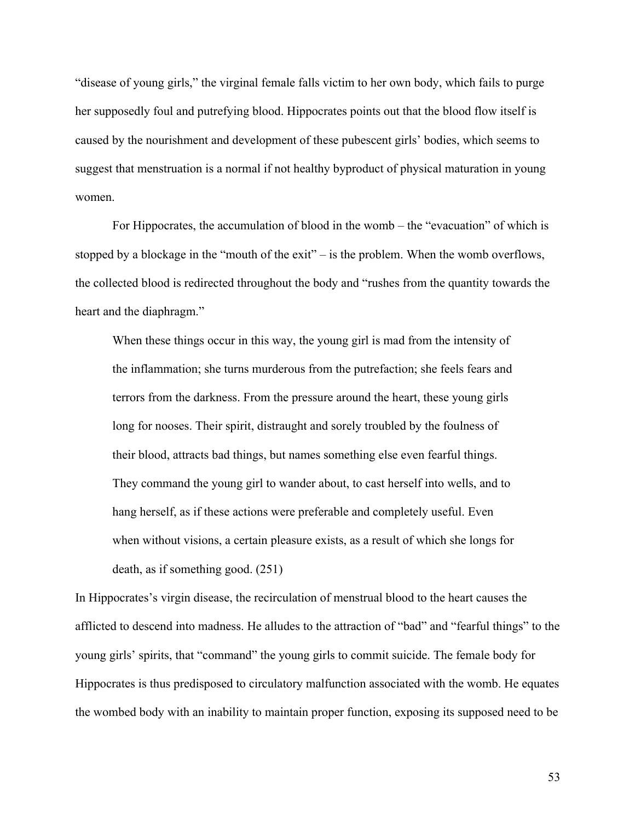"disease of young girls," the virginal female falls victim to her own body, which fails to purge her supposedly foul and putrefying blood. Hippocrates points out that the blood flow itself is caused by the nourishment and development of these pubescent girls' bodies, which seems to suggest that menstruation is a normal if not healthy byproduct of physical maturation in young women.

For Hippocrates, the accumulation of blood in the womb – the "evacuation" of which is stopped by a blockage in the "mouth of the exit" – is the problem. When the womb overflows, the collected blood is redirected throughout the body and "rushes from the quantity towards the heart and the diaphragm."

When these things occur in this way, the young girl is mad from the intensity of the inflammation; she turns murderous from the putrefaction; she feels fears and terrors from the darkness. From the pressure around the heart, these young girls long for nooses. Their spirit, distraught and sorely troubled by the foulness of their blood, attracts bad things, but names something else even fearful things. They command the young girl to wander about, to cast herself into wells, and to hang herself, as if these actions were preferable and completely useful. Even when without visions, a certain pleasure exists, as a result of which she longs for death, as if something good. (251)

In Hippocrates's virgin disease, the recirculation of menstrual blood to the heart causes the afflicted to descend into madness. He alludes to the attraction of "bad" and "fearful things" to the young girls' spirits, that "command" the young girls to commit suicide. The female body for Hippocrates is thus predisposed to circulatory malfunction associated with the womb. He equates the wombed body with an inability to maintain proper function, exposing its supposed need to be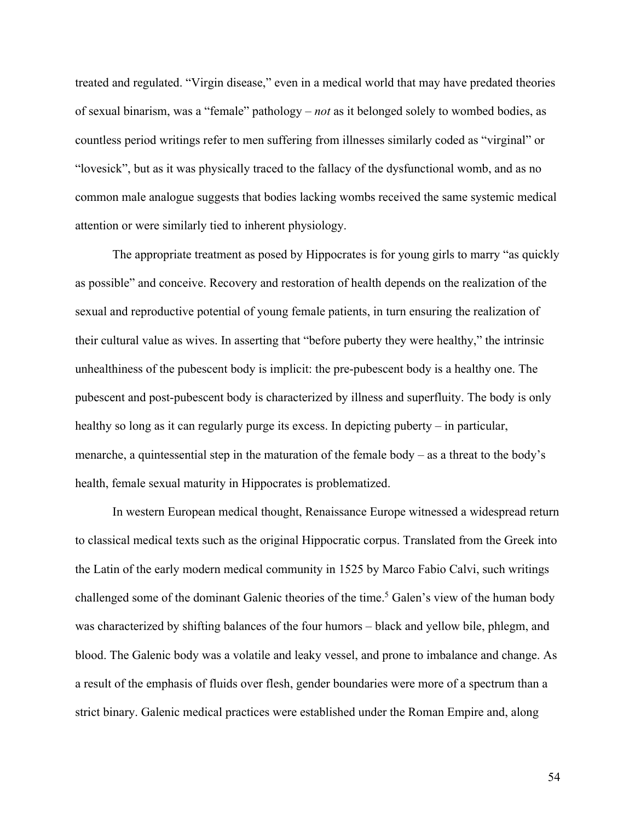treated and regulated. "Virgin disease," even in a medical world that may have predated theories of sexual binarism, was a "female" pathology – *not* as it belonged solely to wombed bodies, as countless period writings refer to men suffering from illnesses similarly coded as "virginal" or "lovesick", but as it was physically traced to the fallacy of the dysfunctional womb, and as no common male analogue suggests that bodies lacking wombs received the same systemic medical attention or were similarly tied to inherent physiology.

The appropriate treatment as posed by Hippocrates is for young girls to marry "as quickly as possible" and conceive. Recovery and restoration of health depends on the realization of the sexual and reproductive potential of young female patients, in turn ensuring the realization of their cultural value as wives. In asserting that "before puberty they were healthy," the intrinsic unhealthiness of the pubescent body is implicit: the pre-pubescent body is a healthy one. The pubescent and post-pubescent body is characterized by illness and superfluity. The body is only healthy so long as it can regularly purge its excess. In depicting puberty – in particular, menarche, a quintessential step in the maturation of the female body – as a threat to the body's health, female sexual maturity in Hippocrates is problematized.

In western European medical thought, Renaissance Europe witnessed a widespread return to classical medical texts such as the original Hippocratic corpus. Translated from the Greek into the Latin of the early modern medical community in 1525 by Marco Fabio Calvi, such writings challenged some of the dominant Galenic theories of the time.<sup>5</sup> Galen's view of the human body was characterized by shifting balances of the four humors – black and yellow bile, phlegm, and blood. The Galenic body was a volatile and leaky vessel, and prone to imbalance and change. As a result of the emphasis of fluids over flesh, gender boundaries were more of a spectrum than a strict binary. Galenic medical practices were established under the Roman Empire and, along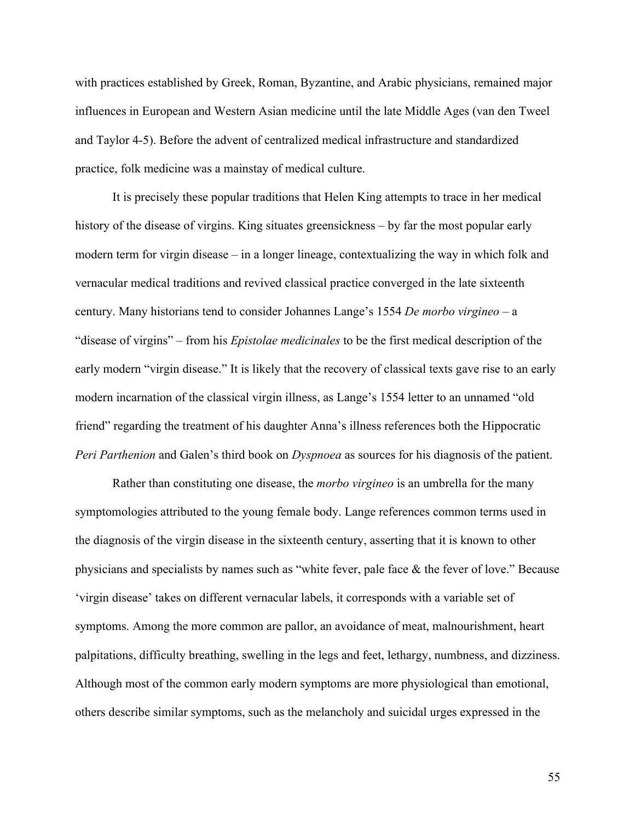with practices established by Greek, Roman, Byzantine, and Arabic physicians, remained major influences in European and Western Asian medicine until the late Middle Ages (van den Tweel and Taylor 4-5). Before the advent of centralized medical infrastructure and standardized practice, folk medicine was a mainstay of medical culture.

It is precisely these popular traditions that Helen King attempts to trace in her medical history of the disease of virgins. King situates greensickness – by far the most popular early modern term for virgin disease – in a longer lineage, contextualizing the way in which folk and vernacular medical traditions and revived classical practice converged in the late sixteenth century. Many historians tend to consider Johannes Lange's 1554 *De morbo virgineo* – a "disease of virgins" – from his *Epistolae medicinales* to be the first medical description of the early modern "virgin disease." It is likely that the recovery of classical texts gave rise to an early modern incarnation of the classical virgin illness, as Lange's 1554 letter to an unnamed "old friend" regarding the treatment of his daughter Anna's illness references both the Hippocratic *Peri Parthenion* and Galen's third book on *Dyspnoea* as sources for his diagnosis of the patient.

Rather than constituting one disease, the *morbo virgineo* is an umbrella for the many symptomologies attributed to the young female body. Lange references common terms used in the diagnosis of the virgin disease in the sixteenth century, asserting that it is known to other physicians and specialists by names such as "white fever, pale face & the fever of love." Because 'virgin disease' takes on different vernacular labels, it corresponds with a variable set of symptoms. Among the more common are pallor, an avoidance of meat, malnourishment, heart palpitations, difficulty breathing, swelling in the legs and feet, lethargy, numbness, and dizziness. Although most of the common early modern symptoms are more physiological than emotional, others describe similar symptoms, such as the melancholy and suicidal urges expressed in the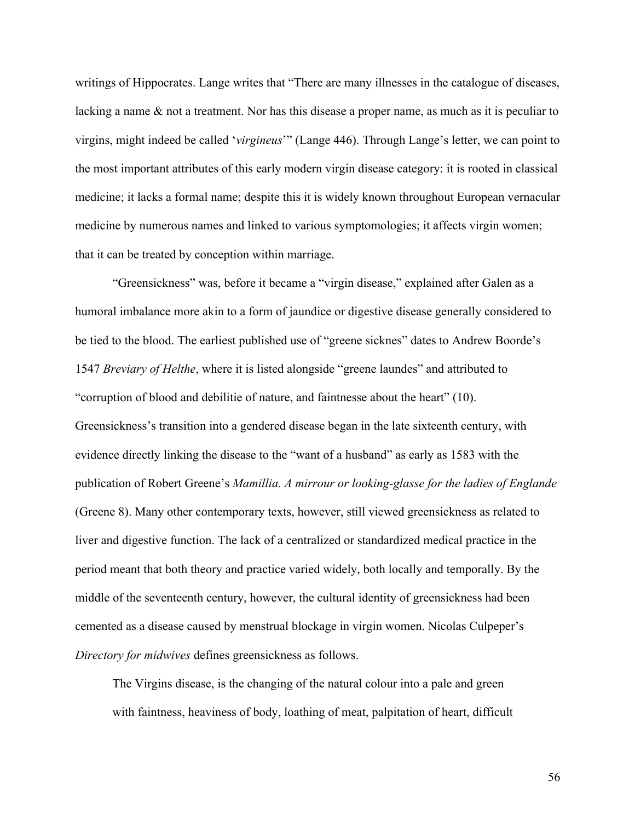writings of Hippocrates. Lange writes that "There are many illnesses in the catalogue of diseases, lacking a name & not a treatment. Nor has this disease a proper name, as much as it is peculiar to virgins, might indeed be called '*virgineus*'" (Lange 446). Through Lange's letter, we can point to the most important attributes of this early modern virgin disease category: it is rooted in classical medicine; it lacks a formal name; despite this it is widely known throughout European vernacular medicine by numerous names and linked to various symptomologies; it affects virgin women; that it can be treated by conception within marriage.

"Greensickness" was, before it became a "virgin disease," explained after Galen as a humoral imbalance more akin to a form of jaundice or digestive disease generally considered to be tied to the blood. The earliest published use of "greene sicknes" dates to Andrew Boorde's 1547 *Breviary of Helthe*, where it is listed alongside "greene laundes" and attributed to "corruption of blood and debilitie of nature, and faintnesse about the heart" (10). Greensickness's transition into a gendered disease began in the late sixteenth century, with evidence directly linking the disease to the "want of a husband" as early as 1583 with the publication of Robert Greene's *Mamillia. A mirrour or looking-glasse for the ladies of Englande* (Greene 8). Many other contemporary texts, however, still viewed greensickness as related to liver and digestive function. The lack of a centralized or standardized medical practice in the period meant that both theory and practice varied widely, both locally and temporally. By the middle of the seventeenth century, however, the cultural identity of greensickness had been cemented as a disease caused by menstrual blockage in virgin women. Nicolas Culpeper's *Directory for midwives* defines greensickness as follows.

The Virgins disease, is the changing of the natural colour into a pale and green with faintness, heaviness of body, loathing of meat, palpitation of heart, difficult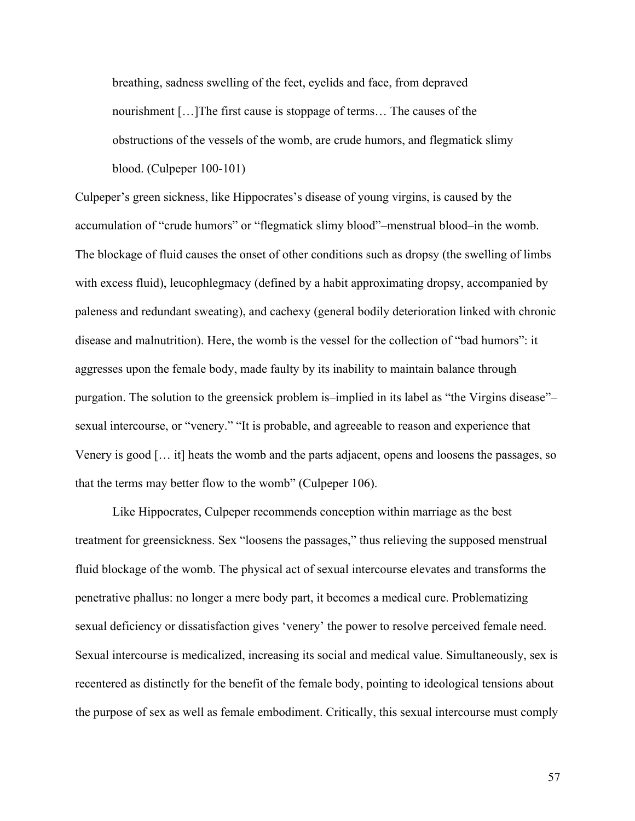breathing, sadness swelling of the feet, eyelids and face, from depraved nourishment […]The first cause is stoppage of terms… The causes of the obstructions of the vessels of the womb, are crude humors, and flegmatick slimy blood. (Culpeper 100-101)

Culpeper's green sickness, like Hippocrates's disease of young virgins, is caused by the accumulation of "crude humors" or "flegmatick slimy blood"–menstrual blood–in the womb. The blockage of fluid causes the onset of other conditions such as dropsy (the swelling of limbs with excess fluid), leucophlegmacy (defined by a habit approximating dropsy, accompanied by paleness and redundant sweating), and cachexy (general bodily deterioration linked with chronic disease and malnutrition). Here, the womb is the vessel for the collection of "bad humors": it aggresses upon the female body, made faulty by its inability to maintain balance through purgation. The solution to the greensick problem is–implied in its label as "the Virgins disease"– sexual intercourse, or "venery." "It is probable, and agreeable to reason and experience that Venery is good [… it] heats the womb and the parts adjacent, opens and loosens the passages, so that the terms may better flow to the womb" (Culpeper 106).

Like Hippocrates, Culpeper recommends conception within marriage as the best treatment for greensickness. Sex "loosens the passages," thus relieving the supposed menstrual fluid blockage of the womb. The physical act of sexual intercourse elevates and transforms the penetrative phallus: no longer a mere body part, it becomes a medical cure. Problematizing sexual deficiency or dissatisfaction gives 'venery' the power to resolve perceived female need. Sexual intercourse is medicalized, increasing its social and medical value. Simultaneously, sex is recentered as distinctly for the benefit of the female body, pointing to ideological tensions about the purpose of sex as well as female embodiment. Critically, this sexual intercourse must comply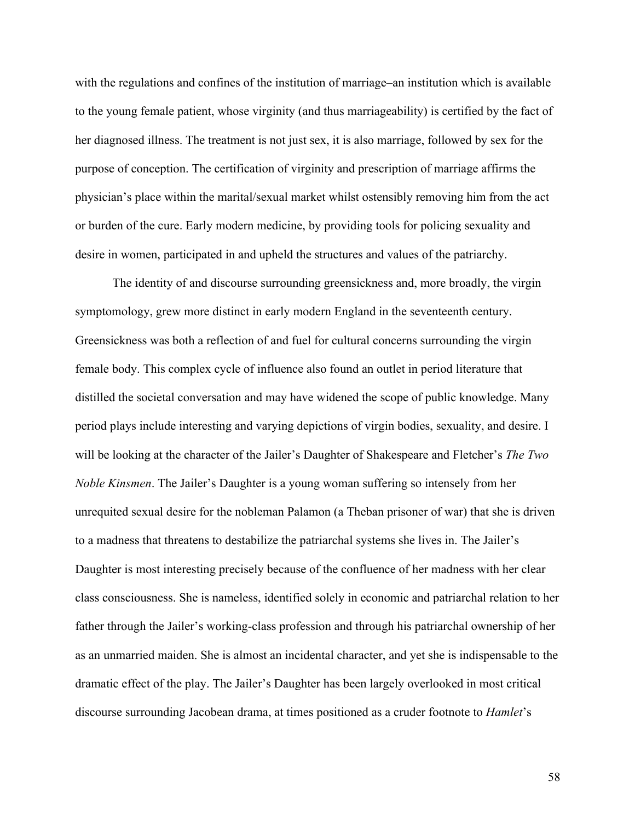with the regulations and confines of the institution of marriage–an institution which is available to the young female patient, whose virginity (and thus marriageability) is certified by the fact of her diagnosed illness. The treatment is not just sex, it is also marriage, followed by sex for the purpose of conception. The certification of virginity and prescription of marriage affirms the physician's place within the marital/sexual market whilst ostensibly removing him from the act or burden of the cure. Early modern medicine, by providing tools for policing sexuality and desire in women, participated in and upheld the structures and values of the patriarchy.

The identity of and discourse surrounding greensickness and, more broadly, the virgin symptomology, grew more distinct in early modern England in the seventeenth century. Greensickness was both a reflection of and fuel for cultural concerns surrounding the virgin female body. This complex cycle of influence also found an outlet in period literature that distilled the societal conversation and may have widened the scope of public knowledge. Many period plays include interesting and varying depictions of virgin bodies, sexuality, and desire. I will be looking at the character of the Jailer's Daughter of Shakespeare and Fletcher's *The Two Noble Kinsmen*. The Jailer's Daughter is a young woman suffering so intensely from her unrequited sexual desire for the nobleman Palamon (a Theban prisoner of war) that she is driven to a madness that threatens to destabilize the patriarchal systems she lives in. The Jailer's Daughter is most interesting precisely because of the confluence of her madness with her clear class consciousness. She is nameless, identified solely in economic and patriarchal relation to her father through the Jailer's working-class profession and through his patriarchal ownership of her as an unmarried maiden. She is almost an incidental character, and yet she is indispensable to the dramatic effect of the play. The Jailer's Daughter has been largely overlooked in most critical discourse surrounding Jacobean drama, at times positioned as a cruder footnote to *Hamlet*'s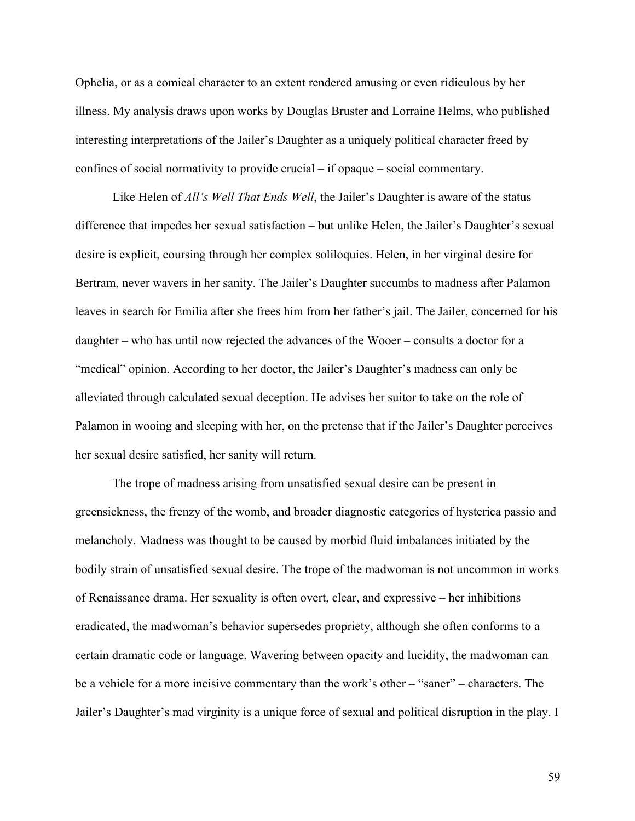Ophelia, or as a comical character to an extent rendered amusing or even ridiculous by her illness. My analysis draws upon works by Douglas Bruster and Lorraine Helms, who published interesting interpretations of the Jailer's Daughter as a uniquely political character freed by confines of social normativity to provide crucial – if opaque – social commentary.

Like Helen of *All's Well That Ends Well*, the Jailer's Daughter is aware of the status difference that impedes her sexual satisfaction – but unlike Helen, the Jailer's Daughter's sexual desire is explicit, coursing through her complex soliloquies. Helen, in her virginal desire for Bertram, never wavers in her sanity. The Jailer's Daughter succumbs to madness after Palamon leaves in search for Emilia after she frees him from her father's jail. The Jailer, concerned for his daughter – who has until now rejected the advances of the Wooer – consults a doctor for a "medical" opinion. According to her doctor, the Jailer's Daughter's madness can only be alleviated through calculated sexual deception. He advises her suitor to take on the role of Palamon in wooing and sleeping with her, on the pretense that if the Jailer's Daughter perceives her sexual desire satisfied, her sanity will return.

The trope of madness arising from unsatisfied sexual desire can be present in greensickness, the frenzy of the womb, and broader diagnostic categories of hysterica passio and melancholy. Madness was thought to be caused by morbid fluid imbalances initiated by the bodily strain of unsatisfied sexual desire. The trope of the madwoman is not uncommon in works of Renaissance drama. Her sexuality is often overt, clear, and expressive – her inhibitions eradicated, the madwoman's behavior supersedes propriety, although she often conforms to a certain dramatic code or language. Wavering between opacity and lucidity, the madwoman can be a vehicle for a more incisive commentary than the work's other – "saner" – characters. The Jailer's Daughter's mad virginity is a unique force of sexual and political disruption in the play. I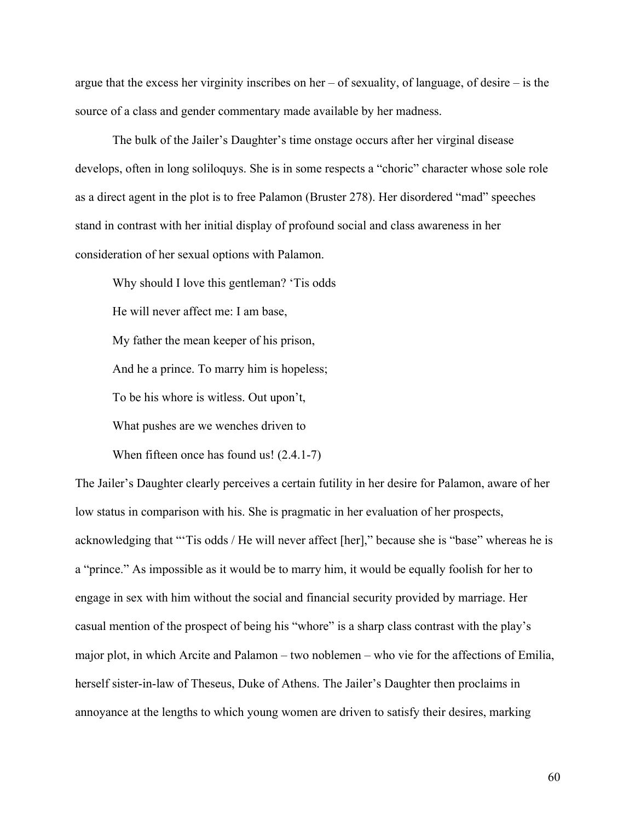argue that the excess her virginity inscribes on her – of sexuality, of language, of desire – is the source of a class and gender commentary made available by her madness.

The bulk of the Jailer's Daughter's time onstage occurs after her virginal disease develops, often in long soliloquys. She is in some respects a "choric" character whose sole role as a direct agent in the plot is to free Palamon (Bruster 278). Her disordered "mad" speeches stand in contrast with her initial display of profound social and class awareness in her consideration of her sexual options with Palamon.

Why should I love this gentleman? 'Tis odds

He will never affect me: I am base,

My father the mean keeper of his prison,

And he a prince. To marry him is hopeless;

To be his whore is witless. Out upon't,

What pushes are we wenches driven to

When fifteen once has found us!  $(2.4.1-7)$ 

The Jailer's Daughter clearly perceives a certain futility in her desire for Palamon, aware of her low status in comparison with his. She is pragmatic in her evaluation of her prospects, acknowledging that "'Tis odds / He will never affect [her]," because she is "base" whereas he is a "prince." As impossible as it would be to marry him, it would be equally foolish for her to engage in sex with him without the social and financial security provided by marriage. Her casual mention of the prospect of being his "whore" is a sharp class contrast with the play's major plot, in which Arcite and Palamon – two noblemen – who vie for the affections of Emilia, herself sister-in-law of Theseus, Duke of Athens. The Jailer's Daughter then proclaims in annoyance at the lengths to which young women are driven to satisfy their desires, marking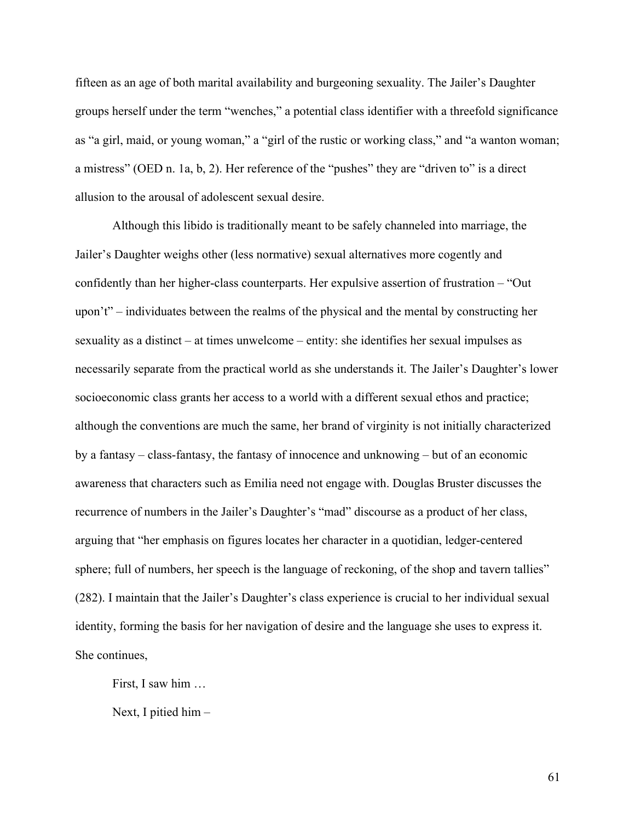fifteen as an age of both marital availability and burgeoning sexuality. The Jailer's Daughter groups herself under the term "wenches," a potential class identifier with a threefold significance as "a girl, maid, or young woman," a "girl of the rustic or working class," and "a wanton woman; a mistress" (OED n. 1a, b, 2). Her reference of the "pushes" they are "driven to" is a direct allusion to the arousal of adolescent sexual desire.

Although this libido is traditionally meant to be safely channeled into marriage, the Jailer's Daughter weighs other (less normative) sexual alternatives more cogently and confidently than her higher-class counterparts. Her expulsive assertion of frustration – "Out upon't" – individuates between the realms of the physical and the mental by constructing her sexuality as a distinct – at times unwelcome – entity: she identifies her sexual impulses as necessarily separate from the practical world as she understands it. The Jailer's Daughter's lower socioeconomic class grants her access to a world with a different sexual ethos and practice; although the conventions are much the same, her brand of virginity is not initially characterized by a fantasy – class-fantasy, the fantasy of innocence and unknowing – but of an economic awareness that characters such as Emilia need not engage with. Douglas Bruster discusses the recurrence of numbers in the Jailer's Daughter's "mad" discourse as a product of her class, arguing that "her emphasis on figures locates her character in a quotidian, ledger-centered sphere; full of numbers, her speech is the language of reckoning, of the shop and tavern tallies" (282). I maintain that the Jailer's Daughter's class experience is crucial to her individual sexual identity, forming the basis for her navigation of desire and the language she uses to express it. She continues,

First, I saw him …

Next, I pitied him –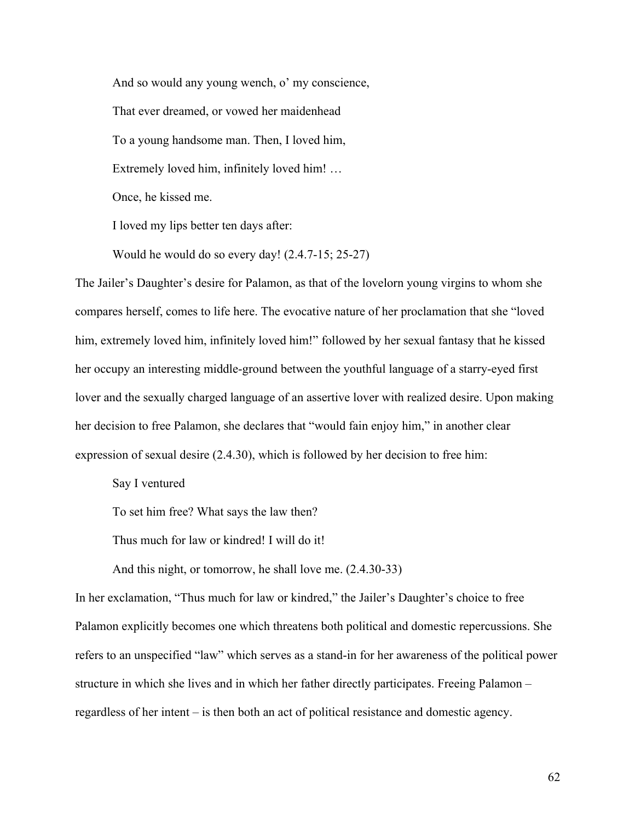And so would any young wench, o' my conscience, That ever dreamed, or vowed her maidenhead To a young handsome man. Then, I loved him, Extremely loved him, infinitely loved him! … Once, he kissed me.

I loved my lips better ten days after:

Would he would do so every day! (2.4.7-15; 25-27)

The Jailer's Daughter's desire for Palamon, as that of the lovelorn young virgins to whom she compares herself, comes to life here. The evocative nature of her proclamation that she "loved him, extremely loved him, infinitely loved him!" followed by her sexual fantasy that he kissed her occupy an interesting middle-ground between the youthful language of a starry-eyed first lover and the sexually charged language of an assertive lover with realized desire. Upon making her decision to free Palamon, she declares that "would fain enjoy him," in another clear expression of sexual desire (2.4.30), which is followed by her decision to free him:

Say I ventured

To set him free? What says the law then?

Thus much for law or kindred! I will do it!

And this night, or tomorrow, he shall love me. (2.4.30-33)

In her exclamation, "Thus much for law or kindred," the Jailer's Daughter's choice to free Palamon explicitly becomes one which threatens both political and domestic repercussions. She refers to an unspecified "law" which serves as a stand-in for her awareness of the political power structure in which she lives and in which her father directly participates. Freeing Palamon – regardless of her intent – is then both an act of political resistance and domestic agency.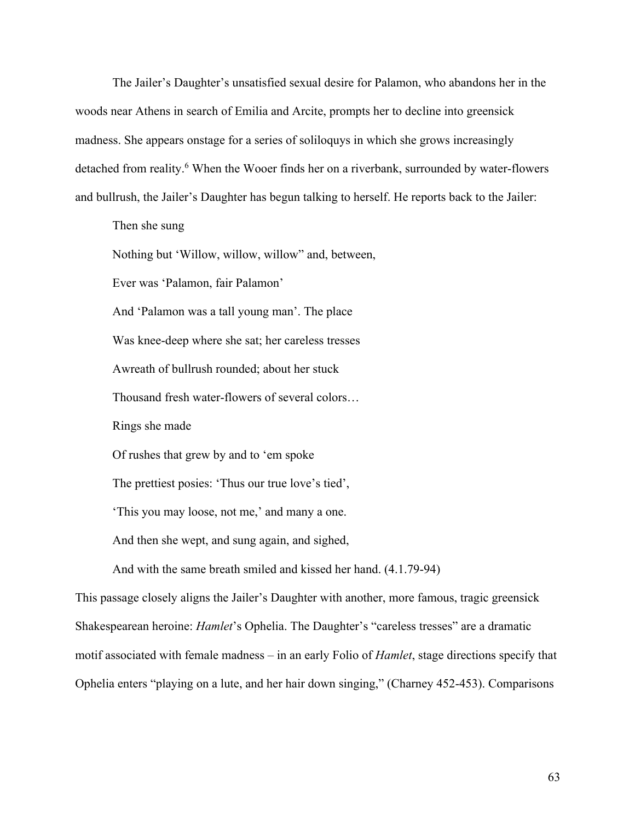The Jailer's Daughter's unsatisfied sexual desire for Palamon, who abandons her in the woods near Athens in search of Emilia and Arcite, prompts her to decline into greensick madness. She appears onstage for a series of soliloquys in which she grows increasingly detached from reality. <sup>6</sup> When the Wooer finds her on a riverbank, surrounded by water-flowers and bullrush, the Jailer's Daughter has begun talking to herself. He reports back to the Jailer:

Then she sung

Nothing but 'Willow, willow, willow" and, between,

Ever was 'Palamon, fair Palamon'

And 'Palamon was a tall young man'. The place

Was knee-deep where she sat; her careless tresses

Awreath of bullrush rounded; about her stuck

Thousand fresh water-flowers of several colors…

Rings she made

Of rushes that grew by and to 'em spoke

The prettiest posies: 'Thus our true love's tied',

'This you may loose, not me,' and many a one.

And then she wept, and sung again, and sighed,

And with the same breath smiled and kissed her hand. (4.1.79-94)

This passage closely aligns the Jailer's Daughter with another, more famous, tragic greensick Shakespearean heroine: *Hamlet*'s Ophelia. The Daughter's "careless tresses" are a dramatic motif associated with female madness – in an early Folio of *Hamlet*, stage directions specify that Ophelia enters "playing on a lute, and her hair down singing," (Charney 452-453). Comparisons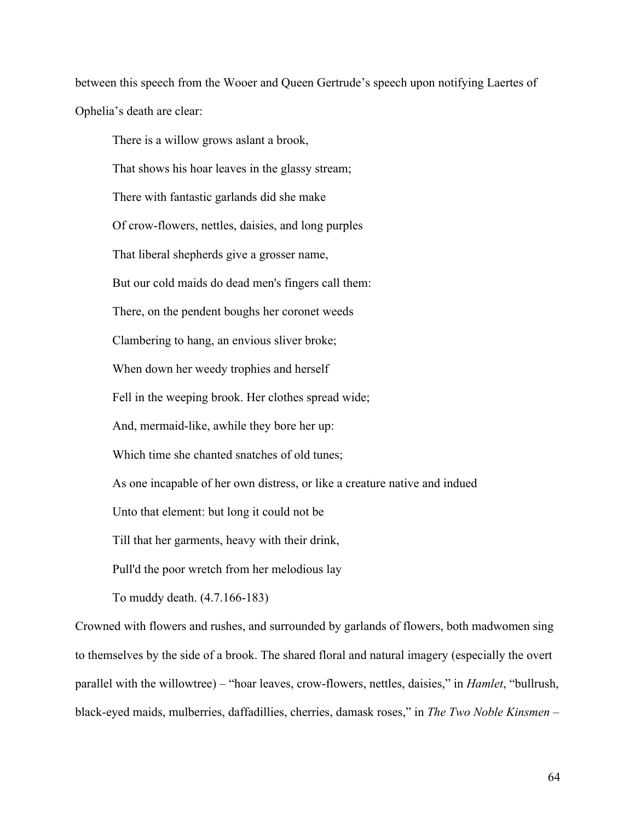between this speech from the Wooer and Queen Gertrude's speech upon notifying Laertes of Ophelia's death are clear:

There is a willow grows aslant a brook, That shows his hoar leaves in the glassy stream; There with fantastic garlands did she make Of crow-flowers, nettles, daisies, and long purples That liberal shepherds give a grosser name, But our cold maids do dead men's fingers call them: There, on the pendent boughs her coronet weeds Clambering to hang, an envious sliver broke; When down her weedy trophies and herself Fell in the weeping brook. Her clothes spread wide; And, mermaid-like, awhile they bore her up: Which time she chanted snatches of old tunes; As one incapable of her own distress, or like a creature native and indued Unto that element: but long it could not be Till that her garments, heavy with their drink, Pull'd the poor wretch from her melodious lay To muddy death. (4.7.166-183)

Crowned with flowers and rushes, and surrounded by garlands of flowers, both madwomen sing to themselves by the side of a brook. The shared floral and natural imagery (especially the overt parallel with the willowtree) – "hoar leaves, crow-flowers, nettles, daisies," in *Hamlet*, "bullrush, black-eyed maids, mulberries, daffadillies, cherries, damask roses," in *The Two Noble Kinsmen* –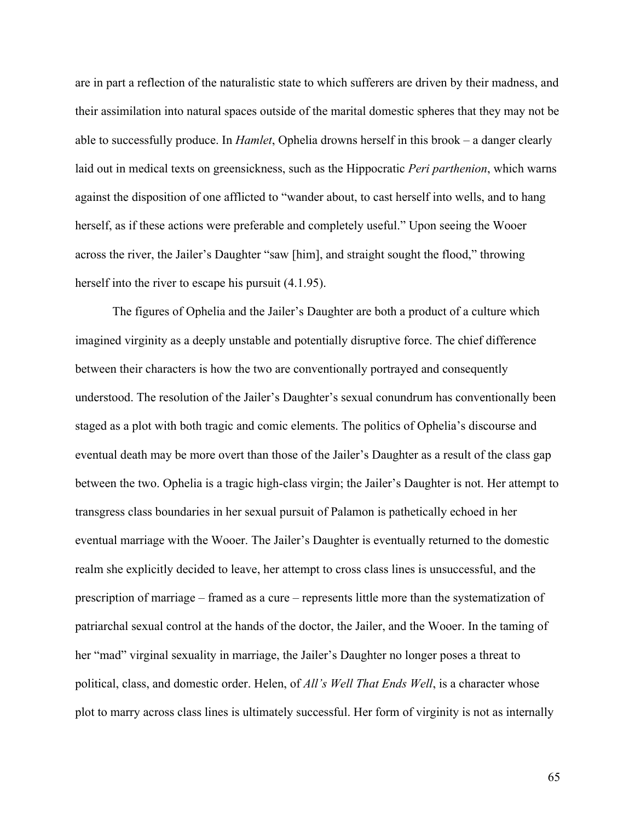are in part a reflection of the naturalistic state to which sufferers are driven by their madness, and their assimilation into natural spaces outside of the marital domestic spheres that they may not be able to successfully produce. In *Hamlet*, Ophelia drowns herself in this brook – a danger clearly laid out in medical texts on greensickness, such as the Hippocratic *Peri parthenion*, which warns against the disposition of one afflicted to "wander about, to cast herself into wells, and to hang herself, as if these actions were preferable and completely useful." Upon seeing the Wooer across the river, the Jailer's Daughter "saw [him], and straight sought the flood," throwing herself into the river to escape his pursuit  $(4.1.95)$ .

The figures of Ophelia and the Jailer's Daughter are both a product of a culture which imagined virginity as a deeply unstable and potentially disruptive force. The chief difference between their characters is how the two are conventionally portrayed and consequently understood. The resolution of the Jailer's Daughter's sexual conundrum has conventionally been staged as a plot with both tragic and comic elements. The politics of Ophelia's discourse and eventual death may be more overt than those of the Jailer's Daughter as a result of the class gap between the two. Ophelia is a tragic high-class virgin; the Jailer's Daughter is not. Her attempt to transgress class boundaries in her sexual pursuit of Palamon is pathetically echoed in her eventual marriage with the Wooer. The Jailer's Daughter is eventually returned to the domestic realm she explicitly decided to leave, her attempt to cross class lines is unsuccessful, and the prescription of marriage – framed as a cure – represents little more than the systematization of patriarchal sexual control at the hands of the doctor, the Jailer, and the Wooer. In the taming of her "mad" virginal sexuality in marriage, the Jailer's Daughter no longer poses a threat to political, class, and domestic order. Helen, of *All's Well That Ends Well*, is a character whose plot to marry across class lines is ultimately successful. Her form of virginity is not as internally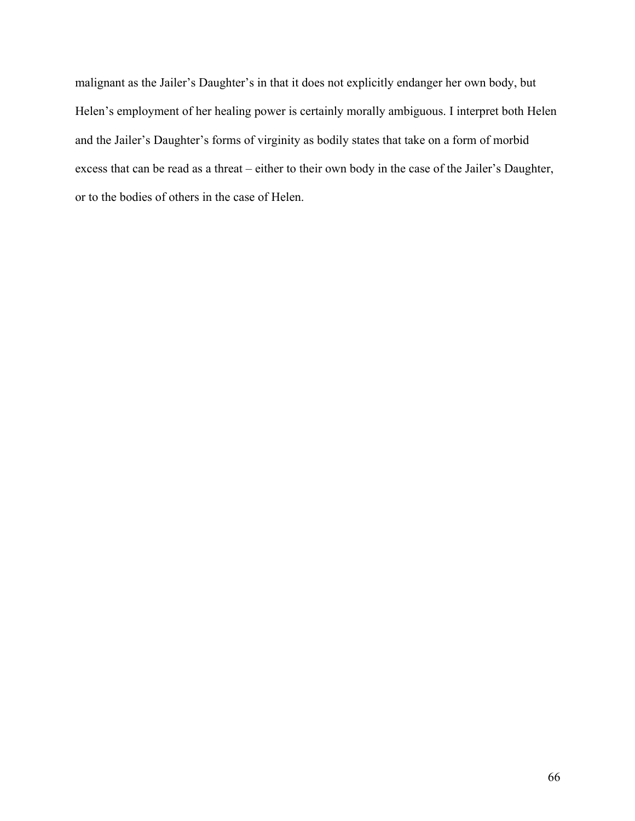malignant as the Jailer's Daughter's in that it does not explicitly endanger her own body, but Helen's employment of her healing power is certainly morally ambiguous. I interpret both Helen and the Jailer's Daughter's forms of virginity as bodily states that take on a form of morbid excess that can be read as a threat – either to their own body in the case of the Jailer's Daughter, or to the bodies of others in the case of Helen.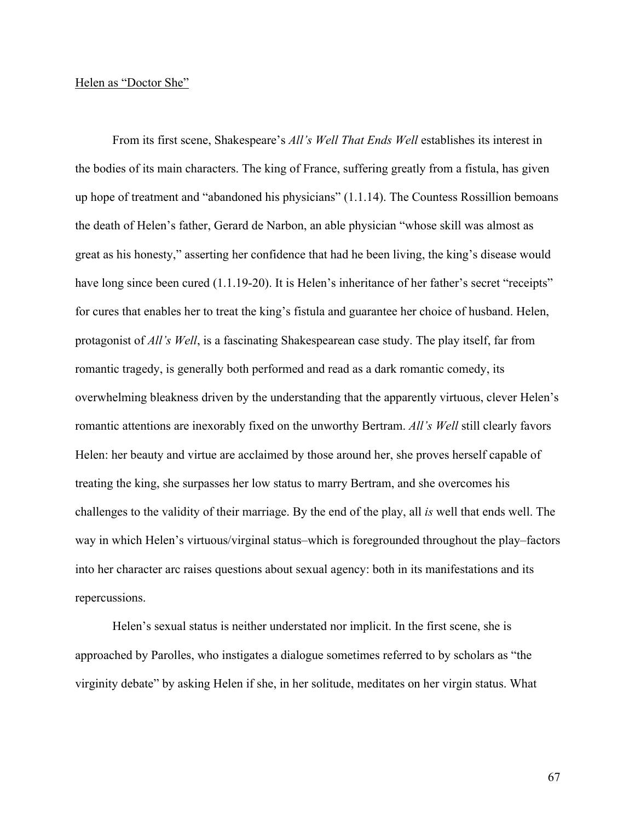## Helen as "Doctor She"

From its first scene, Shakespeare's *All's Well That Ends Well* establishes its interest in the bodies of its main characters. The king of France, suffering greatly from a fistula, has given up hope of treatment and "abandoned his physicians" (1.1.14). The Countess Rossillion bemoans the death of Helen's father, Gerard de Narbon, an able physician "whose skill was almost as great as his honesty," asserting her confidence that had he been living, the king's disease would have long since been cured (1.1.19-20). It is Helen's inheritance of her father's secret "receipts" for cures that enables her to treat the king's fistula and guarantee her choice of husband. Helen, protagonist of *All's Well*, is a fascinating Shakespearean case study. The play itself, far from romantic tragedy, is generally both performed and read as a dark romantic comedy, its overwhelming bleakness driven by the understanding that the apparently virtuous, clever Helen's romantic attentions are inexorably fixed on the unworthy Bertram. *All's Well* still clearly favors Helen: her beauty and virtue are acclaimed by those around her, she proves herself capable of treating the king, she surpasses her low status to marry Bertram, and she overcomes his challenges to the validity of their marriage. By the end of the play, all *is* well that ends well. The way in which Helen's virtuous/virginal status–which is foregrounded throughout the play–factors into her character arc raises questions about sexual agency: both in its manifestations and its repercussions.

Helen's sexual status is neither understated nor implicit. In the first scene, she is approached by Parolles, who instigates a dialogue sometimes referred to by scholars as "the virginity debate" by asking Helen if she, in her solitude, meditates on her virgin status. What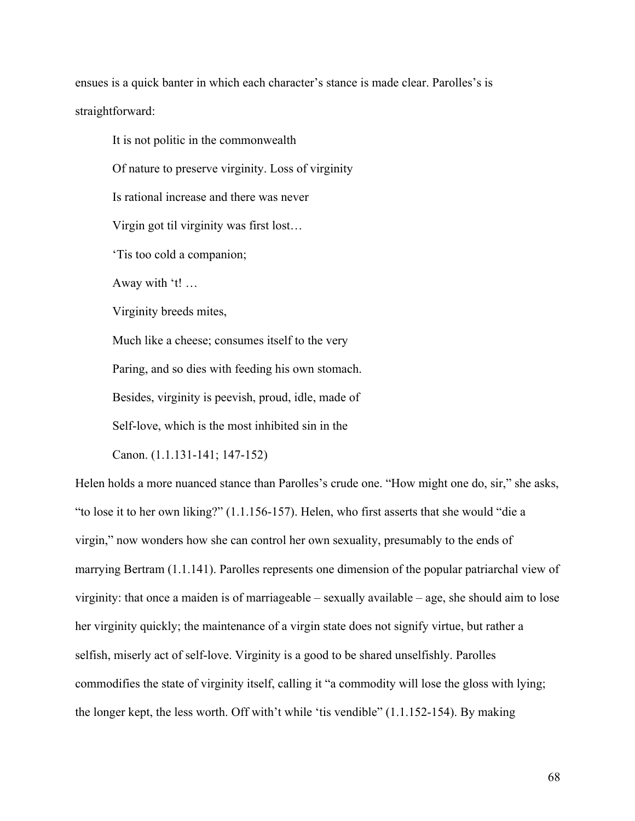ensues is a quick banter in which each character's stance is made clear. Parolles's is straightforward:

It is not politic in the commonwealth Of nature to preserve virginity. Loss of virginity Is rational increase and there was never Virgin got til virginity was first lost… 'Tis too cold a companion; Away with 't! … Virginity breeds mites, Much like a cheese; consumes itself to the very Paring, and so dies with feeding his own stomach. Besides, virginity is peevish, proud, idle, made of Self-love, which is the most inhibited sin in the Canon. (1.1.131-141; 147-152)

Helen holds a more nuanced stance than Parolles's crude one. "How might one do, sir," she asks, "to lose it to her own liking?" (1.1.156-157). Helen, who first asserts that she would "die a virgin," now wonders how she can control her own sexuality, presumably to the ends of marrying Bertram (1.1.141). Parolles represents one dimension of the popular patriarchal view of virginity: that once a maiden is of marriageable – sexually available – age, she should aim to lose her virginity quickly; the maintenance of a virgin state does not signify virtue, but rather a selfish, miserly act of self-love. Virginity is a good to be shared unselfishly. Parolles commodifies the state of virginity itself, calling it "a commodity will lose the gloss with lying; the longer kept, the less worth. Off with't while 'tis vendible" (1.1.152-154). By making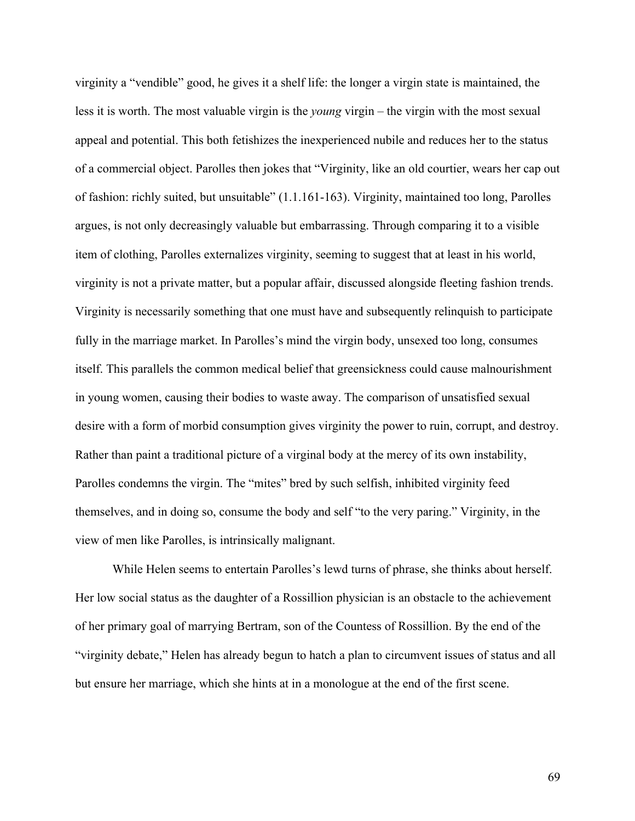virginity a "vendible" good, he gives it a shelf life: the longer a virgin state is maintained, the less it is worth. The most valuable virgin is the *young* virgin – the virgin with the most sexual appeal and potential. This both fetishizes the inexperienced nubile and reduces her to the status of a commercial object. Parolles then jokes that "Virginity, like an old courtier, wears her cap out of fashion: richly suited, but unsuitable" (1.1.161-163). Virginity, maintained too long, Parolles argues, is not only decreasingly valuable but embarrassing. Through comparing it to a visible item of clothing, Parolles externalizes virginity, seeming to suggest that at least in his world, virginity is not a private matter, but a popular affair, discussed alongside fleeting fashion trends. Virginity is necessarily something that one must have and subsequently relinquish to participate fully in the marriage market. In Parolles's mind the virgin body, unsexed too long, consumes itself. This parallels the common medical belief that greensickness could cause malnourishment in young women, causing their bodies to waste away. The comparison of unsatisfied sexual desire with a form of morbid consumption gives virginity the power to ruin, corrupt, and destroy. Rather than paint a traditional picture of a virginal body at the mercy of its own instability, Parolles condemns the virgin. The "mites" bred by such selfish, inhibited virginity feed themselves, and in doing so, consume the body and self "to the very paring." Virginity, in the view of men like Parolles, is intrinsically malignant.

While Helen seems to entertain Parolles's lewd turns of phrase, she thinks about herself. Her low social status as the daughter of a Rossillion physician is an obstacle to the achievement of her primary goal of marrying Bertram, son of the Countess of Rossillion. By the end of the "virginity debate," Helen has already begun to hatch a plan to circumvent issues of status and all but ensure her marriage, which she hints at in a monologue at the end of the first scene.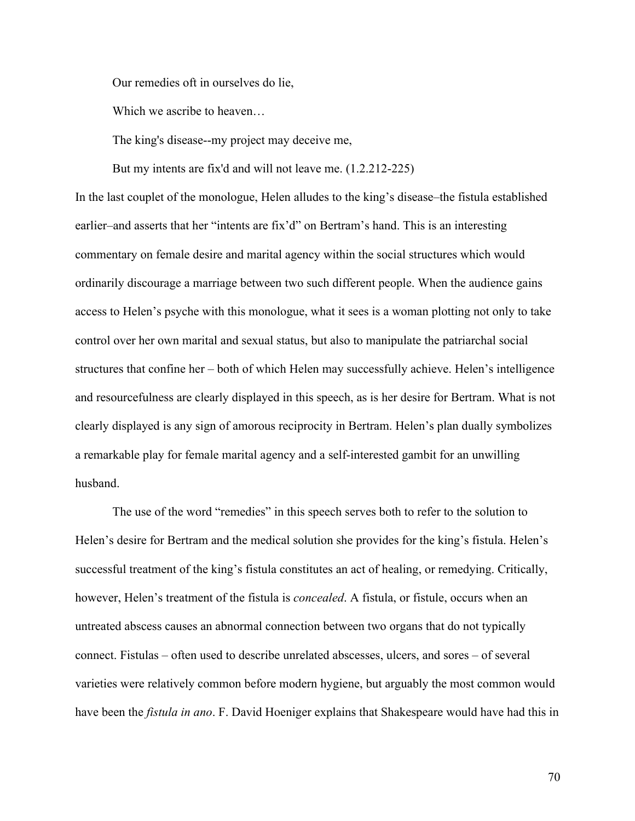Our remedies oft in ourselves do lie,

Which we ascribe to heaven…

The king's disease--my project may deceive me,

But my intents are fix'd and will not leave me. (1.2.212-225)

In the last couplet of the monologue, Helen alludes to the king's disease–the fistula established earlier–and asserts that her "intents are fix'd" on Bertram's hand. This is an interesting commentary on female desire and marital agency within the social structures which would ordinarily discourage a marriage between two such different people. When the audience gains access to Helen's psyche with this monologue, what it sees is a woman plotting not only to take control over her own marital and sexual status, but also to manipulate the patriarchal social structures that confine her – both of which Helen may successfully achieve. Helen's intelligence and resourcefulness are clearly displayed in this speech, as is her desire for Bertram. What is not clearly displayed is any sign of amorous reciprocity in Bertram. Helen's plan dually symbolizes a remarkable play for female marital agency and a self-interested gambit for an unwilling husband.

The use of the word "remedies" in this speech serves both to refer to the solution to Helen's desire for Bertram and the medical solution she provides for the king's fistula. Helen's successful treatment of the king's fistula constitutes an act of healing, or remedying. Critically, however, Helen's treatment of the fistula is *concealed*. A fistula, or fistule, occurs when an untreated abscess causes an abnormal connection between two organs that do not typically connect. Fistulas – often used to describe unrelated abscesses, ulcers, and sores – of several varieties were relatively common before modern hygiene, but arguably the most common would have been the *fistula in ano*. F. David Hoeniger explains that Shakespeare would have had this in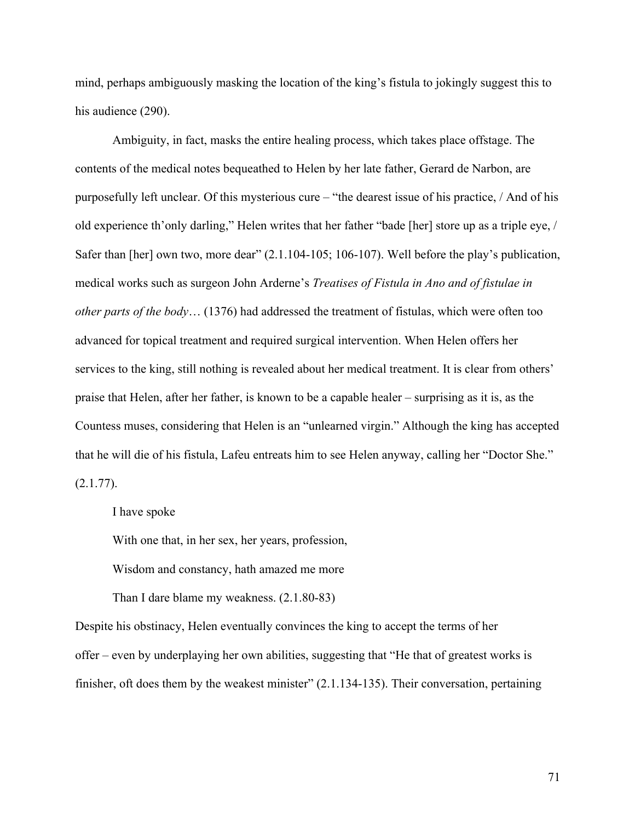mind, perhaps ambiguously masking the location of the king's fistula to jokingly suggest this to his audience (290).

Ambiguity, in fact, masks the entire healing process, which takes place offstage. The contents of the medical notes bequeathed to Helen by her late father, Gerard de Narbon, are purposefully left unclear. Of this mysterious cure – "the dearest issue of his practice, / And of his old experience th'only darling," Helen writes that her father "bade [her] store up as a triple eye, / Safer than [her] own two, more dear" (2.1.104-105; 106-107). Well before the play's publication, medical works such as surgeon John Arderne's *Treatises of Fistula in Ano and of fistulae in other parts of the body*… (1376) had addressed the treatment of fistulas, which were often too advanced for topical treatment and required surgical intervention. When Helen offers her services to the king, still nothing is revealed about her medical treatment. It is clear from others' praise that Helen, after her father, is known to be a capable healer – surprising as it is, as the Countess muses, considering that Helen is an "unlearned virgin." Although the king has accepted that he will die of his fistula, Lafeu entreats him to see Helen anyway, calling her "Doctor She."  $(2.1.77)$ .

I have spoke

With one that, in her sex, her years, profession,

Wisdom and constancy, hath amazed me more

Than I dare blame my weakness. (2.1.80-83)

Despite his obstinacy, Helen eventually convinces the king to accept the terms of her offer – even by underplaying her own abilities, suggesting that "He that of greatest works is finisher, oft does them by the weakest minister" (2.1.134-135). Their conversation, pertaining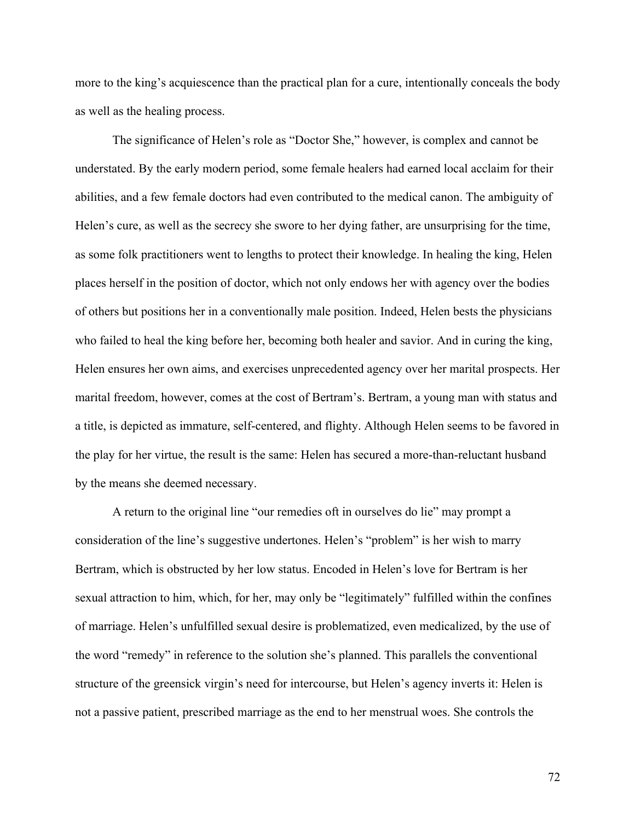more to the king's acquiescence than the practical plan for a cure, intentionally conceals the body as well as the healing process.

The significance of Helen's role as "Doctor She," however, is complex and cannot be understated. By the early modern period, some female healers had earned local acclaim for their abilities, and a few female doctors had even contributed to the medical canon. The ambiguity of Helen's cure, as well as the secrecy she swore to her dying father, are unsurprising for the time, as some folk practitioners went to lengths to protect their knowledge. In healing the king, Helen places herself in the position of doctor, which not only endows her with agency over the bodies of others but positions her in a conventionally male position. Indeed, Helen bests the physicians who failed to heal the king before her, becoming both healer and savior. And in curing the king, Helen ensures her own aims, and exercises unprecedented agency over her marital prospects. Her marital freedom, however, comes at the cost of Bertram's. Bertram, a young man with status and a title, is depicted as immature, self-centered, and flighty. Although Helen seems to be favored in the play for her virtue, the result is the same: Helen has secured a more-than-reluctant husband by the means she deemed necessary.

A return to the original line "our remedies oft in ourselves do lie" may prompt a consideration of the line's suggestive undertones. Helen's "problem" is her wish to marry Bertram, which is obstructed by her low status. Encoded in Helen's love for Bertram is her sexual attraction to him, which, for her, may only be "legitimately" fulfilled within the confines of marriage. Helen's unfulfilled sexual desire is problematized, even medicalized, by the use of the word "remedy" in reference to the solution she's planned. This parallels the conventional structure of the greensick virgin's need for intercourse, but Helen's agency inverts it: Helen is not a passive patient, prescribed marriage as the end to her menstrual woes. She controls the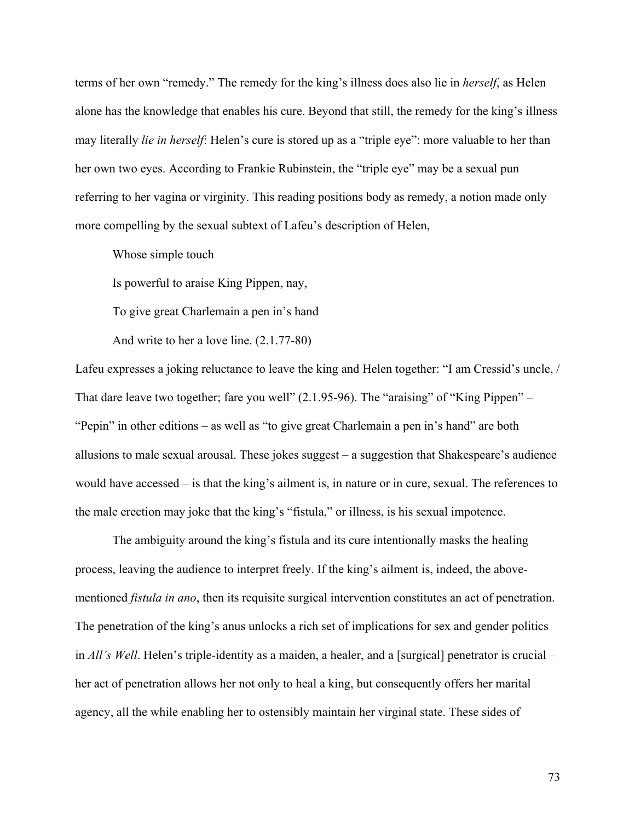terms of her own "remedy." The remedy for the king's illness does also lie in *herself*, as Helen alone has the knowledge that enables his cure. Beyond that still, the remedy for the king's illness may literally *lie in herself*: Helen's cure is stored up as a "triple eye": more valuable to her than her own two eyes. According to Frankie Rubinstein, the "triple eye" may be a sexual pun referring to her vagina or virginity. This reading positions body as remedy, a notion made only more compelling by the sexual subtext of Lafeu's description of Helen,

Whose simple touch

Is powerful to araise King Pippen, nay,

To give great Charlemain a pen in's hand

And write to her a love line. (2.1.77-80)

Lafeu expresses a joking reluctance to leave the king and Helen together: "I am Cressid's uncle, / That dare leave two together; fare you well"  $(2.1.95-96)$ . The "araising" of "King Pippen" – "Pepin" in other editions – as well as "to give great Charlemain a pen in's hand" are both allusions to male sexual arousal. These jokes suggest – a suggestion that Shakespeare's audience would have accessed – is that the king's ailment is, in nature or in cure, sexual. The references to the male erection may joke that the king's "fistula," or illness, is his sexual impotence.

The ambiguity around the king's fistula and its cure intentionally masks the healing process, leaving the audience to interpret freely. If the king's ailment is, indeed, the abovementioned *fistula in ano*, then its requisite surgical intervention constitutes an act of penetration. The penetration of the king's anus unlocks a rich set of implications for sex and gender politics in *All's Well*. Helen's triple-identity as a maiden, a healer, and a [surgical] penetrator is crucial – her act of penetration allows her not only to heal a king, but consequently offers her marital agency, all the while enabling her to ostensibly maintain her virginal state. These sides of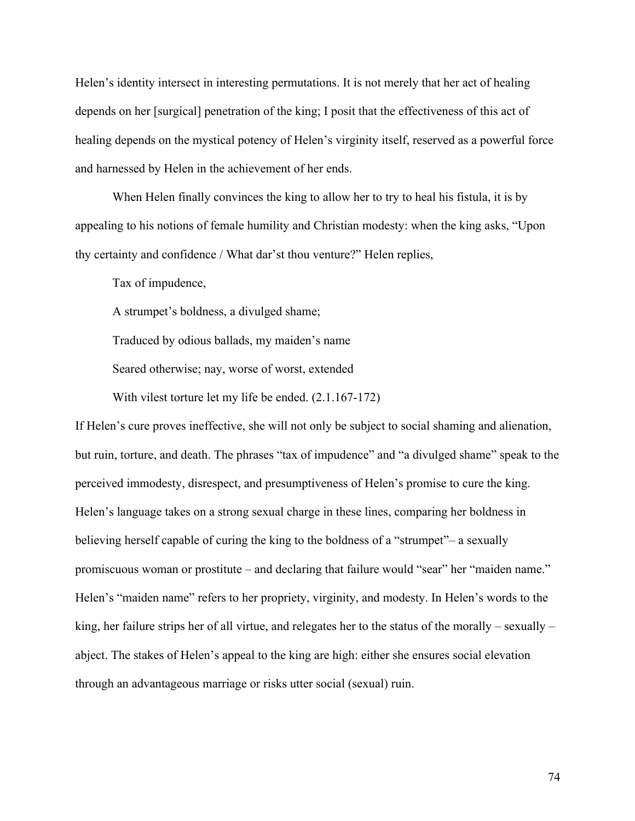Helen's identity intersect in interesting permutations. It is not merely that her act of healing depends on her [surgical] penetration of the king; I posit that the effectiveness of this act of healing depends on the mystical potency of Helen's virginity itself, reserved as a powerful force and harnessed by Helen in the achievement of her ends.

When Helen finally convinces the king to allow her to try to heal his fistula, it is by appealing to his notions of female humility and Christian modesty: when the king asks, "Upon thy certainty and confidence / What dar'st thou venture?" Helen replies,

Tax of impudence,

A strumpet's boldness, a divulged shame;

Traduced by odious ballads, my maiden's name

Seared otherwise; nay, worse of worst, extended

With vilest torture let my life be ended. (2.1.167-172)

If Helen's cure proves ineffective, she will not only be subject to social shaming and alienation, but ruin, torture, and death. The phrases "tax of impudence" and "a divulged shame" speak to the perceived immodesty, disrespect, and presumptiveness of Helen's promise to cure the king. Helen's language takes on a strong sexual charge in these lines, comparing her boldness in believing herself capable of curing the king to the boldness of a "strumpet"– a sexually promiscuous woman or prostitute – and declaring that failure would "sear" her "maiden name." Helen's "maiden name" refers to her propriety, virginity, and modesty. In Helen's words to the king, her failure strips her of all virtue, and relegates her to the status of the morally – sexually – abject. The stakes of Helen's appeal to the king are high: either she ensures social elevation through an advantageous marriage or risks utter social (sexual) ruin.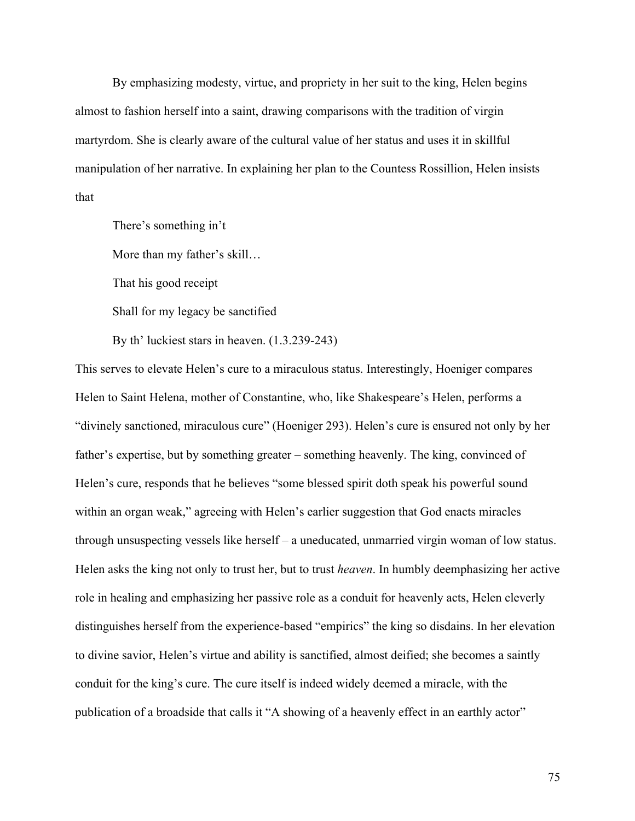By emphasizing modesty, virtue, and propriety in her suit to the king, Helen begins almost to fashion herself into a saint, drawing comparisons with the tradition of virgin martyrdom. She is clearly aware of the cultural value of her status and uses it in skillful manipulation of her narrative. In explaining her plan to the Countess Rossillion, Helen insists that

There's something in't More than my father's skill… That his good receipt Shall for my legacy be sanctified By th' luckiest stars in heaven. (1.3.239-243)

This serves to elevate Helen's cure to a miraculous status. Interestingly, Hoeniger compares Helen to Saint Helena, mother of Constantine, who, like Shakespeare's Helen, performs a "divinely sanctioned, miraculous cure" (Hoeniger 293). Helen's cure is ensured not only by her father's expertise, but by something greater – something heavenly. The king, convinced of Helen's cure, responds that he believes "some blessed spirit doth speak his powerful sound within an organ weak," agreeing with Helen's earlier suggestion that God enacts miracles through unsuspecting vessels like herself – a uneducated, unmarried virgin woman of low status. Helen asks the king not only to trust her, but to trust *heaven*. In humbly deemphasizing her active role in healing and emphasizing her passive role as a conduit for heavenly acts, Helen cleverly distinguishes herself from the experience-based "empirics" the king so disdains. In her elevation to divine savior, Helen's virtue and ability is sanctified, almost deified; she becomes a saintly conduit for the king's cure. The cure itself is indeed widely deemed a miracle, with the publication of a broadside that calls it "A showing of a heavenly effect in an earthly actor"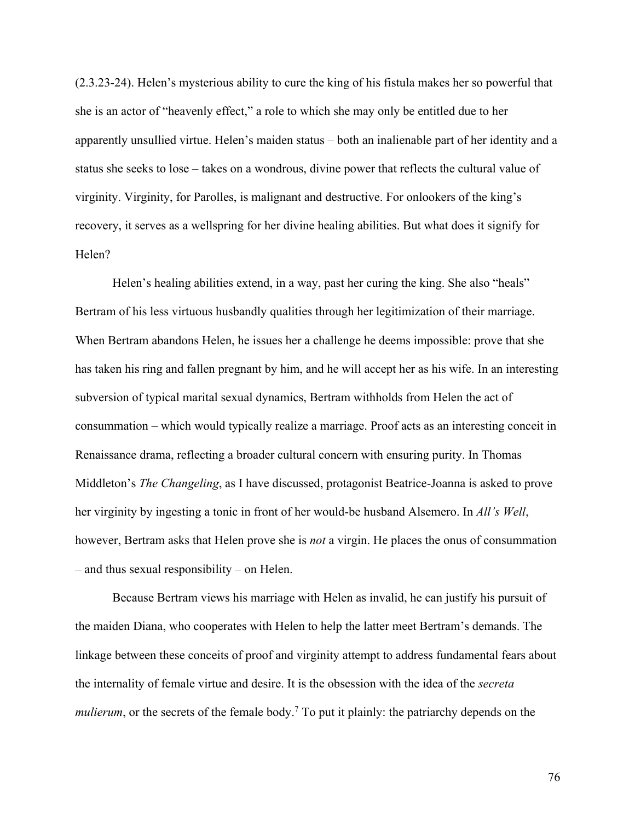(2.3.23-24). Helen's mysterious ability to cure the king of his fistula makes her so powerful that she is an actor of "heavenly effect," a role to which she may only be entitled due to her apparently unsullied virtue. Helen's maiden status – both an inalienable part of her identity and a status she seeks to lose – takes on a wondrous, divine power that reflects the cultural value of virginity. Virginity, for Parolles, is malignant and destructive. For onlookers of the king's recovery, it serves as a wellspring for her divine healing abilities. But what does it signify for Helen?

Helen's healing abilities extend, in a way, past her curing the king. She also "heals" Bertram of his less virtuous husbandly qualities through her legitimization of their marriage. When Bertram abandons Helen, he issues her a challenge he deems impossible: prove that she has taken his ring and fallen pregnant by him, and he will accept her as his wife. In an interesting subversion of typical marital sexual dynamics, Bertram withholds from Helen the act of consummation – which would typically realize a marriage. Proof acts as an interesting conceit in Renaissance drama, reflecting a broader cultural concern with ensuring purity. In Thomas Middleton's *The Changeling*, as I have discussed, protagonist Beatrice-Joanna is asked to prove her virginity by ingesting a tonic in front of her would-be husband Alsemero. In *All's Well*, however, Bertram asks that Helen prove she is *not* a virgin. He places the onus of consummation – and thus sexual responsibility – on Helen.

Because Bertram views his marriage with Helen as invalid, he can justify his pursuit of the maiden Diana, who cooperates with Helen to help the latter meet Bertram's demands. The linkage between these conceits of proof and virginity attempt to address fundamental fears about the internality of female virtue and desire. It is the obsession with the idea of the *secreta mulierum*, or the secrets of the female body.<sup>7</sup> To put it plainly: the patriarchy depends on the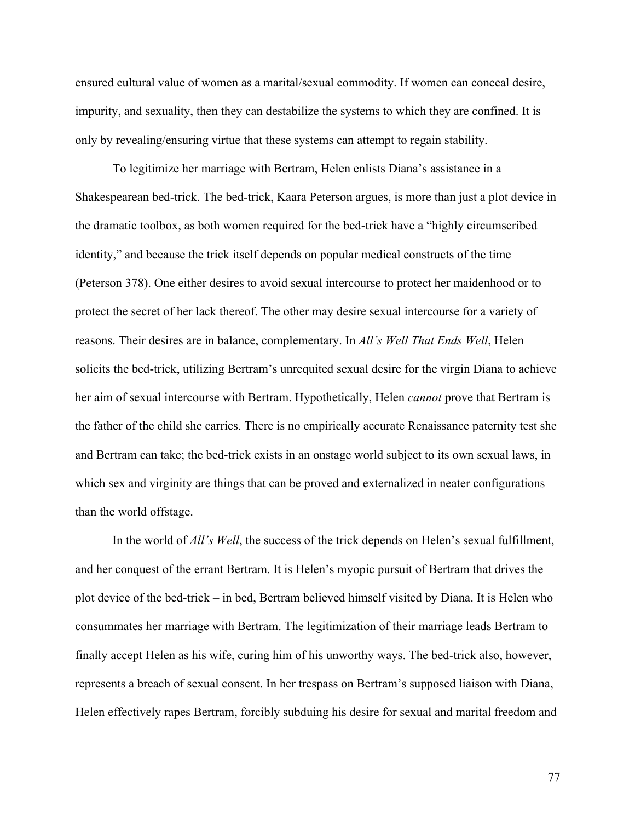ensured cultural value of women as a marital/sexual commodity. If women can conceal desire, impurity, and sexuality, then they can destabilize the systems to which they are confined. It is only by revealing/ensuring virtue that these systems can attempt to regain stability.

To legitimize her marriage with Bertram, Helen enlists Diana's assistance in a Shakespearean bed-trick. The bed-trick, Kaara Peterson argues, is more than just a plot device in the dramatic toolbox, as both women required for the bed-trick have a "highly circumscribed identity," and because the trick itself depends on popular medical constructs of the time (Peterson 378). One either desires to avoid sexual intercourse to protect her maidenhood or to protect the secret of her lack thereof. The other may desire sexual intercourse for a variety of reasons. Their desires are in balance, complementary. In *All's Well That Ends Well*, Helen solicits the bed-trick, utilizing Bertram's unrequited sexual desire for the virgin Diana to achieve her aim of sexual intercourse with Bertram. Hypothetically, Helen *cannot* prove that Bertram is the father of the child she carries. There is no empirically accurate Renaissance paternity test she and Bertram can take; the bed-trick exists in an onstage world subject to its own sexual laws, in which sex and virginity are things that can be proved and externalized in neater configurations than the world offstage.

In the world of *All's Well*, the success of the trick depends on Helen's sexual fulfillment, and her conquest of the errant Bertram. It is Helen's myopic pursuit of Bertram that drives the plot device of the bed-trick – in bed, Bertram believed himself visited by Diana. It is Helen who consummates her marriage with Bertram. The legitimization of their marriage leads Bertram to finally accept Helen as his wife, curing him of his unworthy ways. The bed-trick also, however, represents a breach of sexual consent. In her trespass on Bertram's supposed liaison with Diana, Helen effectively rapes Bertram, forcibly subduing his desire for sexual and marital freedom and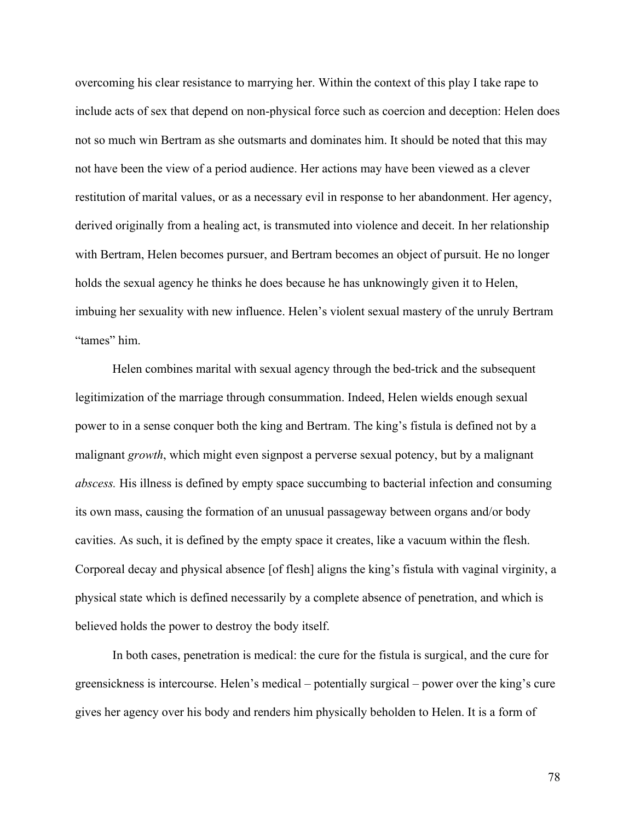overcoming his clear resistance to marrying her. Within the context of this play I take rape to include acts of sex that depend on non-physical force such as coercion and deception: Helen does not so much win Bertram as she outsmarts and dominates him. It should be noted that this may not have been the view of a period audience. Her actions may have been viewed as a clever restitution of marital values, or as a necessary evil in response to her abandonment. Her agency, derived originally from a healing act, is transmuted into violence and deceit. In her relationship with Bertram, Helen becomes pursuer, and Bertram becomes an object of pursuit. He no longer holds the sexual agency he thinks he does because he has unknowingly given it to Helen, imbuing her sexuality with new influence. Helen's violent sexual mastery of the unruly Bertram "tames" him.

Helen combines marital with sexual agency through the bed-trick and the subsequent legitimization of the marriage through consummation. Indeed, Helen wields enough sexual power to in a sense conquer both the king and Bertram. The king's fistula is defined not by a malignant *growth*, which might even signpost a perverse sexual potency, but by a malignant *abscess.* His illness is defined by empty space succumbing to bacterial infection and consuming its own mass, causing the formation of an unusual passageway between organs and/or body cavities. As such, it is defined by the empty space it creates, like a vacuum within the flesh. Corporeal decay and physical absence [of flesh] aligns the king's fistula with vaginal virginity, a physical state which is defined necessarily by a complete absence of penetration, and which is believed holds the power to destroy the body itself.

In both cases, penetration is medical: the cure for the fistula is surgical, and the cure for greensickness is intercourse. Helen's medical – potentially surgical – power over the king's cure gives her agency over his body and renders him physically beholden to Helen. It is a form of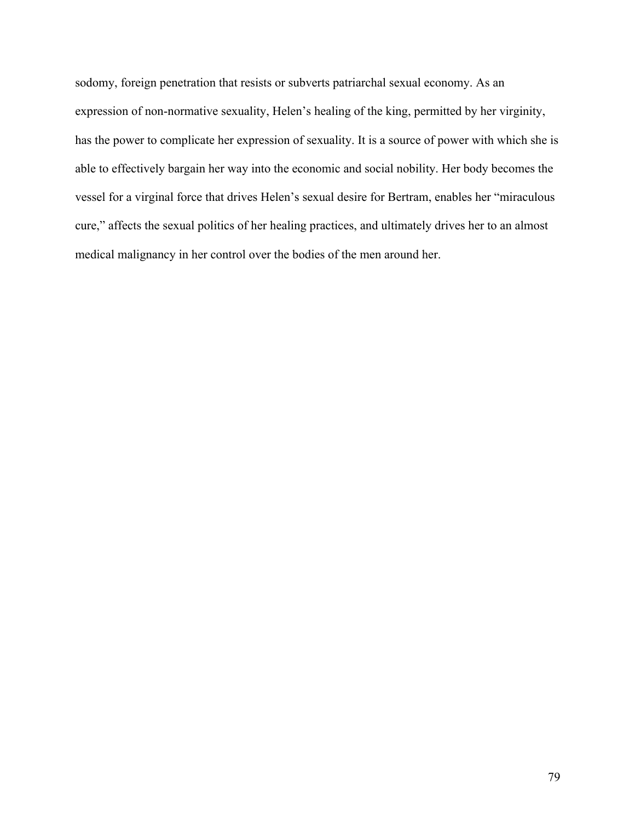sodomy, foreign penetration that resists or subverts patriarchal sexual economy. As an expression of non-normative sexuality, Helen's healing of the king, permitted by her virginity, has the power to complicate her expression of sexuality. It is a source of power with which she is able to effectively bargain her way into the economic and social nobility. Her body becomes the vessel for a virginal force that drives Helen's sexual desire for Bertram, enables her "miraculous cure," affects the sexual politics of her healing practices, and ultimately drives her to an almost medical malignancy in her control over the bodies of the men around her.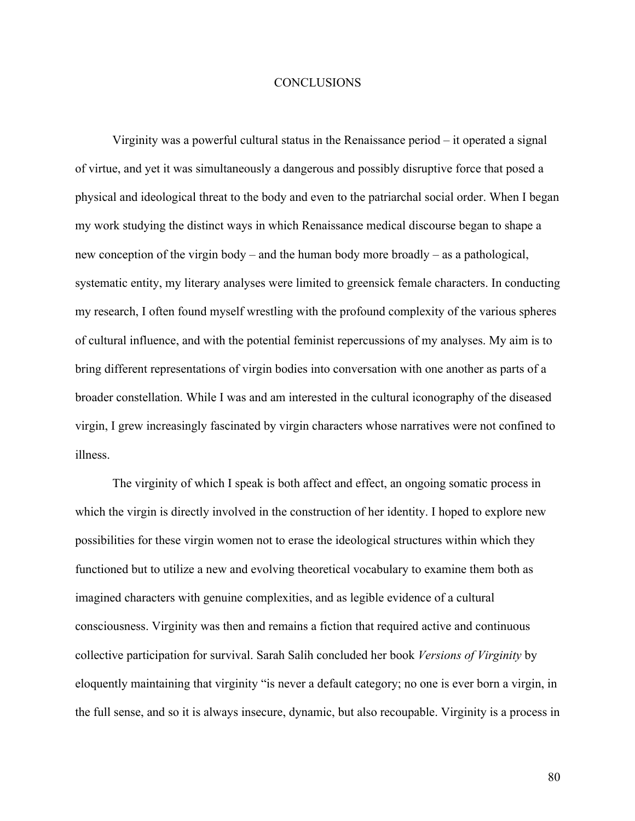## **CONCLUSIONS**

Virginity was a powerful cultural status in the Renaissance period – it operated a signal of virtue, and yet it was simultaneously a dangerous and possibly disruptive force that posed a physical and ideological threat to the body and even to the patriarchal social order. When I began my work studying the distinct ways in which Renaissance medical discourse began to shape a new conception of the virgin body – and the human body more broadly – as a pathological, systematic entity, my literary analyses were limited to greensick female characters. In conducting my research, I often found myself wrestling with the profound complexity of the various spheres of cultural influence, and with the potential feminist repercussions of my analyses. My aim is to bring different representations of virgin bodies into conversation with one another as parts of a broader constellation. While I was and am interested in the cultural iconography of the diseased virgin, I grew increasingly fascinated by virgin characters whose narratives were not confined to illness.

The virginity of which I speak is both affect and effect, an ongoing somatic process in which the virgin is directly involved in the construction of her identity. I hoped to explore new possibilities for these virgin women not to erase the ideological structures within which they functioned but to utilize a new and evolving theoretical vocabulary to examine them both as imagined characters with genuine complexities, and as legible evidence of a cultural consciousness. Virginity was then and remains a fiction that required active and continuous collective participation for survival. Sarah Salih concluded her book *Versions of Virginity* by eloquently maintaining that virginity "is never a default category; no one is ever born a virgin, in the full sense, and so it is always insecure, dynamic, but also recoupable. Virginity is a process in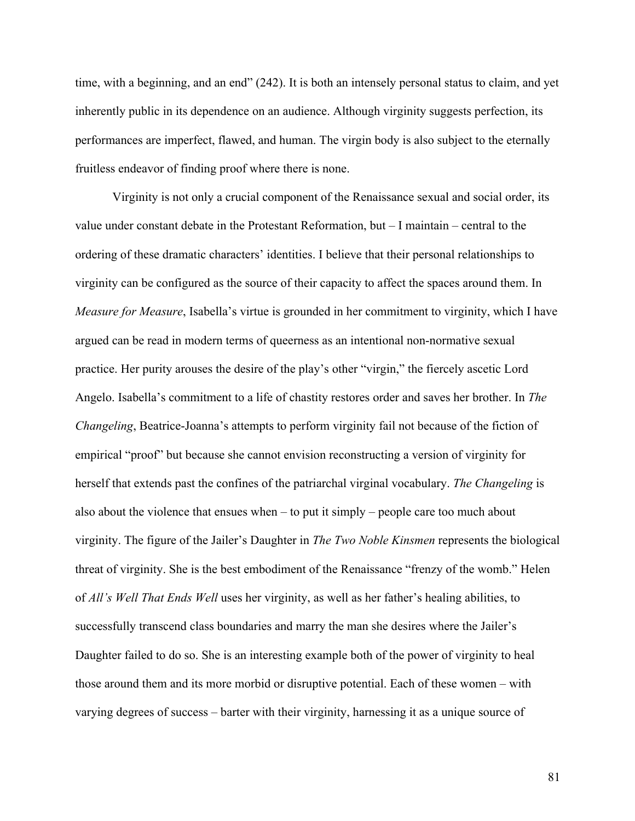time, with a beginning, and an end" (242). It is both an intensely personal status to claim, and yet inherently public in its dependence on an audience. Although virginity suggests perfection, its performances are imperfect, flawed, and human. The virgin body is also subject to the eternally fruitless endeavor of finding proof where there is none.

Virginity is not only a crucial component of the Renaissance sexual and social order, its value under constant debate in the Protestant Reformation, but – I maintain – central to the ordering of these dramatic characters' identities. I believe that their personal relationships to virginity can be configured as the source of their capacity to affect the spaces around them. In *Measure for Measure*, Isabella's virtue is grounded in her commitment to virginity, which I have argued can be read in modern terms of queerness as an intentional non-normative sexual practice. Her purity arouses the desire of the play's other "virgin," the fiercely ascetic Lord Angelo. Isabella's commitment to a life of chastity restores order and saves her brother. In *The Changeling*, Beatrice-Joanna's attempts to perform virginity fail not because of the fiction of empirical "proof" but because she cannot envision reconstructing a version of virginity for herself that extends past the confines of the patriarchal virginal vocabulary. *The Changeling* is also about the violence that ensues when – to put it simply – people care too much about virginity. The figure of the Jailer's Daughter in *The Two Noble Kinsmen* represents the biological threat of virginity. She is the best embodiment of the Renaissance "frenzy of the womb." Helen of *All's Well That Ends Well* uses her virginity, as well as her father's healing abilities, to successfully transcend class boundaries and marry the man she desires where the Jailer's Daughter failed to do so. She is an interesting example both of the power of virginity to heal those around them and its more morbid or disruptive potential. Each of these women – with varying degrees of success – barter with their virginity, harnessing it as a unique source of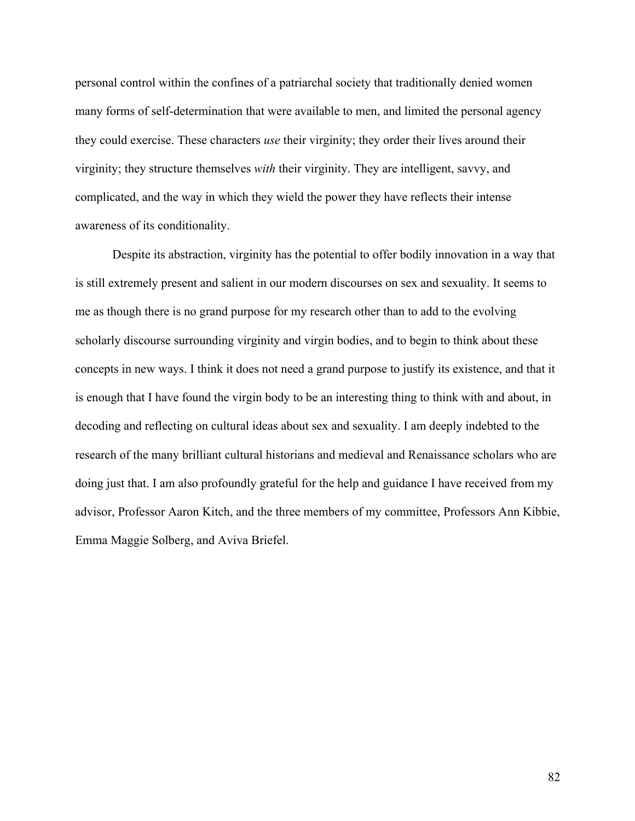personal control within the confines of a patriarchal society that traditionally denied women many forms of self-determination that were available to men, and limited the personal agency they could exercise. These characters *use* their virginity; they order their lives around their virginity; they structure themselves *with* their virginity. They are intelligent, savvy, and complicated, and the way in which they wield the power they have reflects their intense awareness of its conditionality.

Despite its abstraction, virginity has the potential to offer bodily innovation in a way that is still extremely present and salient in our modern discourses on sex and sexuality. It seems to me as though there is no grand purpose for my research other than to add to the evolving scholarly discourse surrounding virginity and virgin bodies, and to begin to think about these concepts in new ways. I think it does not need a grand purpose to justify its existence, and that it is enough that I have found the virgin body to be an interesting thing to think with and about, in decoding and reflecting on cultural ideas about sex and sexuality. I am deeply indebted to the research of the many brilliant cultural historians and medieval and Renaissance scholars who are doing just that. I am also profoundly grateful for the help and guidance I have received from my advisor, Professor Aaron Kitch, and the three members of my committee, Professors Ann Kibbie, Emma Maggie Solberg, and Aviva Briefel.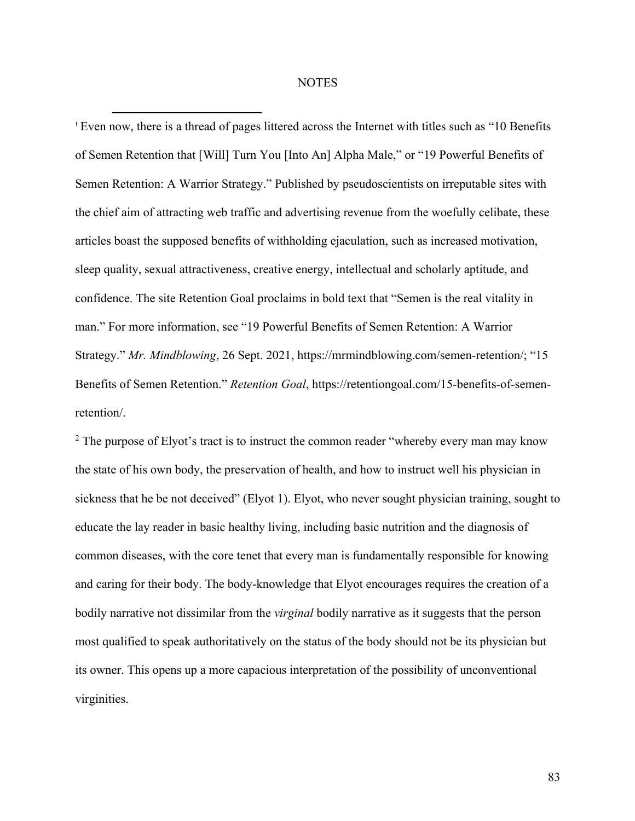### **NOTES**

! Even now, there is a thread of pages littered across the Internet with titles such as "10 Benefits of Semen Retention that [Will] Turn You [Into An] Alpha Male," or "19 Powerful Benefits of Semen Retention: A Warrior Strategy." Published by pseudoscientists on irreputable sites with the chief aim of attracting web traffic and advertising revenue from the woefully celibate, these articles boast the supposed benefits of withholding ejaculation, such as increased motivation, sleep quality, sexual attractiveness, creative energy, intellectual and scholarly aptitude, and confidence. The site Retention Goal proclaims in bold text that "Semen is the real vitality in man." For more information, see "19 Powerful Benefits of Semen Retention: A Warrior Strategy." *Mr. Mindblowing*, 26 Sept. 2021, https://mrmindblowing.com/semen-retention/; "15 Benefits of Semen Retention." *Retention Goal*, https://retentiongoal.com/15-benefits-of-semenretention/.

<sup>2</sup> The purpose of Elyot's tract is to instruct the common reader "whereby every man may know the state of his own body, the preservation of health, and how to instruct well his physician in sickness that he be not deceived" (Elyot 1). Elyot, who never sought physician training, sought to educate the lay reader in basic healthy living, including basic nutrition and the diagnosis of common diseases, with the core tenet that every man is fundamentally responsible for knowing and caring for their body. The body-knowledge that Elyot encourages requires the creation of a bodily narrative not dissimilar from the *virginal* bodily narrative as it suggests that the person most qualified to speak authoritatively on the status of the body should not be its physician but its owner. This opens up a more capacious interpretation of the possibility of unconventional virginities.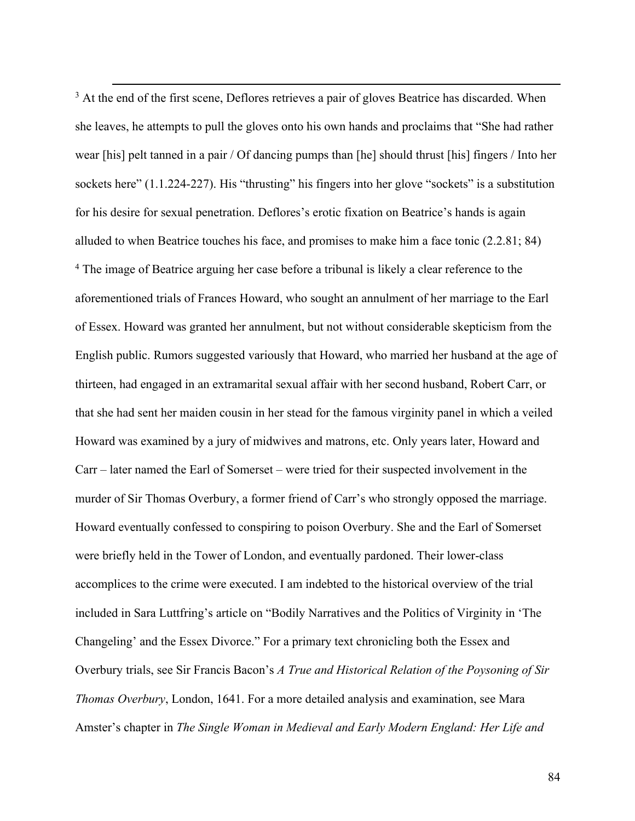<sup>3</sup> At the end of the first scene, Deflores retrieves a pair of gloves Beatrice has discarded. When she leaves, he attempts to pull the gloves onto his own hands and proclaims that "She had rather wear [his] pelt tanned in a pair / Of dancing pumps than [he] should thrust [his] fingers / Into her sockets here" (1.1.224-227). His "thrusting" his fingers into her glove "sockets" is a substitution for his desire for sexual penetration. Deflores's erotic fixation on Beatrice's hands is again alluded to when Beatrice touches his face, and promises to make him a face tonic (2.2.81; 84) <sup>4</sup> The image of Beatrice arguing her case before a tribunal is likely a clear reference to the aforementioned trials of Frances Howard, who sought an annulment of her marriage to the Earl of Essex. Howard was granted her annulment, but not without considerable skepticism from the English public. Rumors suggested variously that Howard, who married her husband at the age of thirteen, had engaged in an extramarital sexual affair with her second husband, Robert Carr, or that she had sent her maiden cousin in her stead for the famous virginity panel in which a veiled Howard was examined by a jury of midwives and matrons, etc. Only years later, Howard and Carr – later named the Earl of Somerset – were tried for their suspected involvement in the murder of Sir Thomas Overbury, a former friend of Carr's who strongly opposed the marriage. Howard eventually confessed to conspiring to poison Overbury. She and the Earl of Somerset were briefly held in the Tower of London, and eventually pardoned. Their lower-class accomplices to the crime were executed. I am indebted to the historical overview of the trial included in Sara Luttfring's article on "Bodily Narratives and the Politics of Virginity in 'The Changeling' and the Essex Divorce." For a primary text chronicling both the Essex and Overbury trials, see Sir Francis Bacon's *A True and Historical Relation of the Poysoning of Sir Thomas Overbury*, London, 1641. For a more detailed analysis and examination, see Mara Amster's chapter in *The Single Woman in Medieval and Early Modern England: Her Life and*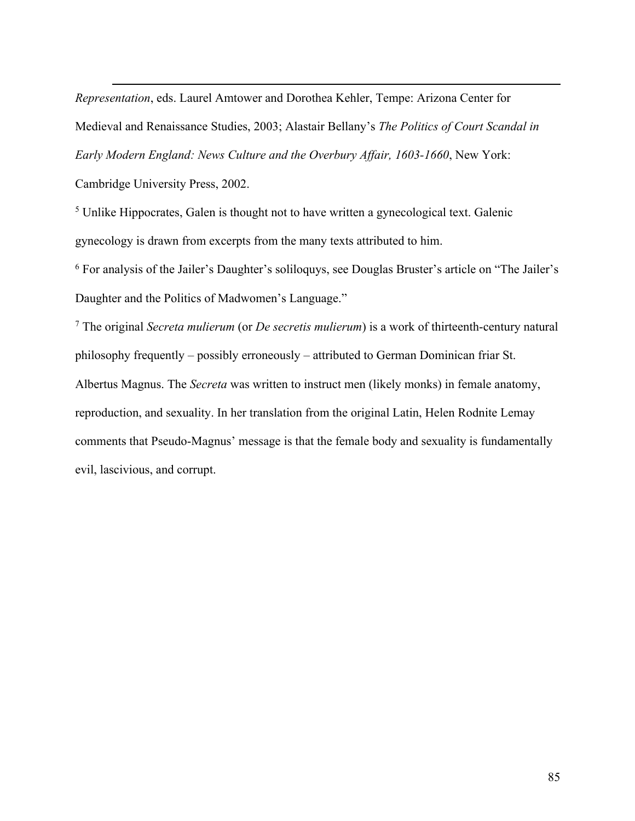*Representation*, eds. Laurel Amtower and Dorothea Kehler, Tempe: Arizona Center for Medieval and Renaissance Studies, 2003; Alastair Bellany's *The Politics of Court Scandal in Early Modern England: News Culture and the Overbury Affair, 1603-1660*, New York:

Cambridge University Press, 2002.

<sup>5</sup> Unlike Hippocrates, Galen is thought not to have written a gynecological text. Galenic gynecology is drawn from excerpts from the many texts attributed to him.

<sup>6</sup> For analysis of the Jailer's Daughter's soliloquys, see Douglas Bruster's article on "The Jailer's Daughter and the Politics of Madwomen's Language."

<sup>7</sup> The original *Secreta mulierum* (or *De secretis mulierum*) is a work of thirteenth-century natural philosophy frequently – possibly erroneously – attributed to German Dominican friar St. Albertus Magnus. The *Secreta* was written to instruct men (likely monks) in female anatomy, reproduction, and sexuality. In her translation from the original Latin, Helen Rodnite Lemay comments that Pseudo-Magnus' message is that the female body and sexuality is fundamentally evil, lascivious, and corrupt.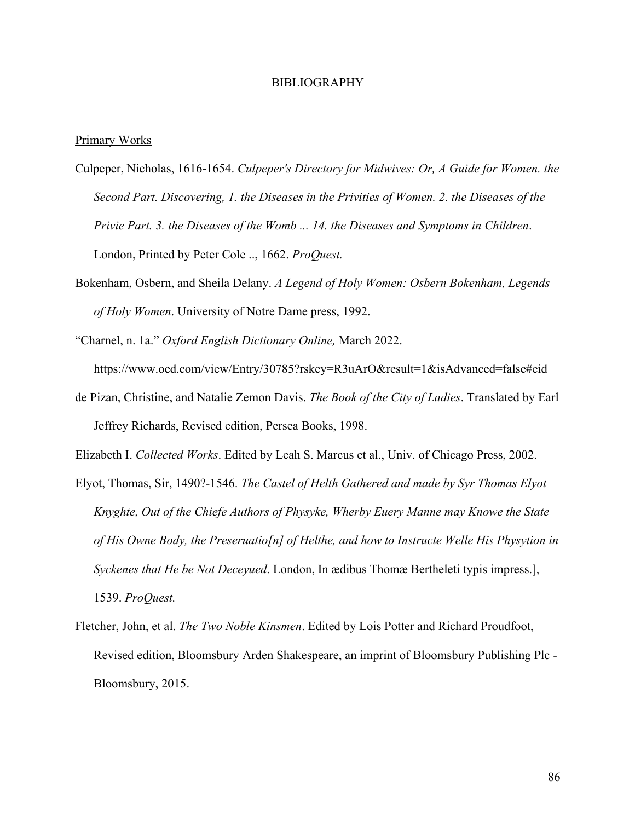#### BIBLIOGRAPHY

## Primary Works

- Culpeper, Nicholas, 1616-1654. *Culpeper's Directory for Midwives: Or, A Guide for Women. the Second Part. Discovering, 1. the Diseases in the Privities of Women. 2. the Diseases of the Privie Part. 3. the Diseases of the Womb ... 14. the Diseases and Symptoms in Children*. London, Printed by Peter Cole .., 1662. *ProQuest.*
- Bokenham, Osbern, and Sheila Delany. *A Legend of Holy Women: Osbern Bokenham, Legends of Holy Women*. University of Notre Dame press, 1992.
- "Charnel, n. 1a." *Oxford English Dictionary Online,* March 2022. https://www.oed.com/view/Entry/30785?rskey=R3uArO&result=1&isAdvanced=false#eid
- de Pizan, Christine, and Natalie Zemon Davis. *The Book of the City of Ladies*. Translated by Earl Jeffrey Richards, Revised edition, Persea Books, 1998.

Elizabeth I. *Collected Works*. Edited by Leah S. Marcus et al., Univ. of Chicago Press, 2002.

- Elyot, Thomas, Sir, 1490?-1546. *The Castel of Helth Gathered and made by Syr Thomas Elyot Knyghte, Out of the Chiefe Authors of Physyke, Wherby Euery Manne may Knowe the State of His Owne Body, the Preseruatio[n] of Helthe, and how to Instructe Welle His Physytion in Syckenes that He be Not Deceyued*. London, In ædibus Thomæ Bertheleti typis impress.], 1539. *ProQuest.*
- Fletcher, John, et al. *The Two Noble Kinsmen*. Edited by Lois Potter and Richard Proudfoot, Revised edition, Bloomsbury Arden Shakespeare, an imprint of Bloomsbury Publishing Plc - Bloomsbury, 2015.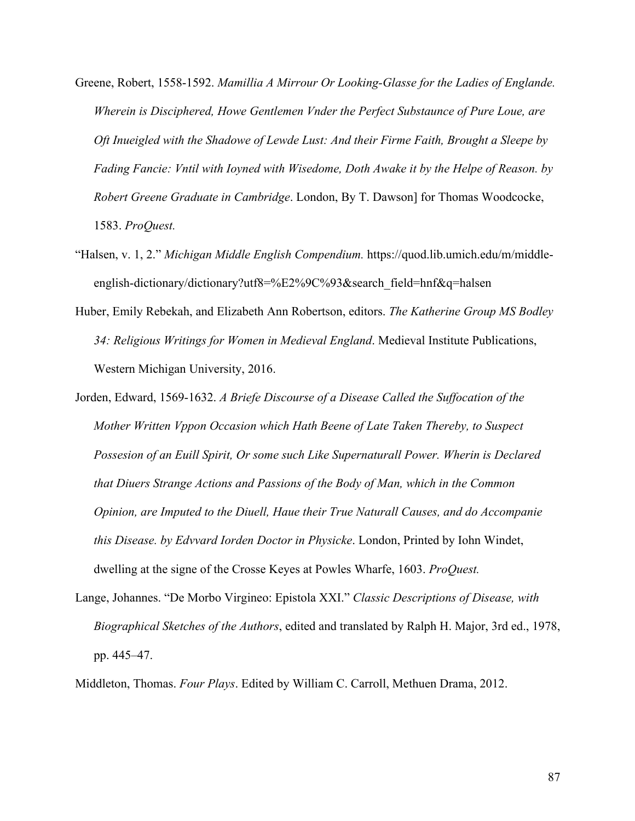- Greene, Robert, 1558-1592. *Mamillia A Mirrour Or Looking-Glasse for the Ladies of Englande. Wherein is Disciphered, Howe Gentlemen Vnder the Perfect Substaunce of Pure Loue, are Oft Inueigled with the Shadowe of Lewde Lust: And their Firme Faith, Brought a Sleepe by Fading Fancie: Vntil with Ioyned with Wisedome, Doth Awake it by the Helpe of Reason. by Robert Greene Graduate in Cambridge*. London, By T. Dawson] for Thomas Woodcocke, 1583. *ProQuest.*
- "Halsen, v. 1, 2." *Michigan Middle English Compendium.* https://quod.lib.umich.edu/m/middleenglish-dictionary/dictionary?utf8=%E2%9C%93&search\_field=hnf&q=halsen
- Huber, Emily Rebekah, and Elizabeth Ann Robertson, editors. *The Katherine Group MS Bodley 34: Religious Writings for Women in Medieval England*. Medieval Institute Publications, Western Michigan University, 2016.
- Jorden, Edward, 1569-1632. *A Briefe Discourse of a Disease Called the Suffocation of the Mother Written Vppon Occasion which Hath Beene of Late Taken Thereby, to Suspect Possesion of an Euill Spirit, Or some such Like Supernaturall Power. Wherin is Declared that Diuers Strange Actions and Passions of the Body of Man, which in the Common Opinion, are Imputed to the Diuell, Haue their True Naturall Causes, and do Accompanie this Disease. by Edvvard Iorden Doctor in Physicke*. London, Printed by Iohn Windet, dwelling at the signe of the Crosse Keyes at Powles Wharfe, 1603. *ProQuest.*
- Lange, Johannes. "De Morbo Virgineo: Epistola XXI." *Classic Descriptions of Disease, with Biographical Sketches of the Authors*, edited and translated by Ralph H. Major, 3rd ed., 1978, pp. 445–47.

Middleton, Thomas. *Four Plays*. Edited by William C. Carroll, Methuen Drama, 2012.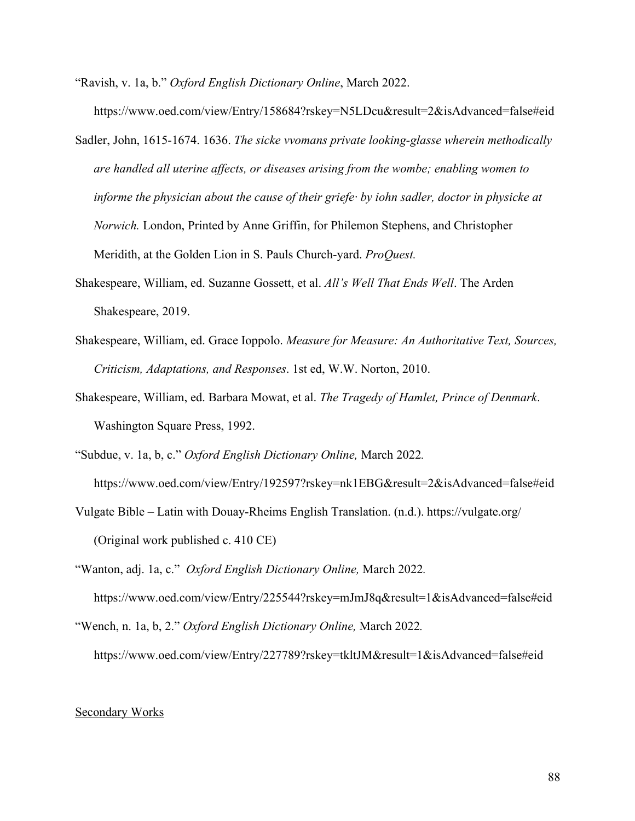- "Ravish, v. 1a, b." *Oxford English Dictionary Online*, March 2022. https://www.oed.com/view/Entry/158684?rskey=N5LDcu&result=2&isAdvanced=false#eid
- Sadler, John, 1615-1674. 1636. *The sicke vvomans private looking-glasse wherein methodically are handled all uterine affects, or diseases arising from the wombe; enabling women to informe the physician about the cause of their griefe· by iohn sadler, doctor in physicke at Norwich.* London, Printed by Anne Griffin, for Philemon Stephens, and Christopher Meridith, at the Golden Lion in S. Pauls Church-yard. *ProQuest.*
- Shakespeare, William, ed. Suzanne Gossett, et al. *All's Well That Ends Well*. The Arden Shakespeare, 2019.
- Shakespeare, William, ed. Grace Ioppolo. *Measure for Measure: An Authoritative Text, Sources, Criticism, Adaptations, and Responses*. 1st ed, W.W. Norton, 2010.
- Shakespeare, William, ed. Barbara Mowat, et al. *The Tragedy of Hamlet, Prince of Denmark*. Washington Square Press, 1992.
- "Subdue, v. 1a, b, c." *Oxford English Dictionary Online,* March 2022*.*  https://www.oed.com/view/Entry/192597?rskey=nk1EBG&result=2&isAdvanced=false#eid
- Vulgate Bible Latin with Douay-Rheims English Translation. (n.d.). https://vulgate.org/ (Original work published c. 410 CE)
- "Wanton, adj. 1a, c." *Oxford English Dictionary Online,* March 2022*.* https://www.oed.com/view/Entry/225544?rskey=mJmJ8q&result=1&isAdvanced=false#eid
- "Wench, n. 1a, b, 2." *Oxford English Dictionary Online,* March 2022*.* https://www.oed.com/view/Entry/227789?rskey=tkltJM&result=1&isAdvanced=false#eid

# Secondary Works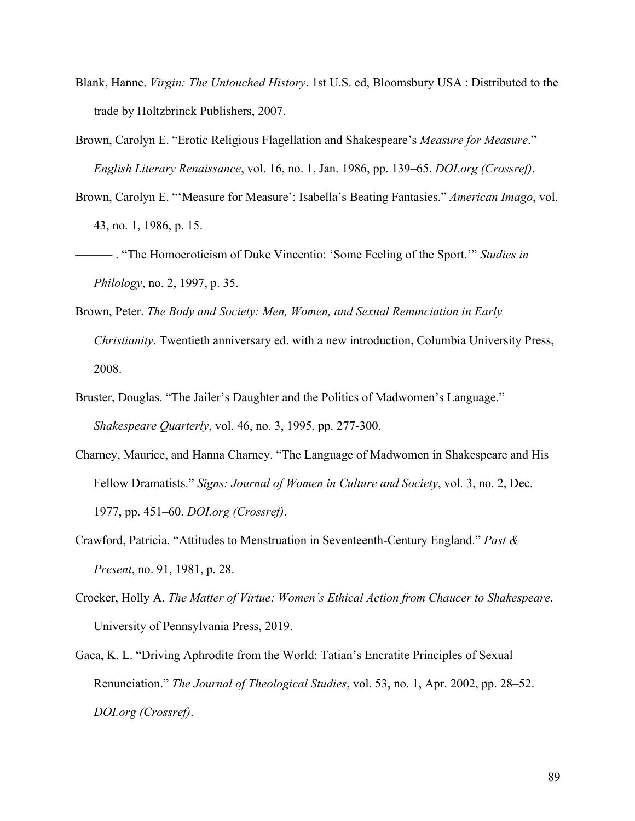- Blank, Hanne. *Virgin: The Untouched History*. 1st U.S. ed, Bloomsbury USA : Distributed to the trade by Holtzbrinck Publishers, 2007.
- Brown, Carolyn E. "Erotic Religious Flagellation and Shakespeare's *Measure for Measure*." *English Literary Renaissance*, vol. 16, no. 1, Jan. 1986, pp. 139–65. *DOI.org (Crossref)*.
- Brown, Carolyn E. "'Measure for Measure': Isabella's Beating Fantasies." *American Imago*, vol. 43, no. 1, 1986, p. 15.
- ——— . "The Homoeroticism of Duke Vincentio: 'Some Feeling of the Sport.'" *Studies in Philology*, no. 2, 1997, p. 35.
- Brown, Peter. *The Body and Society: Men, Women, and Sexual Renunciation in Early Christianity*. Twentieth anniversary ed. with a new introduction, Columbia University Press, 2008.
- Bruster, Douglas. "The Jailer's Daughter and the Politics of Madwomen's Language." *Shakespeare Quarterly*, vol. 46, no. 3, 1995, pp. 277-300.
- Charney, Maurice, and Hanna Charney. "The Language of Madwomen in Shakespeare and His Fellow Dramatists." *Signs: Journal of Women in Culture and Society*, vol. 3, no. 2, Dec. 1977, pp. 451–60. *DOI.org (Crossref)*.
- Crawford, Patricia. "Attitudes to Menstruation in Seventeenth-Century England." *Past & Present*, no. 91, 1981, p. 28.
- Crocker, Holly A. *The Matter of Virtue: Women's Ethical Action from Chaucer to Shakespeare*. University of Pennsylvania Press, 2019.
- Gaca, K. L. "Driving Aphrodite from the World: Tatian's Encratite Principles of Sexual Renunciation." *The Journal of Theological Studies*, vol. 53, no. 1, Apr. 2002, pp. 28–52. *DOI.org (Crossref)*.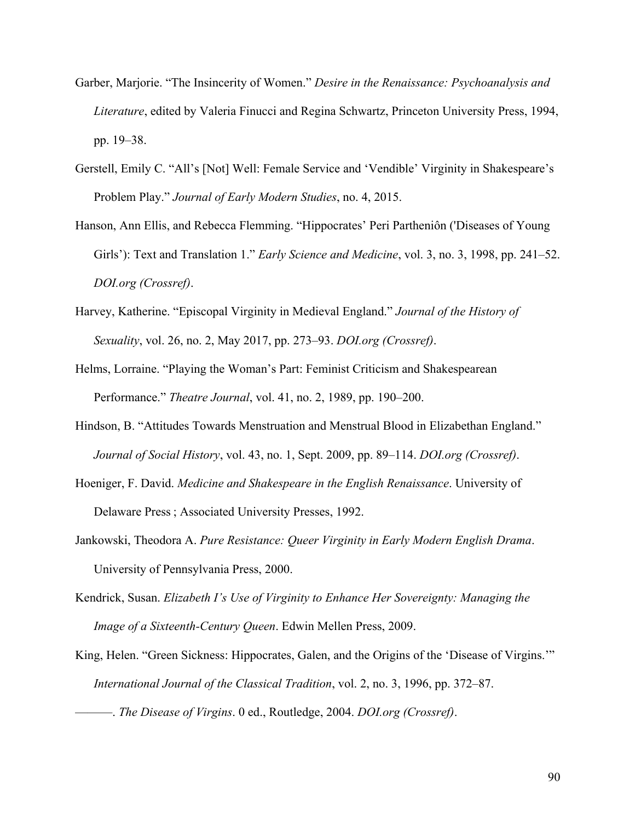- Garber, Marjorie. "The Insincerity of Women." *Desire in the Renaissance: Psychoanalysis and Literature*, edited by Valeria Finucci and Regina Schwartz, Princeton University Press, 1994, pp. 19–38.
- Gerstell, Emily C. "All's [Not] Well: Female Service and 'Vendible' Virginity in Shakespeare's Problem Play." *Journal of Early Modern Studies*, no. 4, 2015.
- Hanson, Ann Ellis, and Rebecca Flemming. "Hippocrates' Peri Partheniôn ('Diseases of Young Girls'): Text and Translation 1." *Early Science and Medicine*, vol. 3, no. 3, 1998, pp. 241–52. *DOI.org (Crossref)*.
- Harvey, Katherine. "Episcopal Virginity in Medieval England." *Journal of the History of Sexuality*, vol. 26, no. 2, May 2017, pp. 273–93. *DOI.org (Crossref)*.
- Helms, Lorraine. "Playing the Woman's Part: Feminist Criticism and Shakespearean Performance." *Theatre Journal*, vol. 41, no. 2, 1989, pp. 190–200.
- Hindson, B. "Attitudes Towards Menstruation and Menstrual Blood in Elizabethan England." *Journal of Social History*, vol. 43, no. 1, Sept. 2009, pp. 89–114. *DOI.org (Crossref)*.
- Hoeniger, F. David. *Medicine and Shakespeare in the English Renaissance*. University of Delaware Press ; Associated University Presses, 1992.
- Jankowski, Theodora A. *Pure Resistance: Queer Virginity in Early Modern English Drama*. University of Pennsylvania Press, 2000.
- Kendrick, Susan. *Elizabeth I's Use of Virginity to Enhance Her Sovereignty: Managing the Image of a Sixteenth-Century Queen*. Edwin Mellen Press, 2009.
- King, Helen. "Green Sickness: Hippocrates, Galen, and the Origins of the 'Disease of Virgins."" *International Journal of the Classical Tradition*, vol. 2, no. 3, 1996, pp. 372–87.
- ———. *The Disease of Virgins*. 0 ed., Routledge, 2004. *DOI.org (Crossref)*.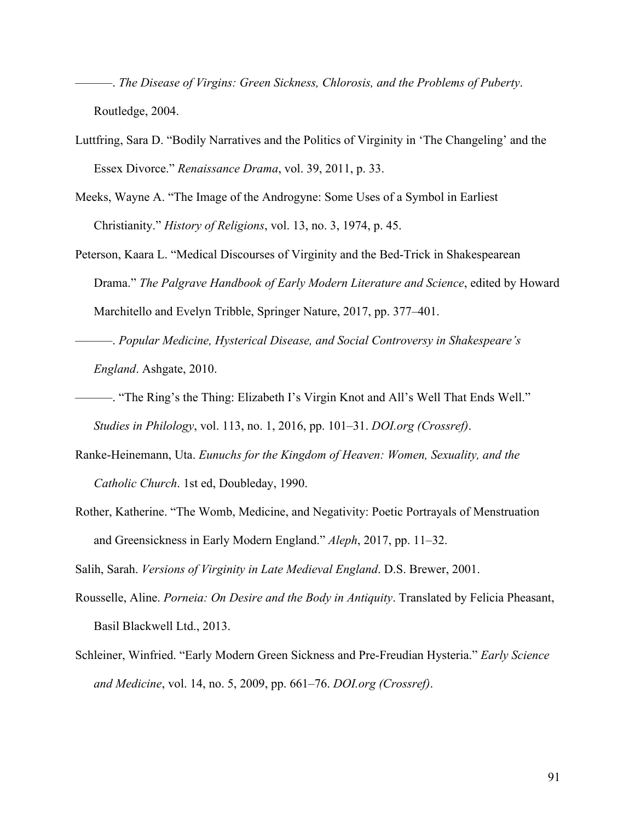———. *The Disease of Virgins: Green Sickness, Chlorosis, and the Problems of Puberty*. Routledge, 2004.

- Luttfring, Sara D. "Bodily Narratives and the Politics of Virginity in 'The Changeling' and the Essex Divorce." *Renaissance Drama*, vol. 39, 2011, p. 33.
- Meeks, Wayne A. "The Image of the Androgyne: Some Uses of a Symbol in Earliest Christianity." *History of Religions*, vol. 13, no. 3, 1974, p. 45.
- Peterson, Kaara L. "Medical Discourses of Virginity and the Bed-Trick in Shakespearean Drama." *The Palgrave Handbook of Early Modern Literature and Science*, edited by Howard Marchitello and Evelyn Tribble, Springer Nature, 2017, pp. 377–401.
- ———. *Popular Medicine, Hysterical Disease, and Social Controversy in Shakespeare's England*. Ashgate, 2010.
- ———. "The Ring's the Thing: Elizabeth I's Virgin Knot and All's Well That Ends Well." *Studies in Philology*, vol. 113, no. 1, 2016, pp. 101–31. *DOI.org (Crossref)*.
- Ranke-Heinemann, Uta. *Eunuchs for the Kingdom of Heaven: Women, Sexuality, and the Catholic Church*. 1st ed, Doubleday, 1990.
- Rother, Katherine. "The Womb, Medicine, and Negativity: Poetic Portrayals of Menstruation and Greensickness in Early Modern England." *Aleph*, 2017, pp. 11–32.

Salih, Sarah. *Versions of Virginity in Late Medieval England*. D.S. Brewer, 2001.

- Rousselle, Aline. *Porneia: On Desire and the Body in Antiquity*. Translated by Felicia Pheasant, Basil Blackwell Ltd., 2013.
- Schleiner, Winfried. "Early Modern Green Sickness and Pre-Freudian Hysteria." *Early Science and Medicine*, vol. 14, no. 5, 2009, pp. 661–76. *DOI.org (Crossref)*.